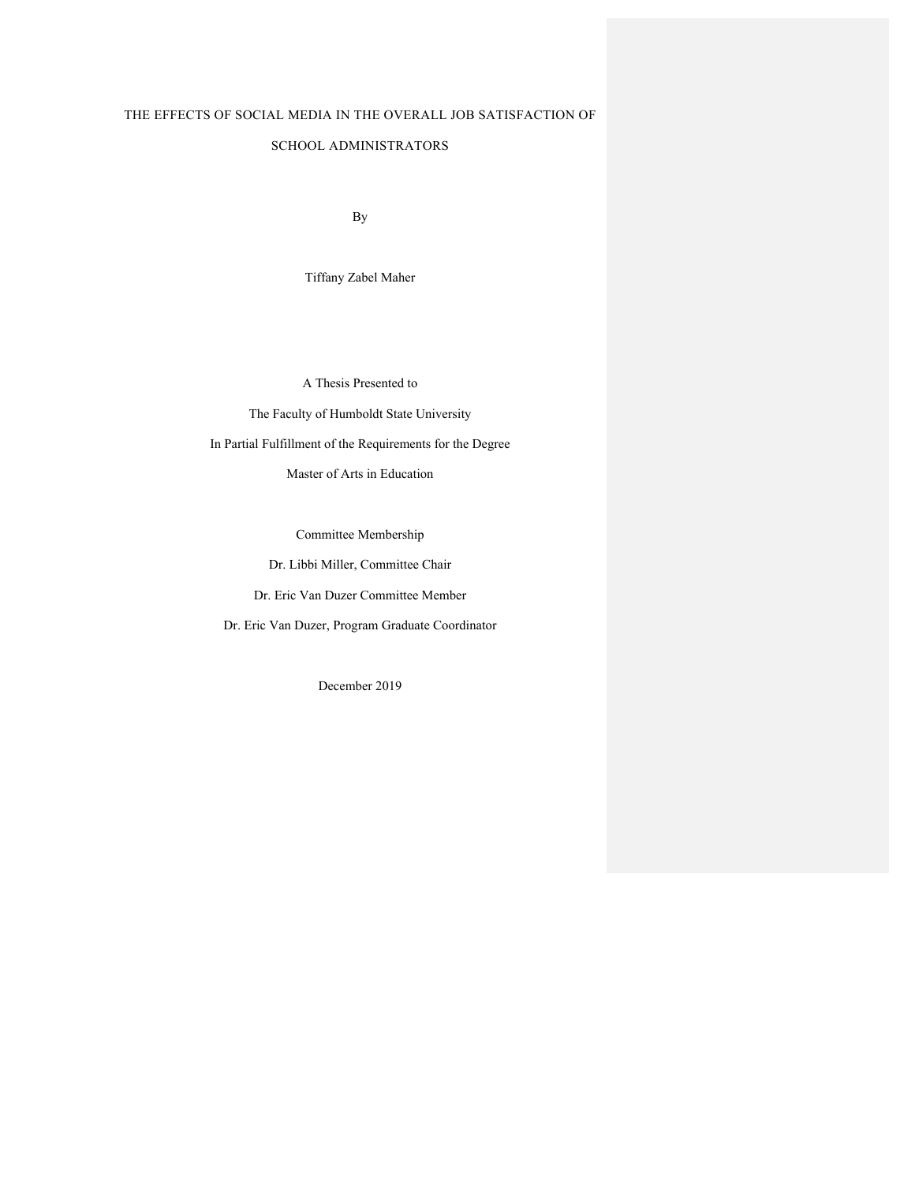# THE EFFECTS OF SOCIAL MEDIA IN THE OVERALL JOB SATISFACTION OF

#### SCHOOL ADMINISTRATORS

By

Tiffany Zabel Maher

A Thesis Presented to

The Faculty of Humboldt State University

In Partial Fulfillment of the Requirements for the Degree

Master of Arts in Education

Committee Membership

Dr. Libbi Miller, Committee Chair

Dr. Eric Van Duzer Committee Member

Dr. Eric Van Duzer, Program Graduate Coordinator

December 2019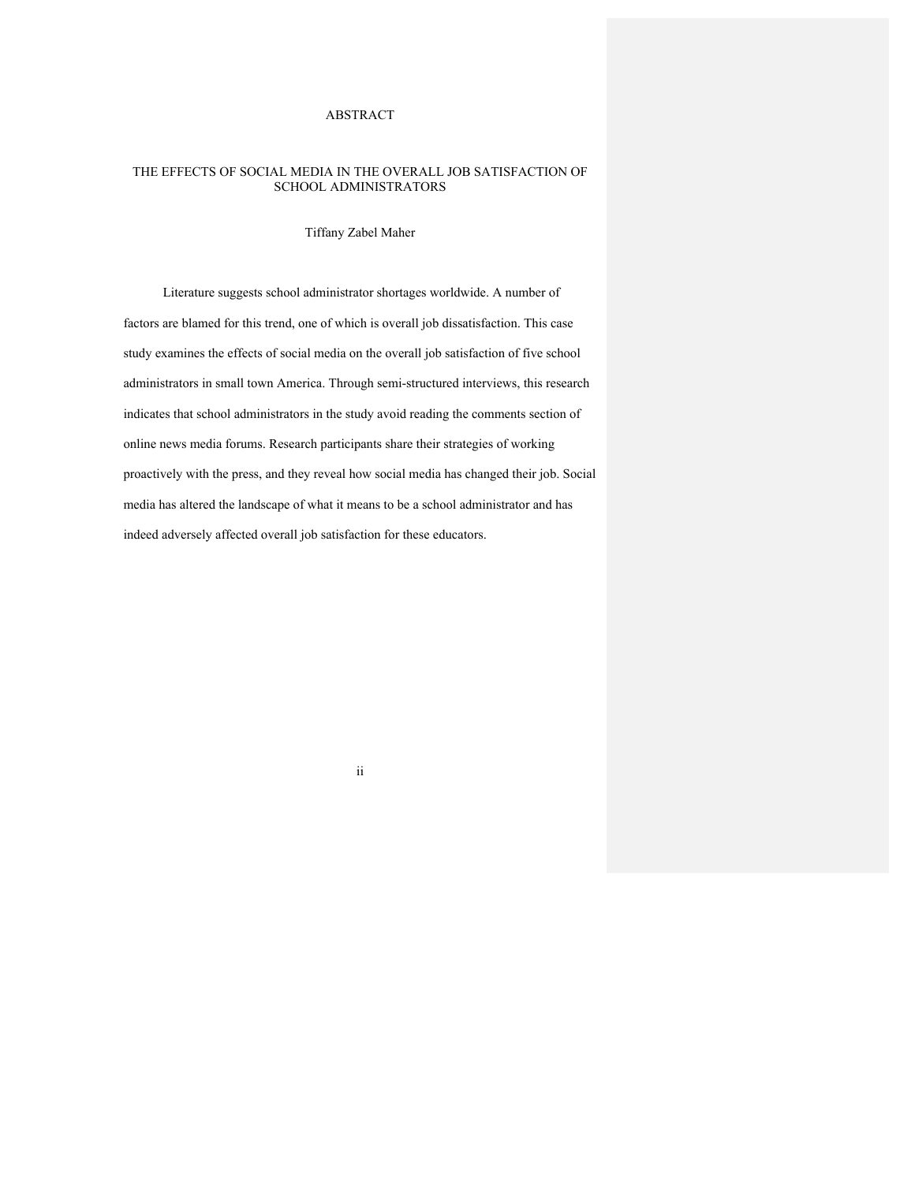## ABSTRACT

### THE EFFECTS OF SOCIAL MEDIA IN THE OVERALL JOB SATISFACTION OF SCHOOL ADMINISTRATORS

#### Tiffany Zabel Maher

Literature suggests school administrator shortages worldwide. A number of factors are blamed for this trend, one of which is overall job dissatisfaction. This case study examines the effects of social media on the overall job satisfaction of five school administrators in small town America. Through semi-structured interviews, this research indicates that school administrators in the study avoid reading the comments section of online news media forums. Research participants share their strategies of working proactively with the press, and they reveal how social media has changed their job. Social media has altered the landscape of what it means to be a school administrator and has indeed adversely affected overall job satisfaction for these educators.

ii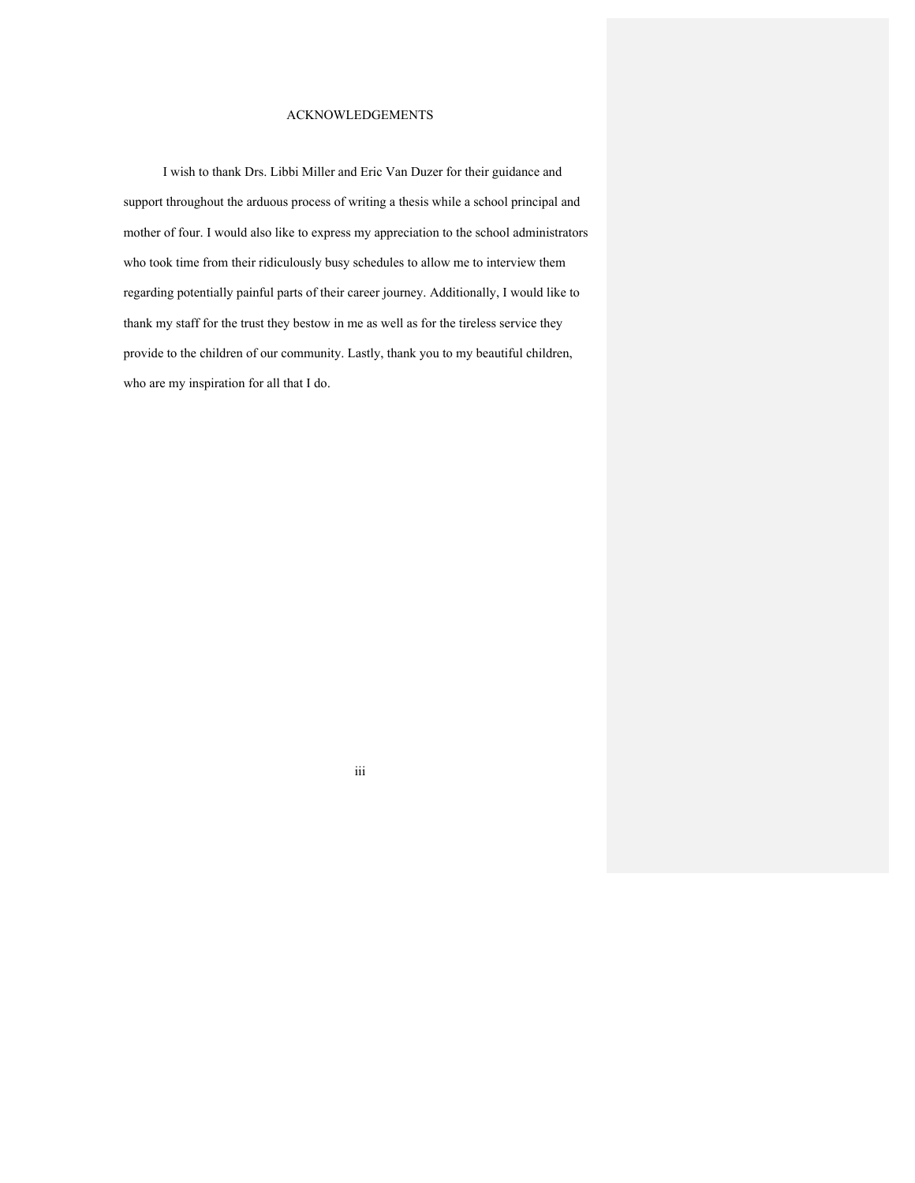## ACKNOWLEDGEMENTS

I wish to thank Drs. Libbi Miller and Eric Van Duzer for their guidance and support throughout the arduous process of writing a thesis while a school principal and mother of four. I would also like to express my appreciation to the school administrators who took time from their ridiculously busy schedules to allow me to interview them regarding potentially painful parts of their career journey. Additionally, I would like to thank my staff for the trust they bestow in me as well as for the tireless service they provide to the children of our community. Lastly, thank you to my beautiful children, who are my inspiration for all that I do.

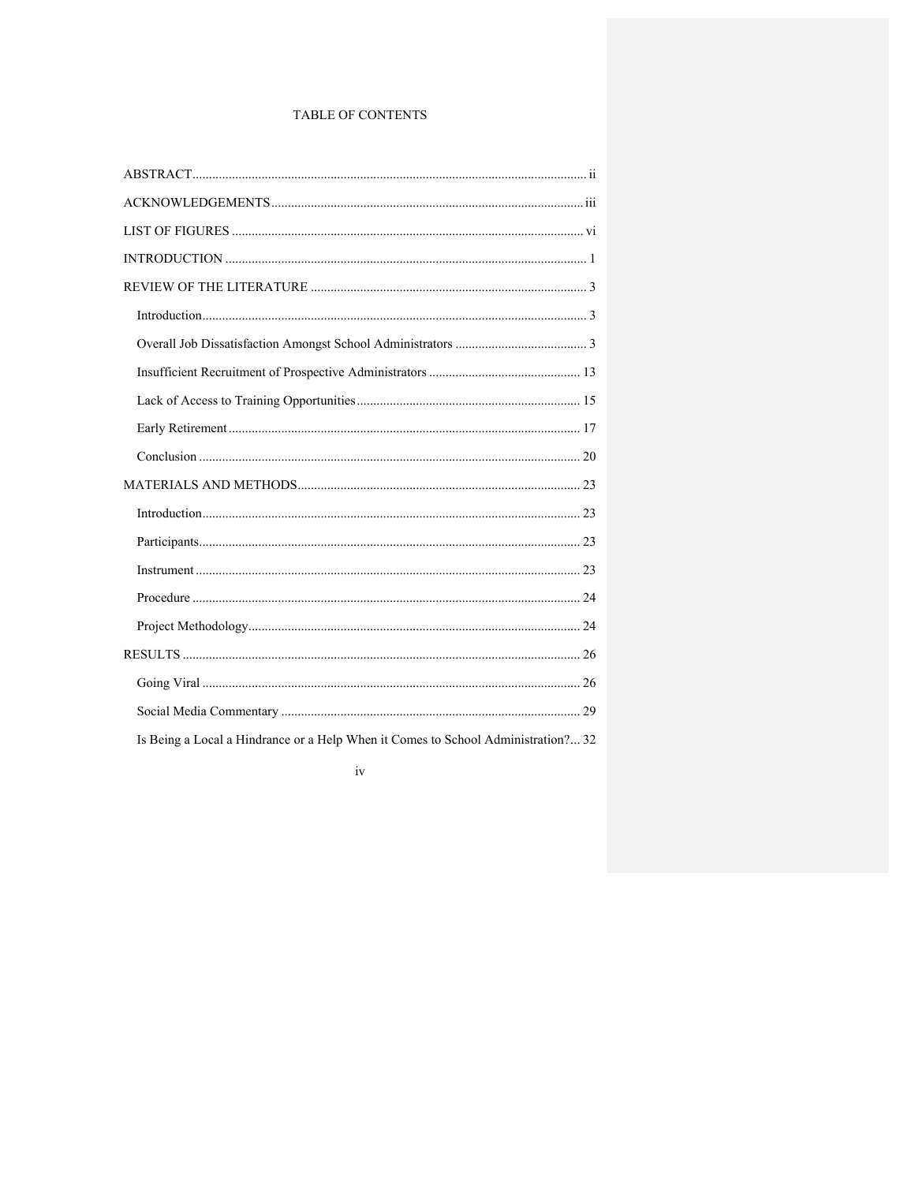## TABLE OF CONTENTS

| Is Being a Local a Hindrance or a Help When it Comes to School Administration? 32 |  |
|-----------------------------------------------------------------------------------|--|

## $\mathrm{i}\mathrm{v}$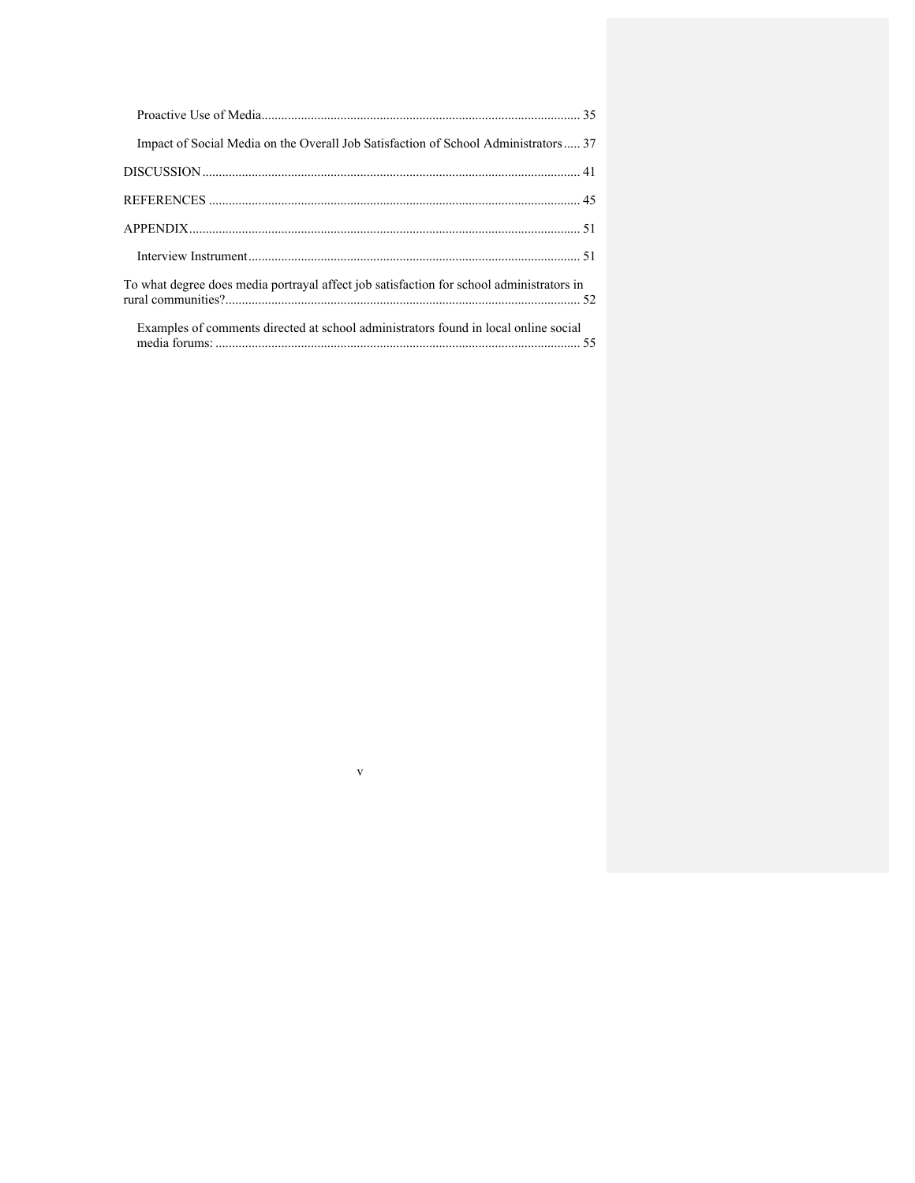| Impact of Social Media on the Overall Job Satisfaction of School Administrators  37      |  |
|------------------------------------------------------------------------------------------|--|
|                                                                                          |  |
|                                                                                          |  |
|                                                                                          |  |
|                                                                                          |  |
| To what degree does media portrayal affect job satisfaction for school administrators in |  |
| Examples of comments directed at school administrators found in local online social      |  |

 $\bar{\mathbf{V}}$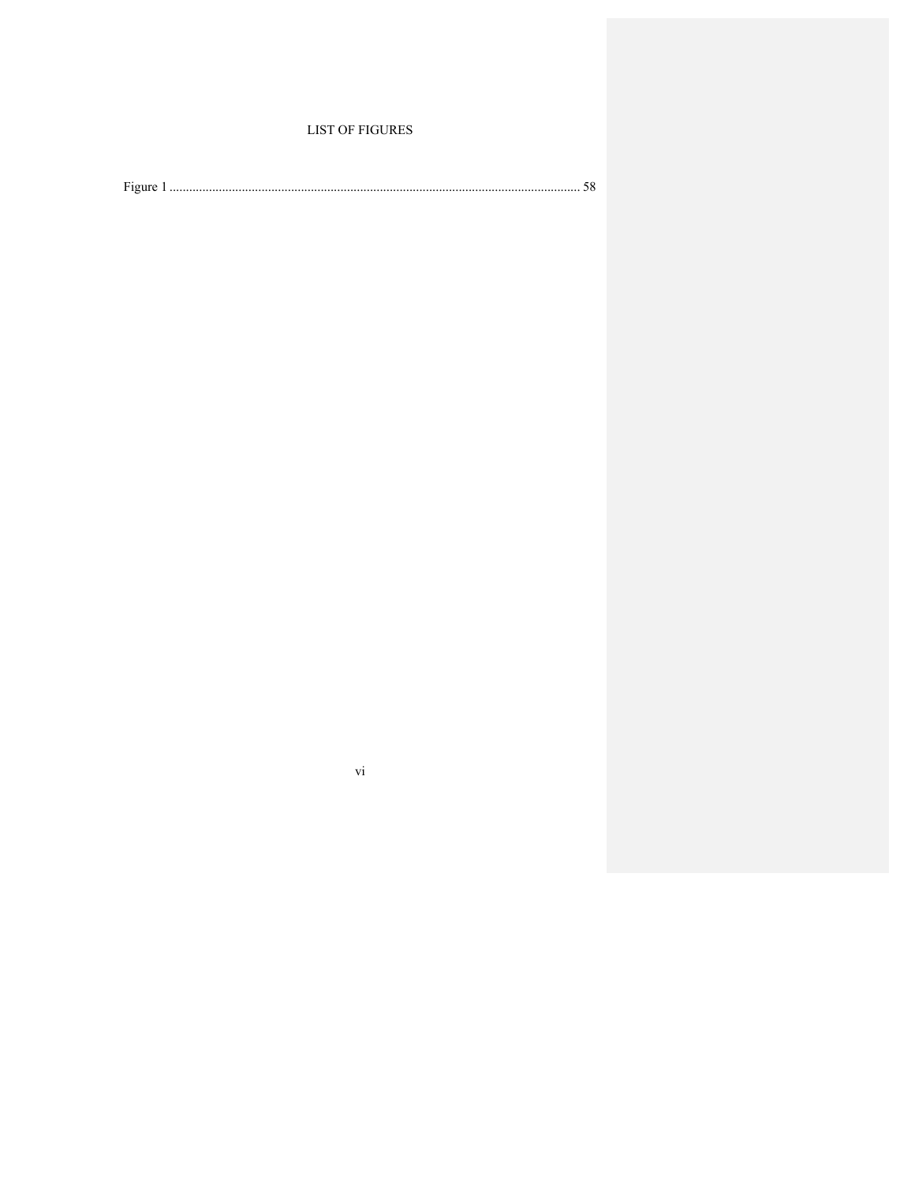## **LIST OF FIGURES**

| $\mathbf{r}$<br>Figure |  |  |  |
|------------------------|--|--|--|
|------------------------|--|--|--|

 $\rm{vi}$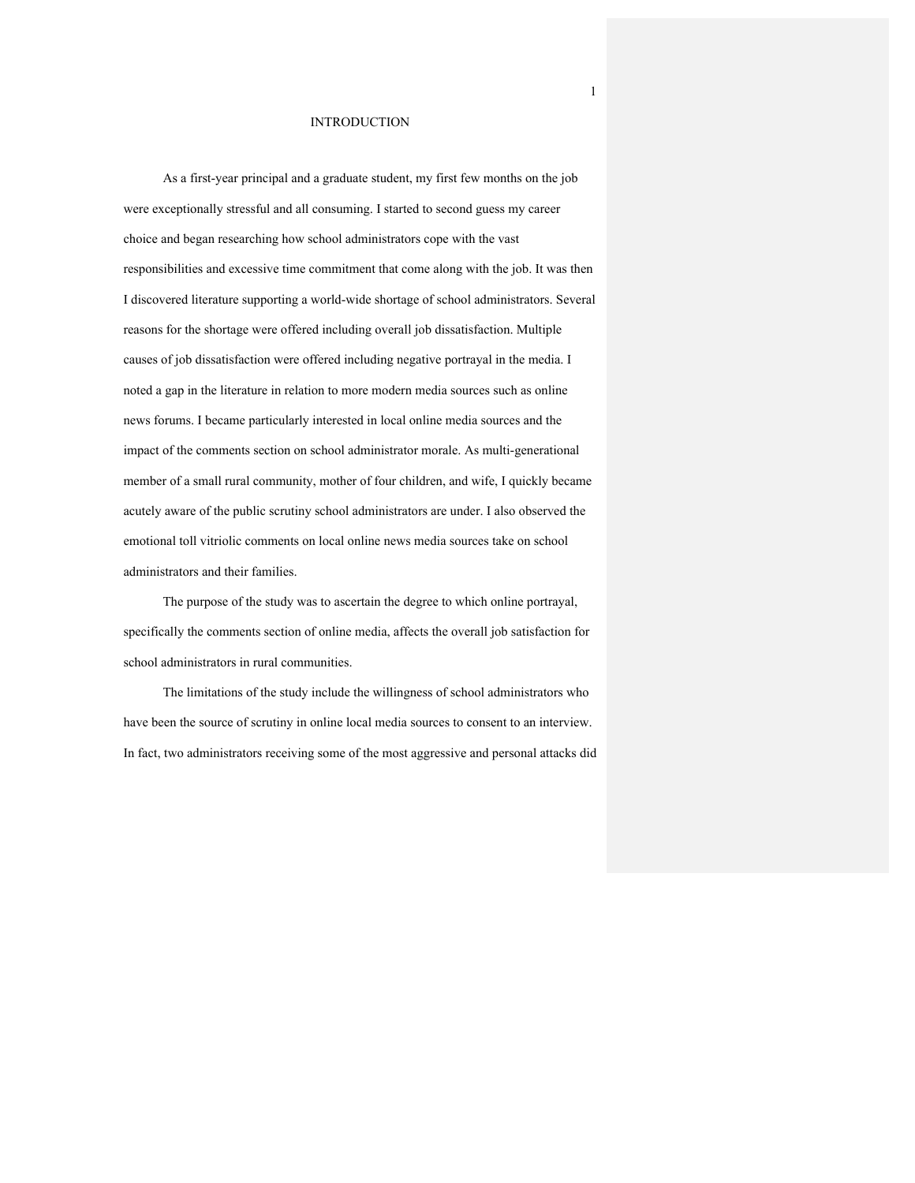#### INTRODUCTION

As a first-year principal and a graduate student, my first few months on the job were exceptionally stressful and all consuming. I started to second guess my career choice and began researching how school administrators cope with the vast responsibilities and excessive time commitment that come along with the job. It was then I discovered literature supporting a world-wide shortage of school administrators. Several reasons for the shortage were offered including overall job dissatisfaction. Multiple causes of job dissatisfaction were offered including negative portrayal in the media. I noted a gap in the literature in relation to more modern media sources such as online news forums. I became particularly interested in local online media sources and the impact of the comments section on school administrator morale. As multi-generational member of a small rural community, mother of four children, and wife, I quickly became acutely aware of the public scrutiny school administrators are under. I also observed the emotional toll vitriolic comments on local online news media sources take on school administrators and their families.

The purpose of the study was to ascertain the degree to which online portrayal, specifically the comments section of online media, affects the overall job satisfaction for school administrators in rural communities.

The limitations of the study include the willingness of school administrators who have been the source of scrutiny in online local media sources to consent to an interview. In fact, two administrators receiving some of the most aggressive and personal attacks did

1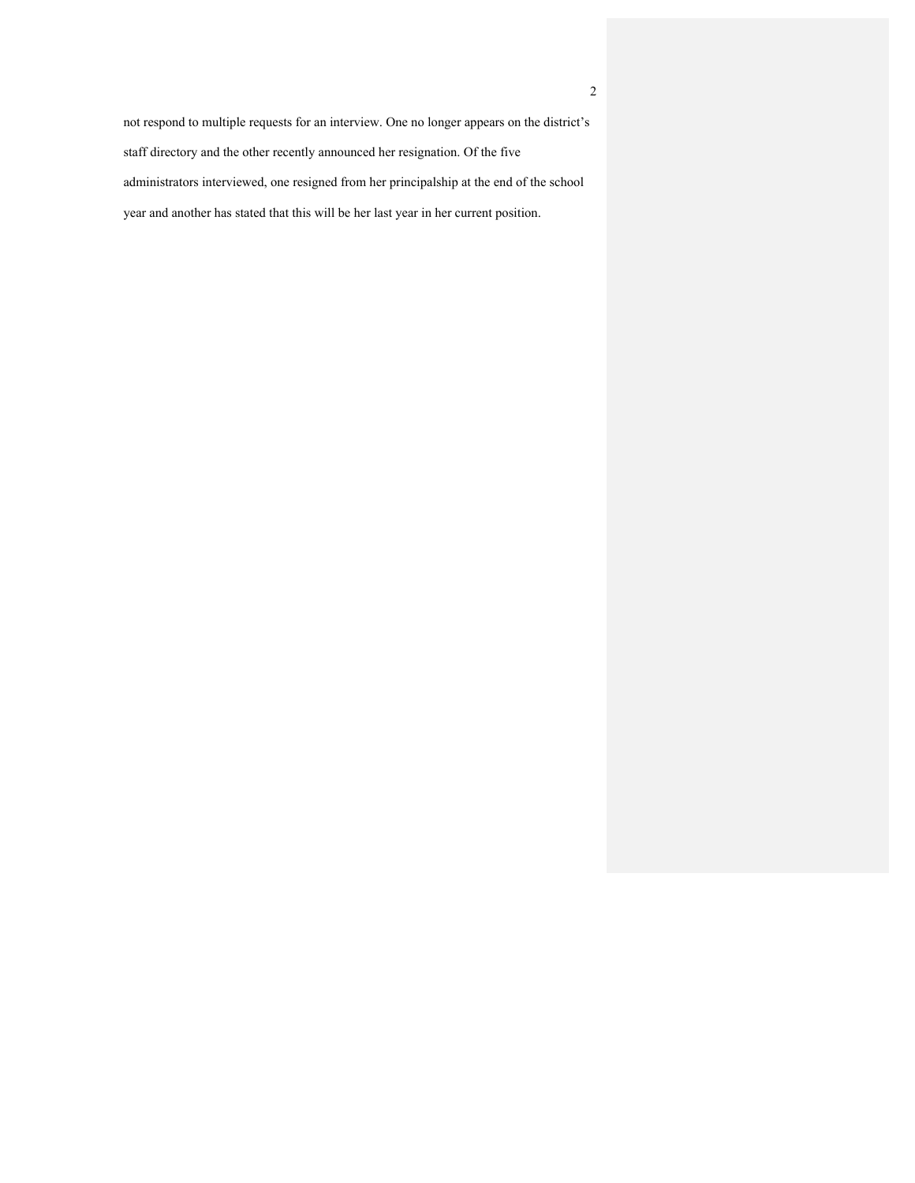2

not respond to multiple requests for an interview. One no longer appears on the district's staff directory and the other recently announced her resignation. Of the five administrators interviewed, one resigned from her principalship at the end of the school year and another has stated that this will be her last year in her current position.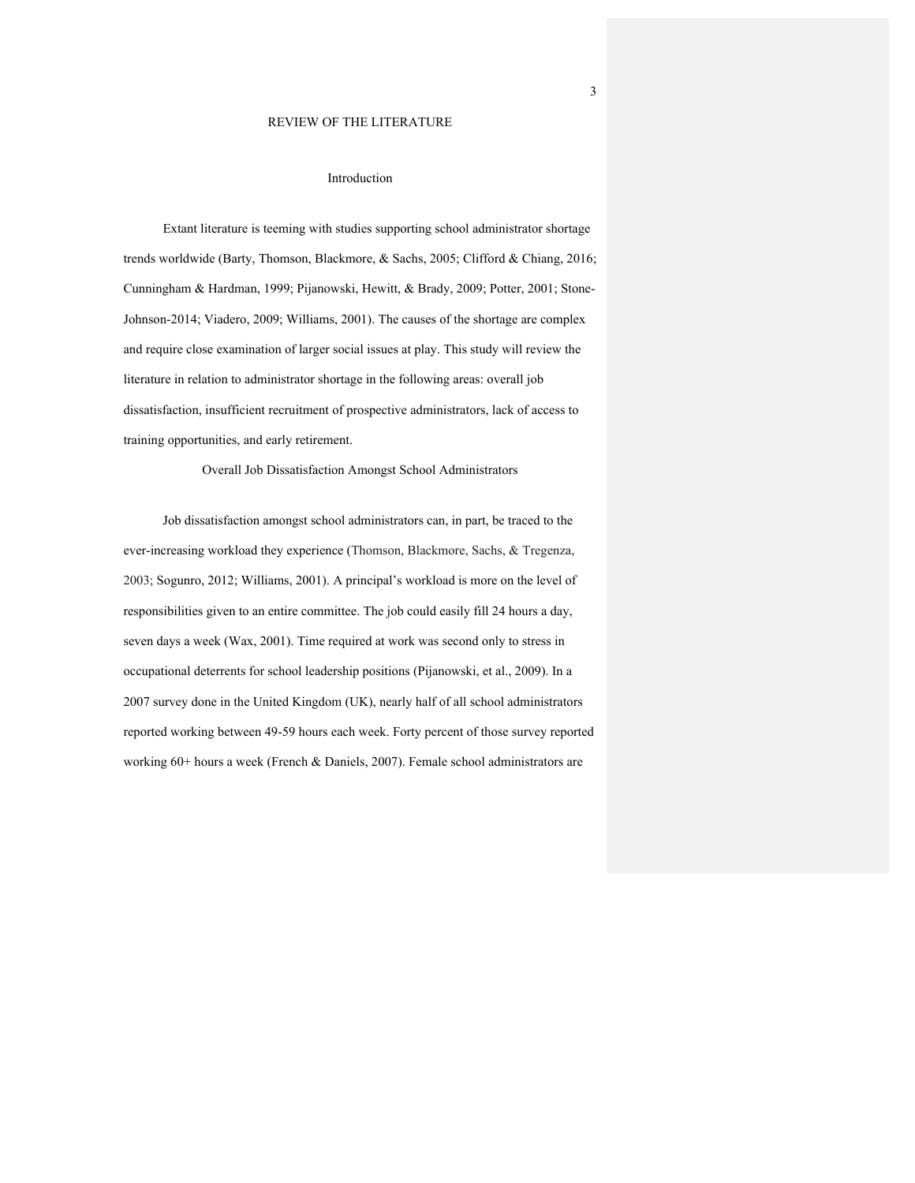#### REVIEW OF THE LITERATURE

#### Introduction

Extant literature is teeming with studies supporting school administrator shortage trends worldwide (Barty, Thomson, Blackmore, & Sachs, 2005; Clifford & Chiang, 2016; Cunningham & Hardman, 1999; Pijanowski, Hewitt, & Brady, 2009; Potter, 2001; Stone-Johnson-2014; Viadero, 2009; Williams, 2001). The causes of the shortage are complex and require close examination of larger social issues at play. This study will review the literature in relation to administrator shortage in the following areas: overall job dissatisfaction, insufficient recruitment of prospective administrators, lack of access to training opportunities, and early retirement.

Overall Job Dissatisfaction Amongst School Administrators

Job dissatisfaction amongst school administrators can, in part, be traced to the ever-increasing workload they experience (Thomson, Blackmore, Sachs, & Tregenza, 2003; Sogunro, 2012; Williams, 2001). A principal's workload is more on the level of responsibilities given to an entire committee. The job could easily fill 24 hours a day, seven days a week (Wax, 2001). Time required at work was second only to stress in occupational deterrents for school leadership positions (Pijanowski, et al., 2009). In a 2007 survey done in the United Kingdom (UK), nearly half of all school administrators reported working between 49-59 hours each week. Forty percent of those survey reported working 60+ hours a week (French & Daniels, 2007). Female school administrators are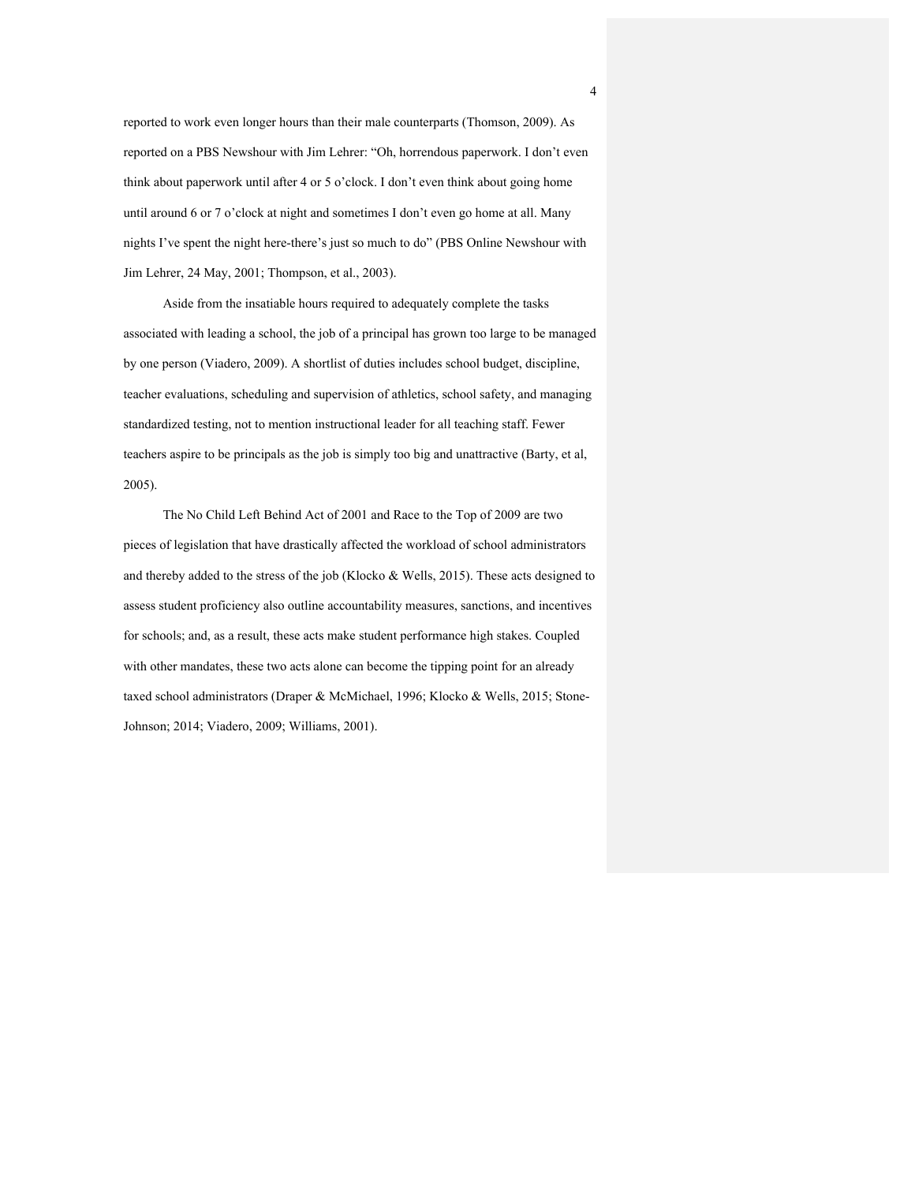reported to work even longer hours than their male counterparts (Thomson, 2009). As reported on a PBS Newshour with Jim Lehrer: "Oh, horrendous paperwork. I don't even think about paperwork until after 4 or 5 o'clock. I don't even think about going home until around 6 or 7 o'clock at night and sometimes I don't even go home at all. Many nights I've spent the night here-there's just so much to do" (PBS Online Newshour with Jim Lehrer, 24 May, 2001; Thompson, et al., 2003).

Aside from the insatiable hours required to adequately complete the tasks associated with leading a school, the job of a principal has grown too large to be managed by one person (Viadero, 2009). A shortlist of duties includes school budget, discipline, teacher evaluations, scheduling and supervision of athletics, school safety, and managing standardized testing, not to mention instructional leader for all teaching staff. Fewer teachers aspire to be principals as the job is simply too big and unattractive (Barty, et al, 2005).

The No Child Left Behind Act of 2001 and Race to the Top of 2009 are two pieces of legislation that have drastically affected the workload of school administrators and thereby added to the stress of the job (Klocko & Wells, 2015). These acts designed to assess student proficiency also outline accountability measures, sanctions, and incentives for schools; and, as a result, these acts make student performance high stakes. Coupled with other mandates, these two acts alone can become the tipping point for an already taxed school administrators (Draper & McMichael, 1996; Klocko & Wells, 2015; Stone-Johnson; 2014; Viadero, 2009; Williams, 2001).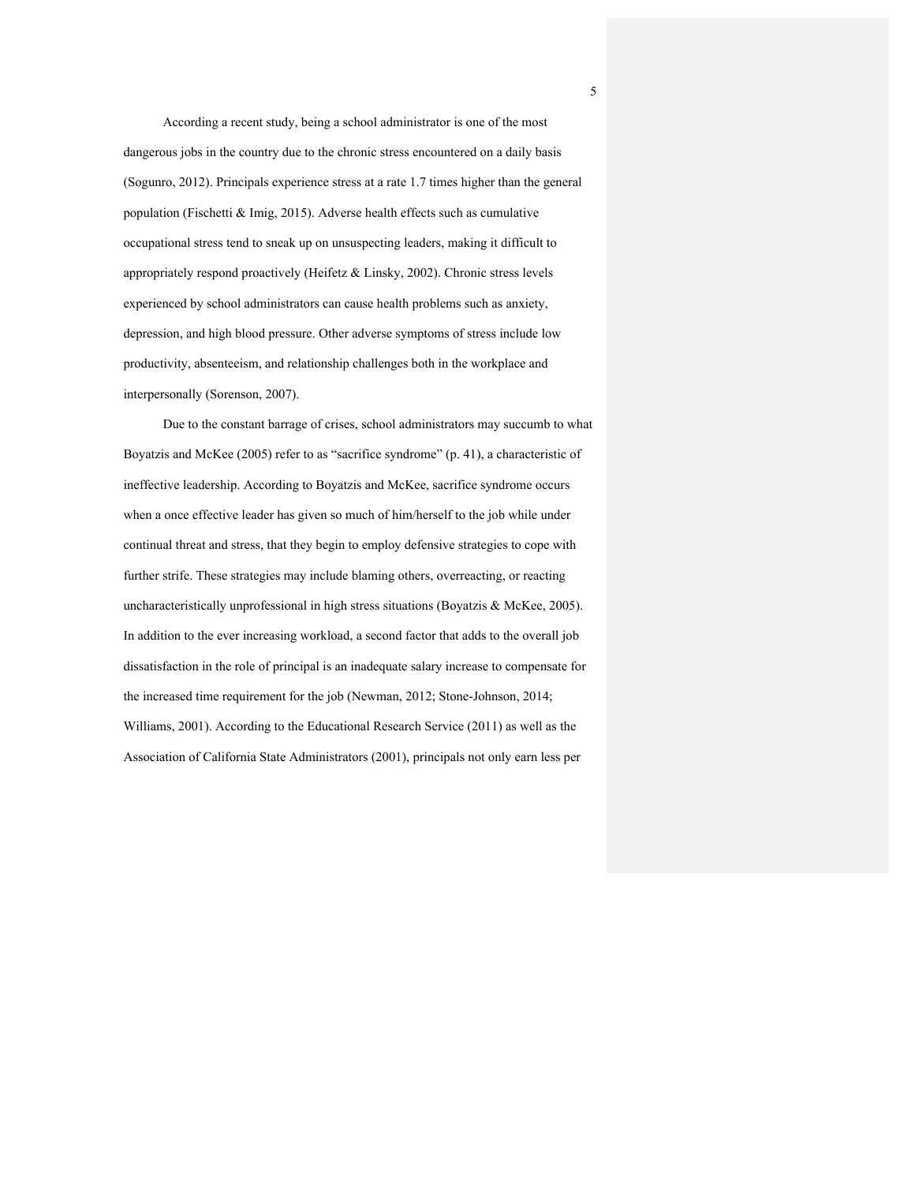According a recent study, being a school administrator is one of the most dangerous jobs in the country due to the chronic stress encountered on a daily basis (Sogunro, 2012). Principals experience stress at a rate 1.7 times higher than the general population (Fischetti & Imig, 2015). Adverse health effects such as cumulative occupational stress tend to sneak up on unsuspecting leaders, making it difficult to appropriately respond proactively (Heifetz & Linsky, 2002). Chronic stress levels experienced by school administrators can cause health problems such as anxiety, depression, and high blood pressure. Other adverse symptoms of stress include low productivity, absenteeism, and relationship challenges both in the workplace and interpersonally (Sorenson, 2007).

Due to the constant barrage of crises, school administrators may succumb to what Boyatzis and McKee (2005) refer to as "sacrifice syndrome" (p. 41), a characteristic of ineffective leadership. According to Boyatzis and McKee, sacrifice syndrome occurs when a once effective leader has given so much of him/herself to the job while under continual threat and stress, that they begin to employ defensive strategies to cope with further strife. These strategies may include blaming others, overreacting, or reacting uncharacteristically unprofessional in high stress situations (Boyatzis & McKee, 2005). In addition to the ever increasing workload, a second factor that adds to the overall job dissatisfaction in the role of principal is an inadequate salary increase to compensate for the increased time requirement for the job (Newman, 2012; Stone-Johnson, 2014; Williams, 2001). According to the Educational Research Service (2011) as well as the Association of California State Administrators (2001), principals not only earn less per

5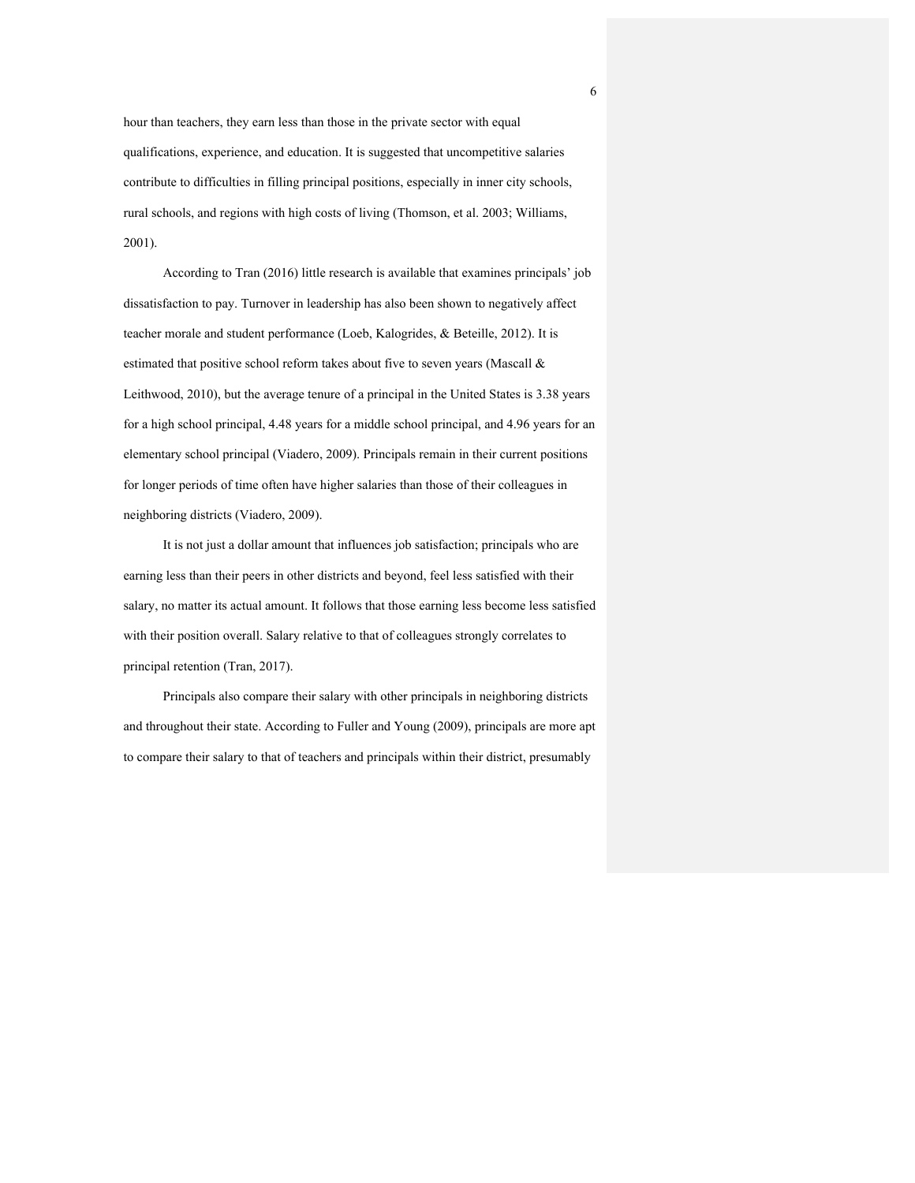hour than teachers, they earn less than those in the private sector with equal qualifications, experience, and education. It is suggested that uncompetitive salaries contribute to difficulties in filling principal positions, especially in inner city schools, rural schools, and regions with high costs of living (Thomson, et al. 2003; Williams, 2001).

According to Tran (2016) little research is available that examines principals' job dissatisfaction to pay. Turnover in leadership has also been shown to negatively affect teacher morale and student performance (Loeb, Kalogrides, & Beteille, 2012). It is estimated that positive school reform takes about five to seven years (Mascall & Leithwood, 2010), but the average tenure of a principal in the United States is 3.38 years for a high school principal, 4.48 years for a middle school principal, and 4.96 years for an elementary school principal (Viadero, 2009). Principals remain in their current positions for longer periods of time often have higher salaries than those of their colleagues in neighboring districts (Viadero, 2009).

It is not just a dollar amount that influences job satisfaction; principals who are earning less than their peers in other districts and beyond, feel less satisfied with their salary, no matter its actual amount. It follows that those earning less become less satisfied with their position overall. Salary relative to that of colleagues strongly correlates to principal retention (Tran, 2017).

Principals also compare their salary with other principals in neighboring districts and throughout their state. According to Fuller and Young (2009), principals are more apt to compare their salary to that of teachers and principals within their district, presumably

6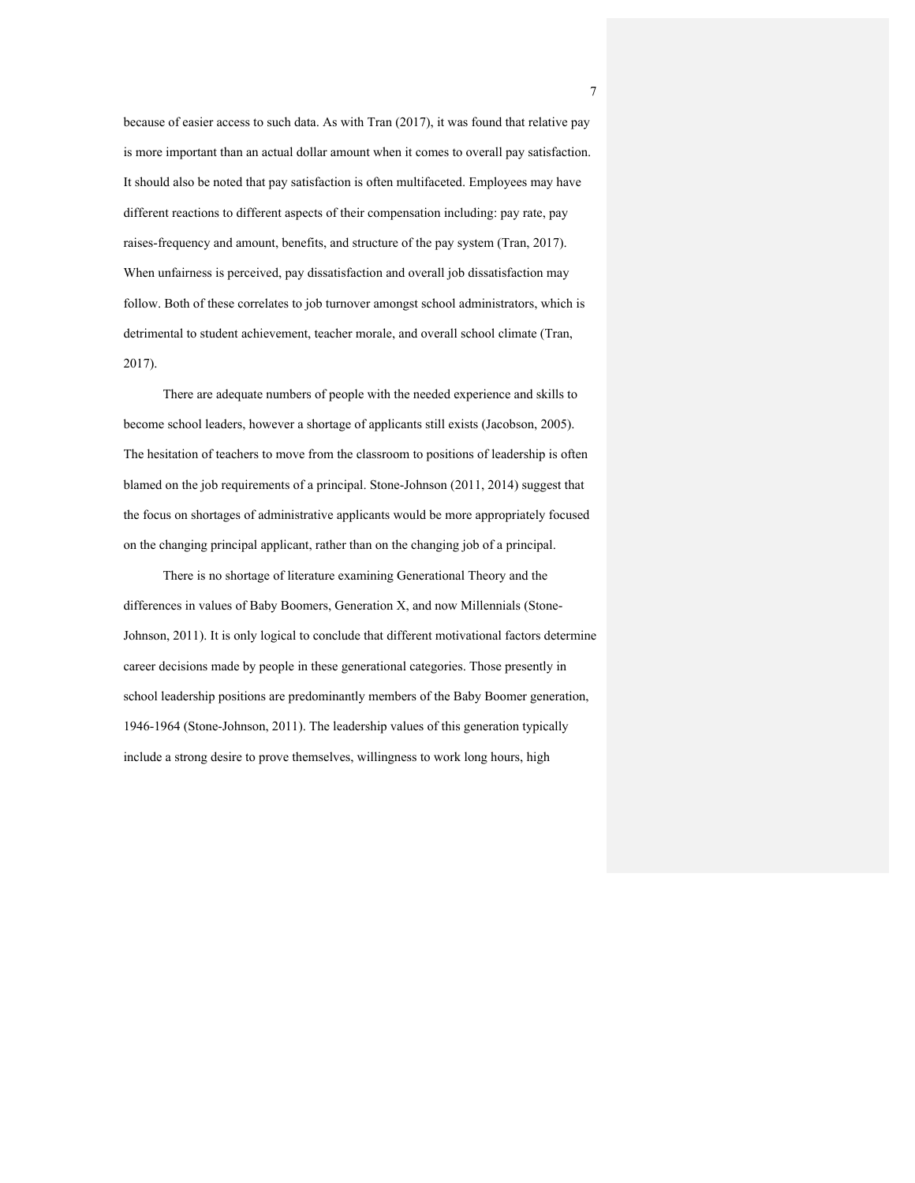because of easier access to such data. As with Tran (2017), it was found that relative pay is more important than an actual dollar amount when it comes to overall pay satisfaction. It should also be noted that pay satisfaction is often multifaceted. Employees may have different reactions to different aspects of their compensation including: pay rate, pay raises-frequency and amount, benefits, and structure of the pay system (Tran, 2017). When unfairness is perceived, pay dissatisfaction and overall job dissatisfaction may follow. Both of these correlates to job turnover amongst school administrators, which is detrimental to student achievement, teacher morale, and overall school climate (Tran, 2017).

There are adequate numbers of people with the needed experience and skills to become school leaders, however a shortage of applicants still exists (Jacobson, 2005). The hesitation of teachers to move from the classroom to positions of leadership is often blamed on the job requirements of a principal. Stone-Johnson (2011, 2014) suggest that the focus on shortages of administrative applicants would be more appropriately focused on the changing principal applicant, rather than on the changing job of a principal.

There is no shortage of literature examining Generational Theory and the differences in values of Baby Boomers, Generation X, and now Millennials (Stone-Johnson, 2011). It is only logical to conclude that different motivational factors determine career decisions made by people in these generational categories. Those presently in school leadership positions are predominantly members of the Baby Boomer generation, 1946-1964 (Stone-Johnson, 2011). The leadership values of this generation typically include a strong desire to prove themselves, willingness to work long hours, high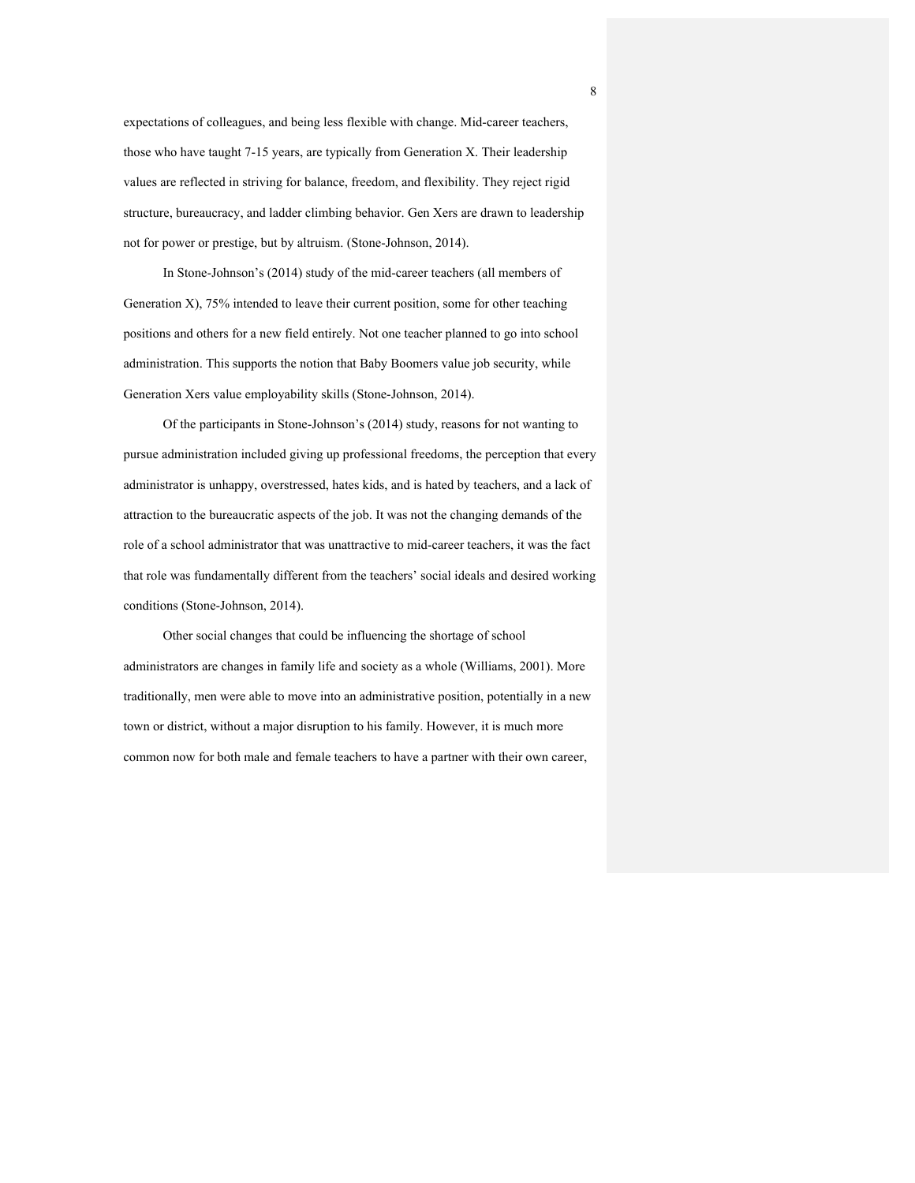expectations of colleagues, and being less flexible with change. Mid-career teachers, those who have taught 7-15 years, are typically from Generation X. Their leadership values are reflected in striving for balance, freedom, and flexibility. They reject rigid structure, bureaucracy, and ladder climbing behavior. Gen Xers are drawn to leadership not for power or prestige, but by altruism. (Stone-Johnson, 2014).

In Stone-Johnson's (2014) study of the mid-career teachers (all members of Generation X), 75% intended to leave their current position, some for other teaching positions and others for a new field entirely. Not one teacher planned to go into school administration. This supports the notion that Baby Boomers value job security, while Generation Xers value employability skills (Stone-Johnson, 2014).

Of the participants in Stone-Johnson's (2014) study, reasons for not wanting to pursue administration included giving up professional freedoms, the perception that every administrator is unhappy, overstressed, hates kids, and is hated by teachers, and a lack of attraction to the bureaucratic aspects of the job. It was not the changing demands of the role of a school administrator that was unattractive to mid-career teachers, it was the fact that role was fundamentally different from the teachers' social ideals and desired working conditions (Stone-Johnson, 2014).

Other social changes that could be influencing the shortage of school administrators are changes in family life and society as a whole (Williams, 2001). More traditionally, men were able to move into an administrative position, potentially in a new town or district, without a major disruption to his family. However, it is much more common now for both male and female teachers to have a partner with their own career,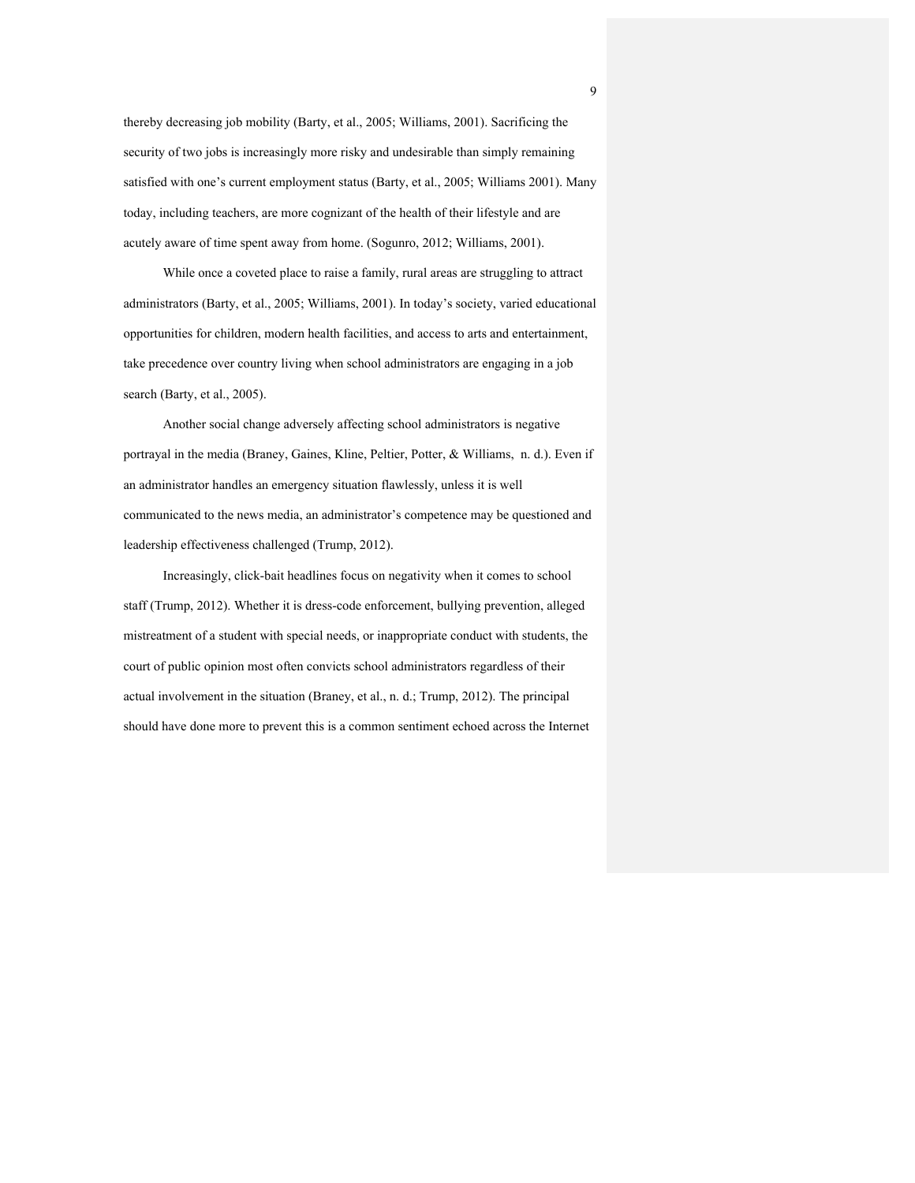thereby decreasing job mobility (Barty, et al., 2005; Williams, 2001). Sacrificing the security of two jobs is increasingly more risky and undesirable than simply remaining satisfied with one's current employment status (Barty, et al., 2005; Williams 2001). Many today, including teachers, are more cognizant of the health of their lifestyle and are acutely aware of time spent away from home. (Sogunro, 2012; Williams, 2001).

While once a coveted place to raise a family, rural areas are struggling to attract administrators (Barty, et al., 2005; Williams, 2001). In today's society, varied educational opportunities for children, modern health facilities, and access to arts and entertainment, take precedence over country living when school administrators are engaging in a job search (Barty, et al., 2005).

Another social change adversely affecting school administrators is negative portrayal in the media (Braney, Gaines, Kline, Peltier, Potter, & Williams, n. d.). Even if an administrator handles an emergency situation flawlessly, unless it is well communicated to the news media, an administrator's competence may be questioned and leadership effectiveness challenged (Trump, 2012).

Increasingly, click-bait headlines focus on negativity when it comes to school staff (Trump, 2012). Whether it is dress-code enforcement, bullying prevention, alleged mistreatment of a student with special needs, or inappropriate conduct with students, the court of public opinion most often convicts school administrators regardless of their actual involvement in the situation (Braney, et al., n. d.; Trump, 2012). The principal should have done more to prevent this is a common sentiment echoed across the Internet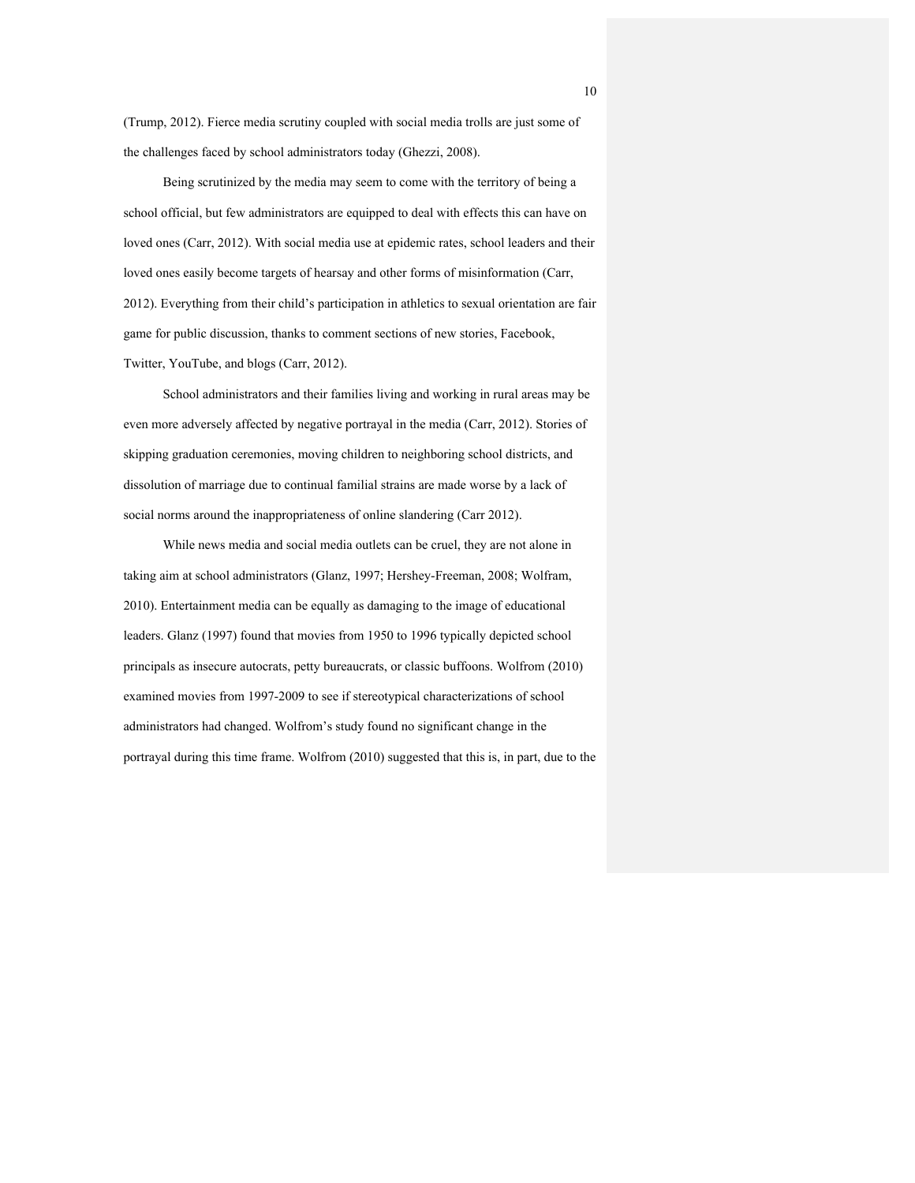(Trump, 2012). Fierce media scrutiny coupled with social media trolls are just some of the challenges faced by school administrators today (Ghezzi, 2008).

Being scrutinized by the media may seem to come with the territory of being a school official, but few administrators are equipped to deal with effects this can have on loved ones (Carr, 2012). With social media use at epidemic rates, school leaders and their loved ones easily become targets of hearsay and other forms of misinformation (Carr, 2012). Everything from their child's participation in athletics to sexual orientation are fair game for public discussion, thanks to comment sections of new stories, Facebook, Twitter, YouTube, and blogs (Carr, 2012).

School administrators and their families living and working in rural areas may be even more adversely affected by negative portrayal in the media (Carr, 2012). Stories of skipping graduation ceremonies, moving children to neighboring school districts, and dissolution of marriage due to continual familial strains are made worse by a lack of social norms around the inappropriateness of online slandering (Carr 2012).

While news media and social media outlets can be cruel, they are not alone in taking aim at school administrators (Glanz, 1997; Hershey-Freeman, 2008; Wolfram, 2010). Entertainment media can be equally as damaging to the image of educational leaders. Glanz (1997) found that movies from 1950 to 1996 typically depicted school principals as insecure autocrats, petty bureaucrats, or classic buffoons. Wolfrom (2010) examined movies from 1997-2009 to see if stereotypical characterizations of school administrators had changed. Wolfrom's study found no significant change in the portrayal during this time frame. Wolfrom (2010) suggested that this is, in part, due to the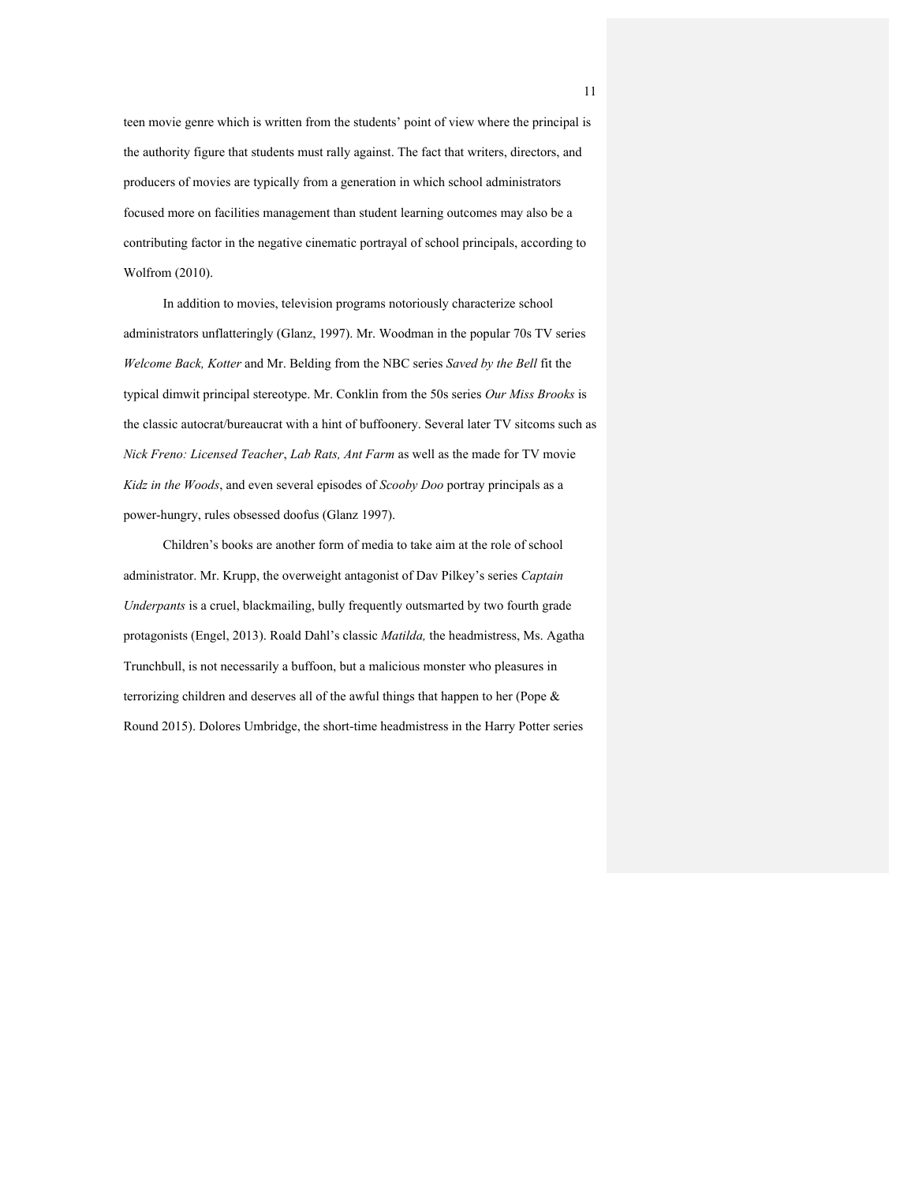teen movie genre which is written from the students' point of view where the principal is the authority figure that students must rally against. The fact that writers, directors, and producers of movies are typically from a generation in which school administrators focused more on facilities management than student learning outcomes may also be a contributing factor in the negative cinematic portrayal of school principals, according to Wolfrom (2010).

In addition to movies, television programs notoriously characterize school administrators unflatteringly (Glanz, 1997). Mr. Woodman in the popular 70s TV series *Welcome Back, Kotter* and Mr. Belding from the NBC series *Saved by the Bell* fit the typical dimwit principal stereotype. Mr. Conklin from the 50s series *Our Miss Brooks* is the classic autocrat/bureaucrat with a hint of buffoonery. Several later TV sitcoms such as *Nick Freno: Licensed Teacher*, *Lab Rats, Ant Farm* as well as the made for TV movie *Kidz in the Woods*, and even several episodes of *Scooby Doo* portray principals as a power-hungry, rules obsessed doofus (Glanz 1997).

Children's books are another form of media to take aim at the role of school administrator. Mr. Krupp, the overweight antagonist of Dav Pilkey's series *Captain Underpants* is a cruel, blackmailing, bully frequently outsmarted by two fourth grade protagonists (Engel, 2013). Roald Dahl's classic *Matilda,* the headmistress, Ms. Agatha Trunchbull, is not necessarily a buffoon, but a malicious monster who pleasures in terrorizing children and deserves all of the awful things that happen to her (Pope & Round 2015). Dolores Umbridge, the short-time headmistress in the Harry Potter series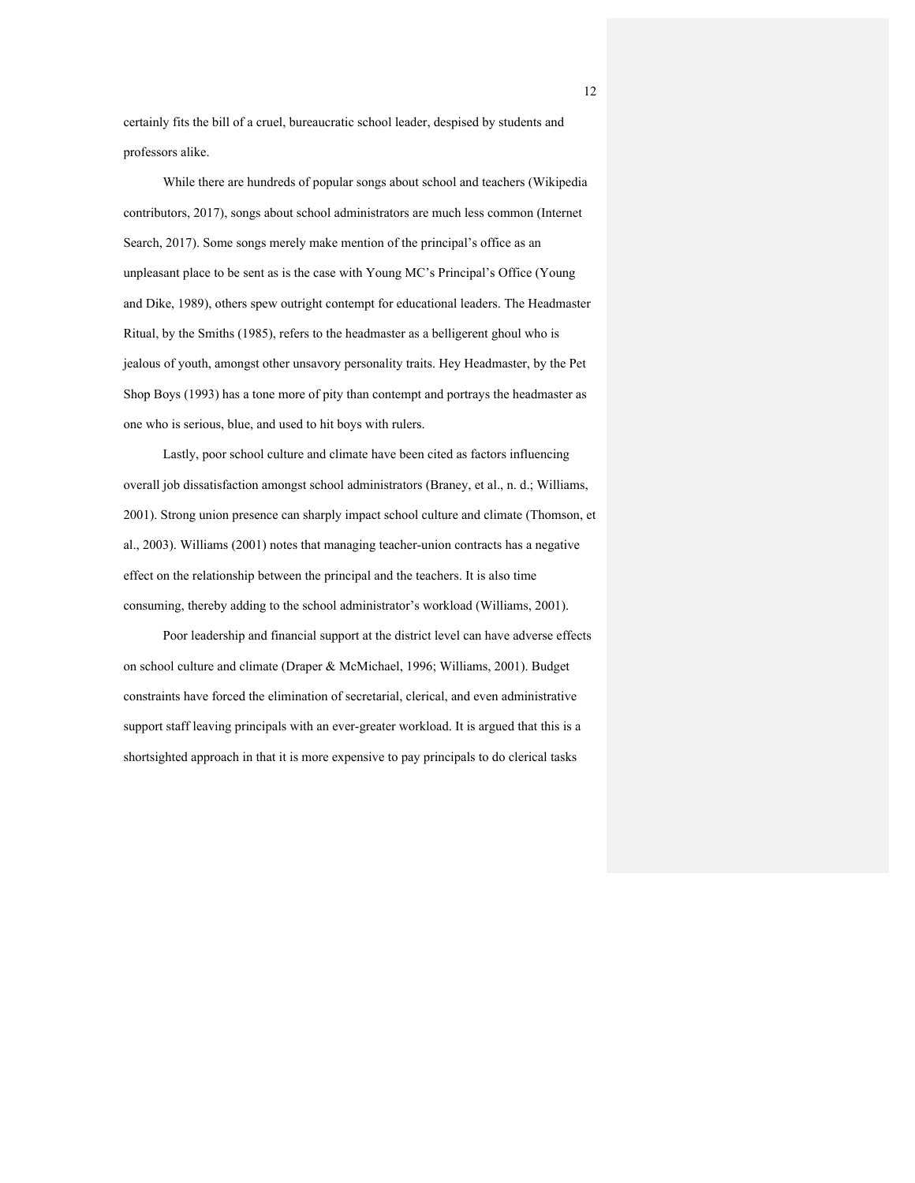certainly fits the bill of a cruel, bureaucratic school leader, despised by students and professors alike.

While there are hundreds of popular songs about school and teachers (Wikipedia contributors, 2017), songs about school administrators are much less common (Internet Search, 2017). Some songs merely make mention of the principal's office as an unpleasant place to be sent as is the case with Young MC's Principal's Office (Young and Dike, 1989), others spew outright contempt for educational leaders. The Headmaster Ritual, by the Smiths (1985), refers to the headmaster as a belligerent ghoul who is jealous of youth, amongst other unsavory personality traits. Hey Headmaster, by the Pet Shop Boys (1993) has a tone more of pity than contempt and portrays the headmaster as one who is serious, blue, and used to hit boys with rulers.

Lastly, poor school culture and climate have been cited as factors influencing overall job dissatisfaction amongst school administrators (Braney, et al., n. d.; Williams, 2001). Strong union presence can sharply impact school culture and climate (Thomson, et al., 2003). Williams (2001) notes that managing teacher-union contracts has a negative effect on the relationship between the principal and the teachers. It is also time consuming, thereby adding to the school administrator's workload (Williams, 2001).

Poor leadership and financial support at the district level can have adverse effects on school culture and climate (Draper & McMichael, 1996; Williams, 2001). Budget constraints have forced the elimination of secretarial, clerical, and even administrative support staff leaving principals with an ever-greater workload. It is argued that this is a shortsighted approach in that it is more expensive to pay principals to do clerical tasks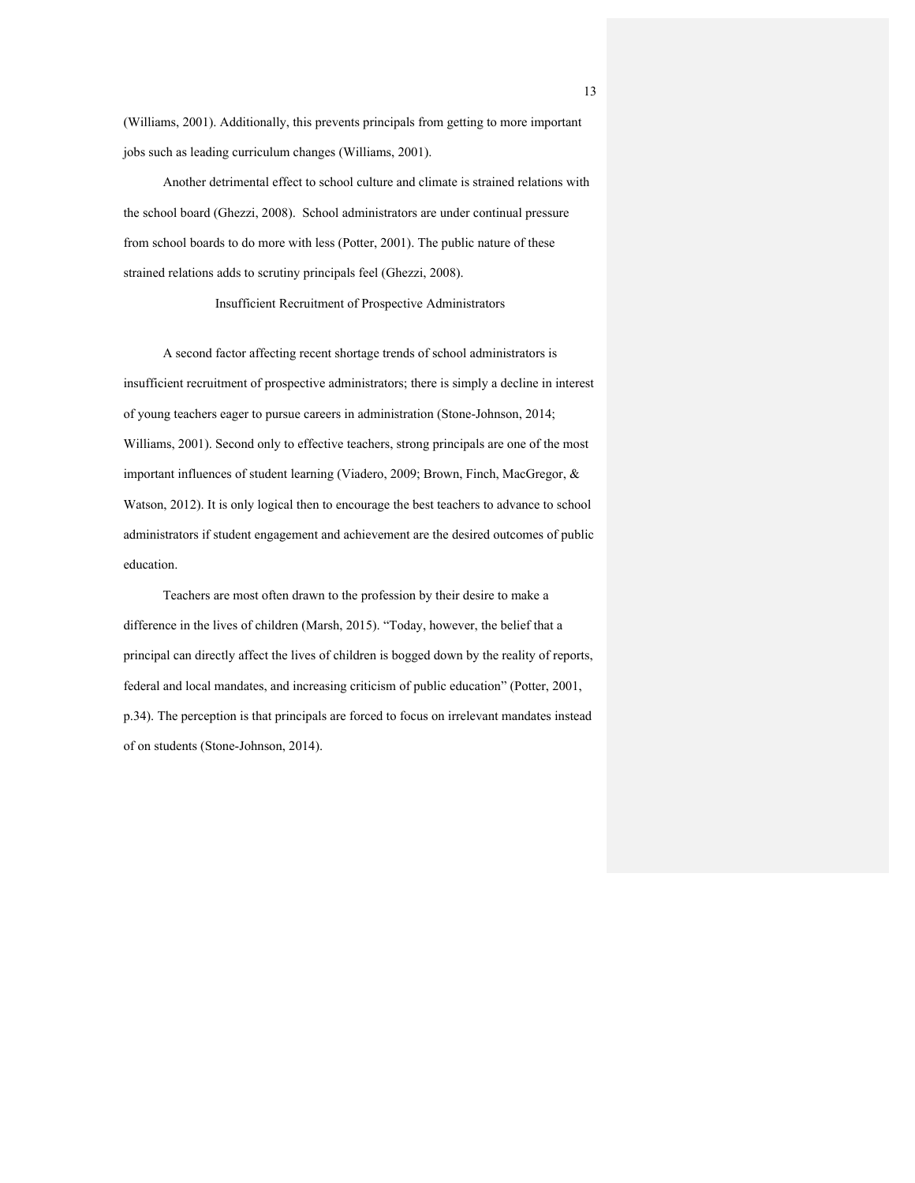(Williams, 2001). Additionally, this prevents principals from getting to more important jobs such as leading curriculum changes (Williams, 2001).

Another detrimental effect to school culture and climate is strained relations with the school board (Ghezzi, 2008). School administrators are under continual pressure from school boards to do more with less (Potter, 2001). The public nature of these strained relations adds to scrutiny principals feel (Ghezzi, 2008).

#### Insufficient Recruitment of Prospective Administrators

A second factor affecting recent shortage trends of school administrators is insufficient recruitment of prospective administrators; there is simply a decline in interest of young teachers eager to pursue careers in administration (Stone-Johnson, 2014; Williams, 2001). Second only to effective teachers, strong principals are one of the most important influences of student learning (Viadero, 2009; Brown, Finch, MacGregor, & Watson, 2012). It is only logical then to encourage the best teachers to advance to school administrators if student engagement and achievement are the desired outcomes of public education.

Teachers are most often drawn to the profession by their desire to make a difference in the lives of children (Marsh, 2015). "Today, however, the belief that a principal can directly affect the lives of children is bogged down by the reality of reports, federal and local mandates, and increasing criticism of public education" (Potter, 2001, p.34). The perception is that principals are forced to focus on irrelevant mandates instead of on students (Stone-Johnson, 2014).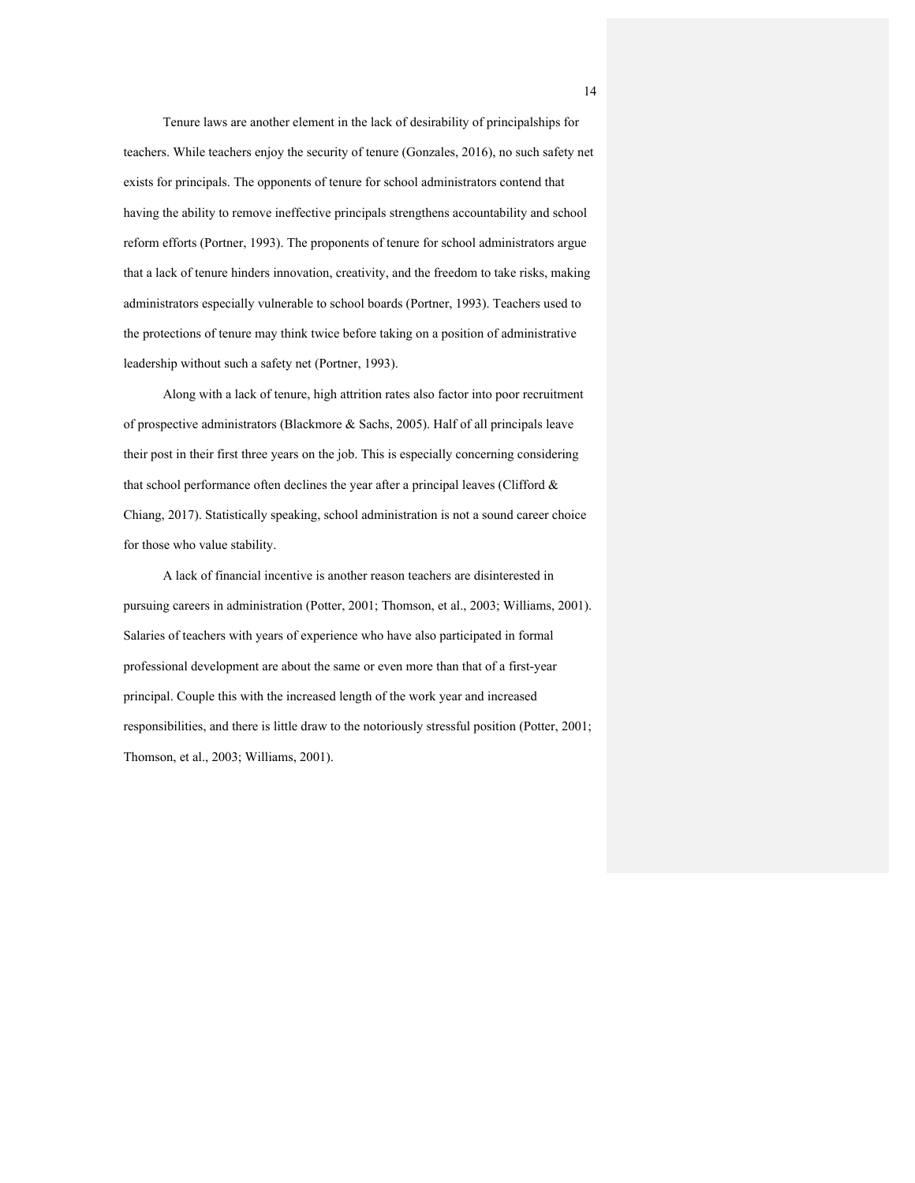Tenure laws are another element in the lack of desirability of principalships for teachers. While teachers enjoy the security of tenure (Gonzales, 2016), no such safety net exists for principals. The opponents of tenure for school administrators contend that having the ability to remove ineffective principals strengthens accountability and school reform efforts (Portner, 1993). The proponents of tenure for school administrators argue that a lack of tenure hinders innovation, creativity, and the freedom to take risks, making administrators especially vulnerable to school boards (Portner, 1993). Teachers used to the protections of tenure may think twice before taking on a position of administrative leadership without such a safety net (Portner, 1993).

Along with a lack of tenure, high attrition rates also factor into poor recruitment of prospective administrators (Blackmore & Sachs, 2005). Half of all principals leave their post in their first three years on the job. This is especially concerning considering that school performance often declines the year after a principal leaves (Clifford & Chiang, 2017). Statistically speaking, school administration is not a sound career choice for those who value stability.

A lack of financial incentive is another reason teachers are disinterested in pursuing careers in administration (Potter, 2001; Thomson, et al., 2003; Williams, 2001). Salaries of teachers with years of experience who have also participated in formal professional development are about the same or even more than that of a first-year principal. Couple this with the increased length of the work year and increased responsibilities, and there is little draw to the notoriously stressful position (Potter, 2001; Thomson, et al., 2003; Williams, 2001).

14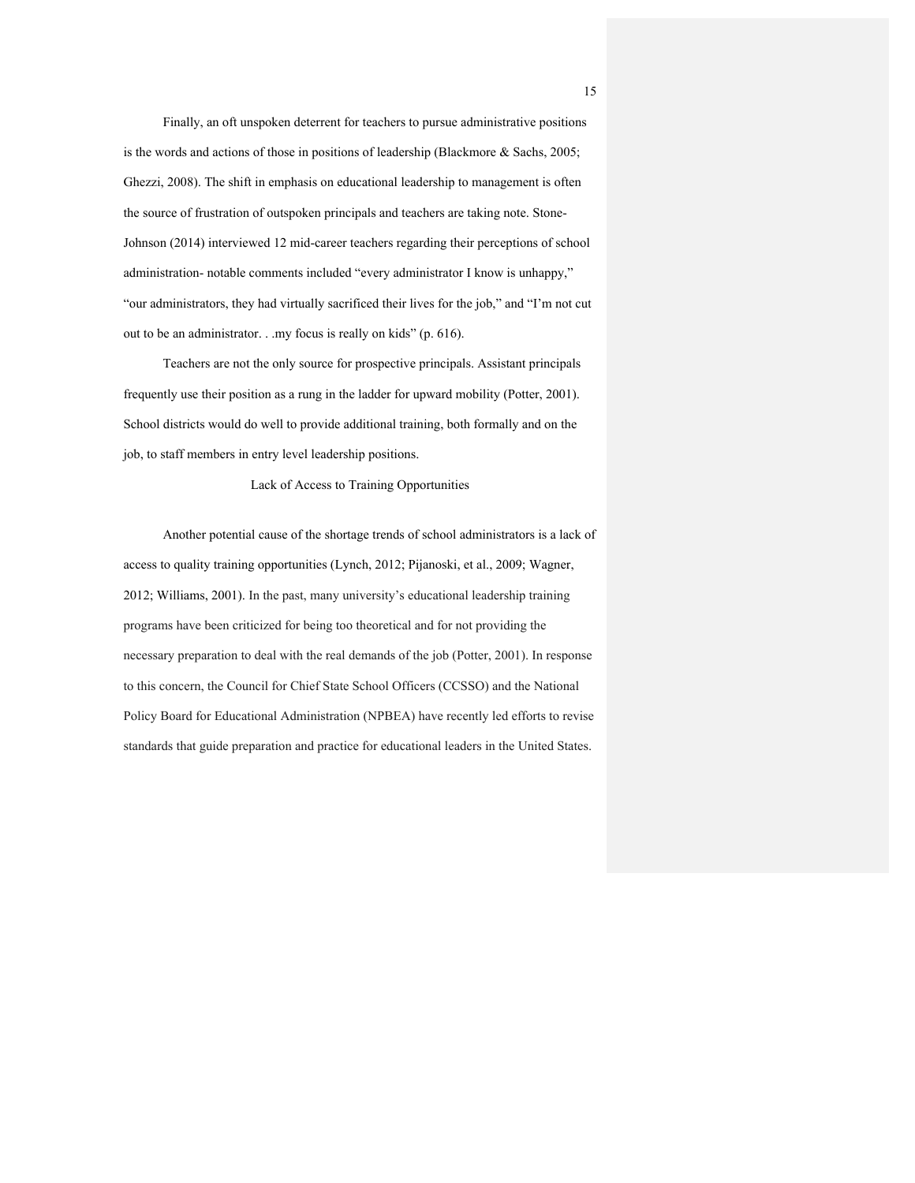Finally, an oft unspoken deterrent for teachers to pursue administrative positions is the words and actions of those in positions of leadership (Blackmore & Sachs, 2005; Ghezzi, 2008). The shift in emphasis on educational leadership to management is often the source of frustration of outspoken principals and teachers are taking note. Stone-Johnson (2014) interviewed 12 mid-career teachers regarding their perceptions of school administration- notable comments included "every administrator I know is unhappy," "our administrators, they had virtually sacrificed their lives for the job," and "I'm not cut out to be an administrator. . .my focus is really on kids" (p. 616).

Teachers are not the only source for prospective principals. Assistant principals frequently use their position as a rung in the ladder for upward mobility (Potter, 2001). School districts would do well to provide additional training, both formally and on the job, to staff members in entry level leadership positions.

## Lack of Access to Training Opportunities

Another potential cause of the shortage trends of school administrators is a lack of access to quality training opportunities (Lynch, 2012; Pijanoski, et al., 2009; Wagner, 2012; Williams, 2001). In the past, many university's educational leadership training programs have been criticized for being too theoretical and for not providing the necessary preparation to deal with the real demands of the job (Potter, 2001). In response to this concern, the Council for Chief State School Officers (CCSSO) and the National Policy Board for Educational Administration (NPBEA) have recently led efforts to revise standards that guide preparation and practice for educational leaders in the United States.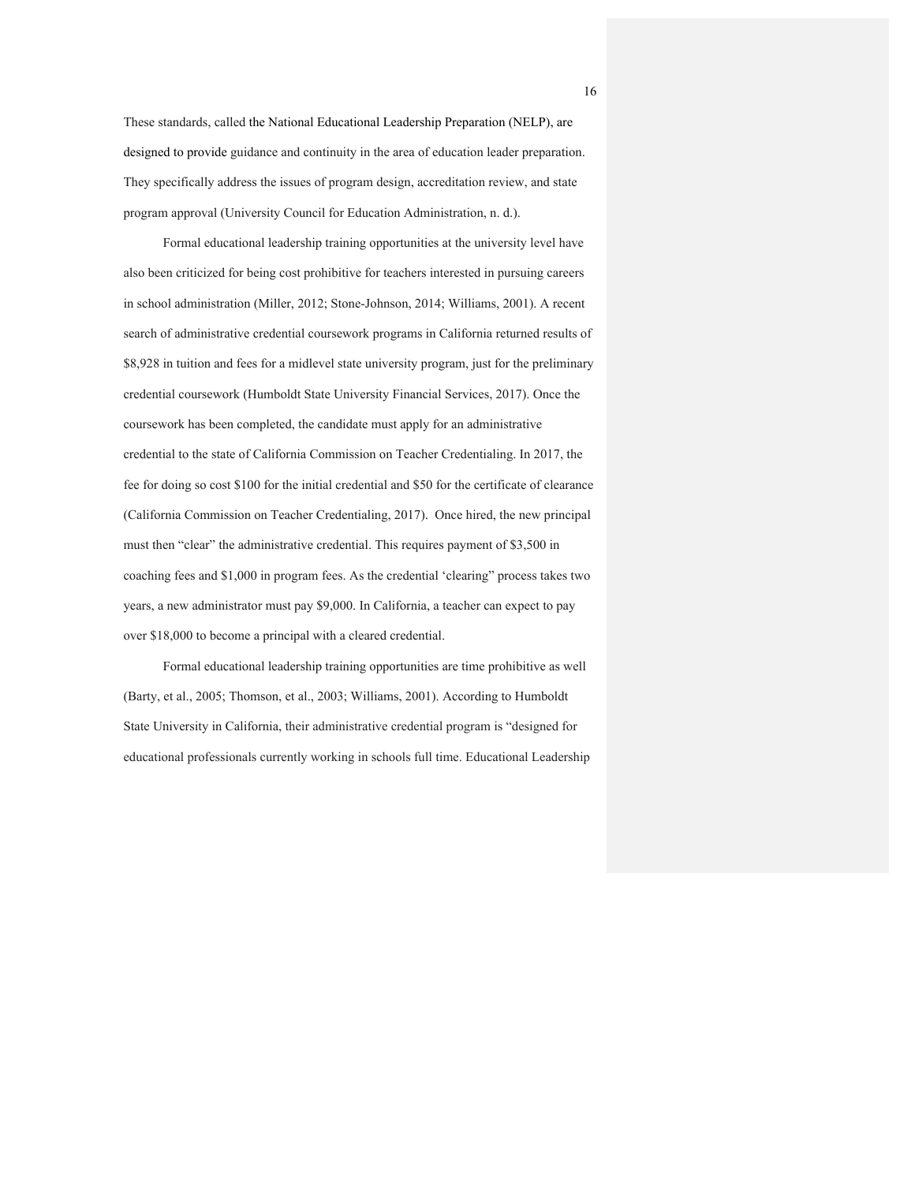These standards, called the National Educational Leadership Preparation (NELP), are designed to provide guidance and continuity in the area of education leader preparation. They specifically address the issues of program design, accreditation review, and state program approval (University Council for Education Administration, n. d.).

Formal educational leadership training opportunities at the university level have also been criticized for being cost prohibitive for teachers interested in pursuing careers in school administration (Miller, 2012; Stone-Johnson, 2014; Williams, 2001). A recent search of administrative credential coursework programs in California returned results of \$8,928 in tuition and fees for a midlevel state university program, just for the preliminary credential coursework (Humboldt State University Financial Services, 2017). Once the coursework has been completed, the candidate must apply for an administrative credential to the state of California Commission on Teacher Credentialing. In 2017, the fee for doing so cost \$100 for the initial credential and \$50 for the certificate of clearance (California Commission on Teacher Credentialing, 2017). Once hired, the new principal must then "clear" the administrative credential. This requires payment of \$3,500 in coaching fees and \$1,000 in program fees. As the credential 'clearing" process takes two years, a new administrator must pay \$9,000. In California, a teacher can expect to pay over \$18,000 to become a principal with a cleared credential.

Formal educational leadership training opportunities are time prohibitive as well (Barty, et al., 2005; Thomson, et al., 2003; Williams, 2001). According to Humboldt State University in California, their administrative credential program is "designed for educational professionals currently working in schools full time. Educational Leadership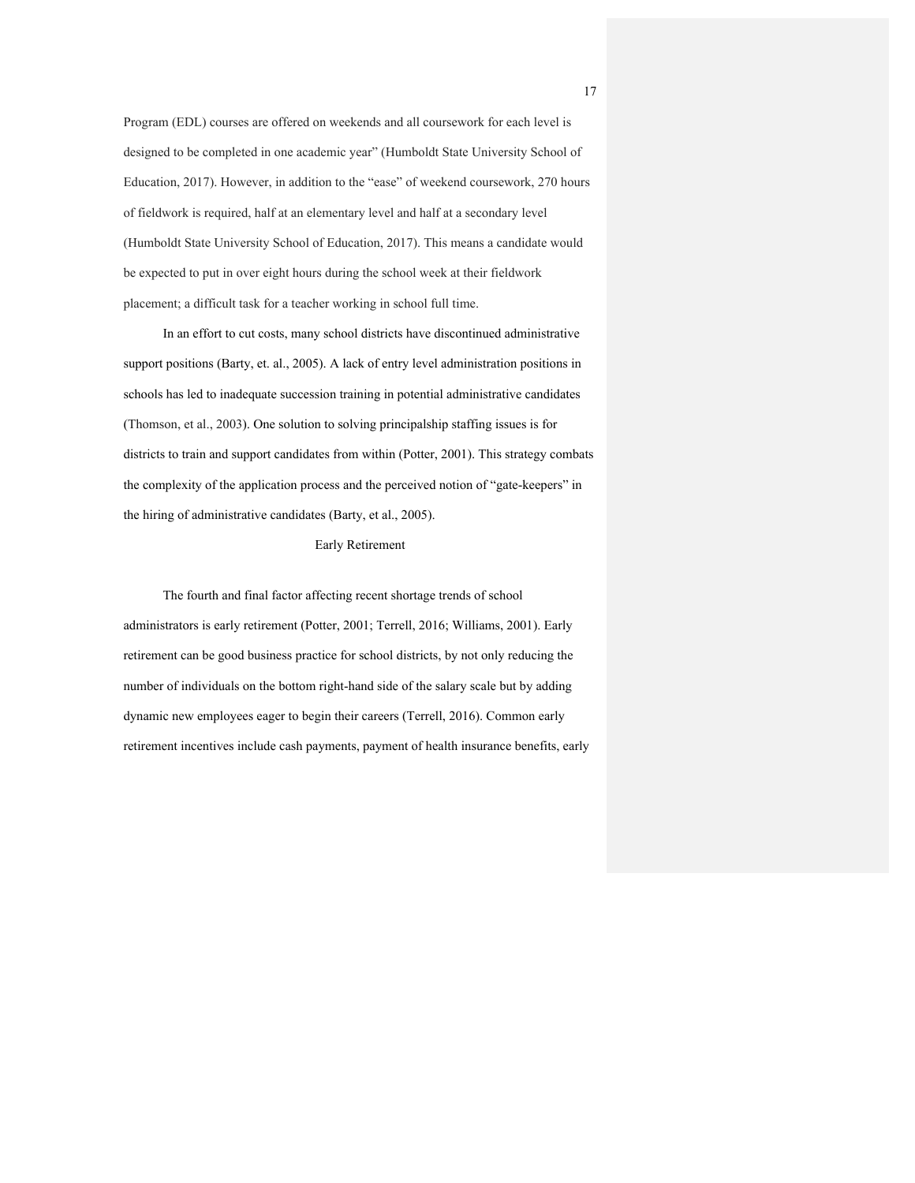Program (EDL) courses are offered on weekends and all coursework for each level is designed to be completed in one academic year" (Humboldt State University School of Education, 2017). However, in addition to the "ease" of weekend coursework, 270 hours of fieldwork is required, half at an elementary level and half at a secondary level (Humboldt State University School of Education, 2017). This means a candidate would be expected to put in over eight hours during the school week at their fieldwork placement; a difficult task for a teacher working in school full time.

In an effort to cut costs, many school districts have discontinued administrative support positions (Barty, et. al., 2005). A lack of entry level administration positions in schools has led to inadequate succession training in potential administrative candidates (Thomson, et al., 2003). One solution to solving principalship staffing issues is for districts to train and support candidates from within (Potter, 2001). This strategy combats the complexity of the application process and the perceived notion of "gate-keepers" in the hiring of administrative candidates (Barty, et al., 2005).

#### Early Retirement

The fourth and final factor affecting recent shortage trends of school administrators is early retirement (Potter, 2001; Terrell, 2016; Williams, 2001). Early retirement can be good business practice for school districts, by not only reducing the number of individuals on the bottom right-hand side of the salary scale but by adding dynamic new employees eager to begin their careers (Terrell, 2016). Common early retirement incentives include cash payments, payment of health insurance benefits, early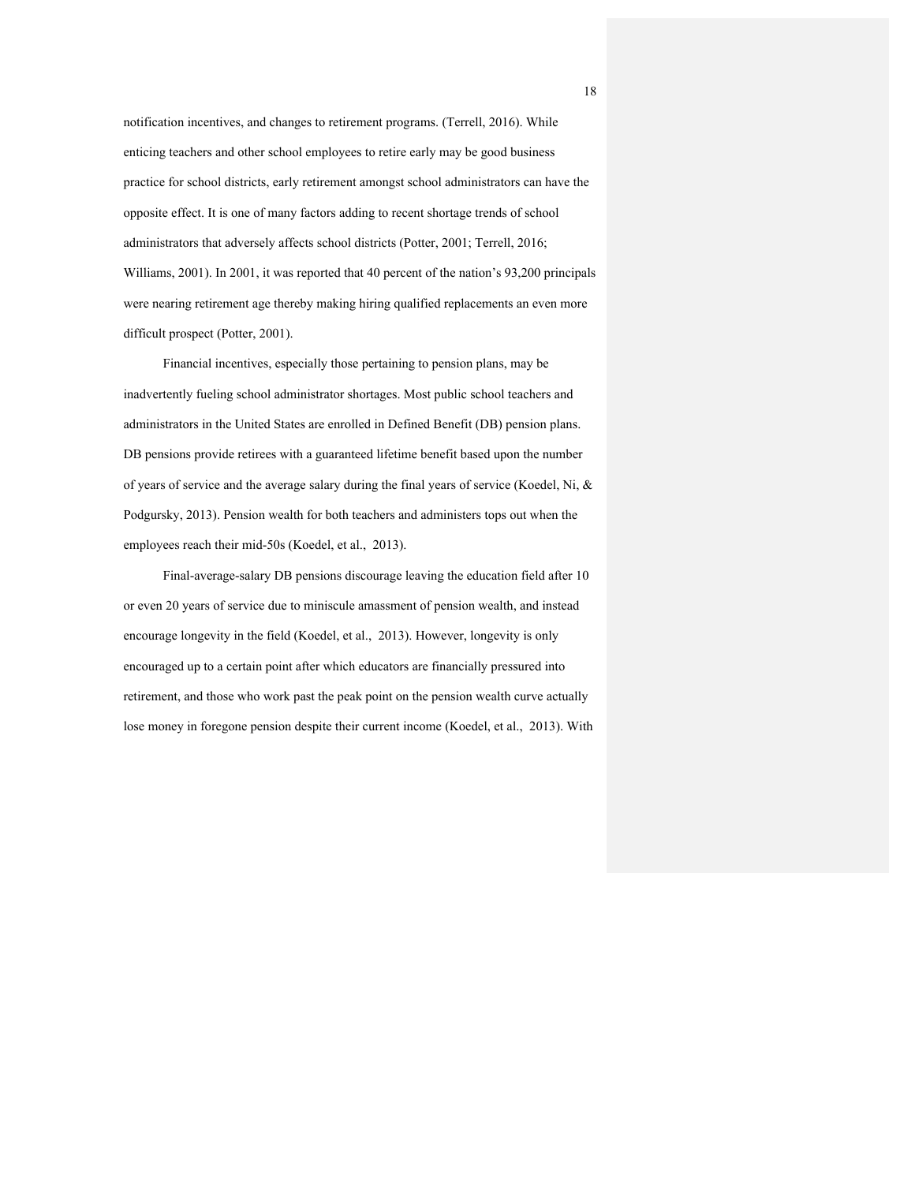notification incentives, and changes to retirement programs. (Terrell, 2016). While enticing teachers and other school employees to retire early may be good business practice for school districts, early retirement amongst school administrators can have the opposite effect. It is one of many factors adding to recent shortage trends of school administrators that adversely affects school districts (Potter, 2001; Terrell, 2016; Williams, 2001). In 2001, it was reported that 40 percent of the nation's 93,200 principals were nearing retirement age thereby making hiring qualified replacements an even more difficult prospect (Potter, 2001).

Financial incentives, especially those pertaining to pension plans, may be inadvertently fueling school administrator shortages. Most public school teachers and administrators in the United States are enrolled in Defined Benefit (DB) pension plans. DB pensions provide retirees with a guaranteed lifetime benefit based upon the number of years of service and the average salary during the final years of service (Koedel, Ni, & Podgursky, 2013). Pension wealth for both teachers and administers tops out when the employees reach their mid-50s (Koedel, et al., 2013).

Final-average-salary DB pensions discourage leaving the education field after 10 or even 20 years of service due to miniscule amassment of pension wealth, and instead encourage longevity in the field (Koedel, et al., 2013). However, longevity is only encouraged up to a certain point after which educators are financially pressured into retirement, and those who work past the peak point on the pension wealth curve actually lose money in foregone pension despite their current income (Koedel, et al., 2013). With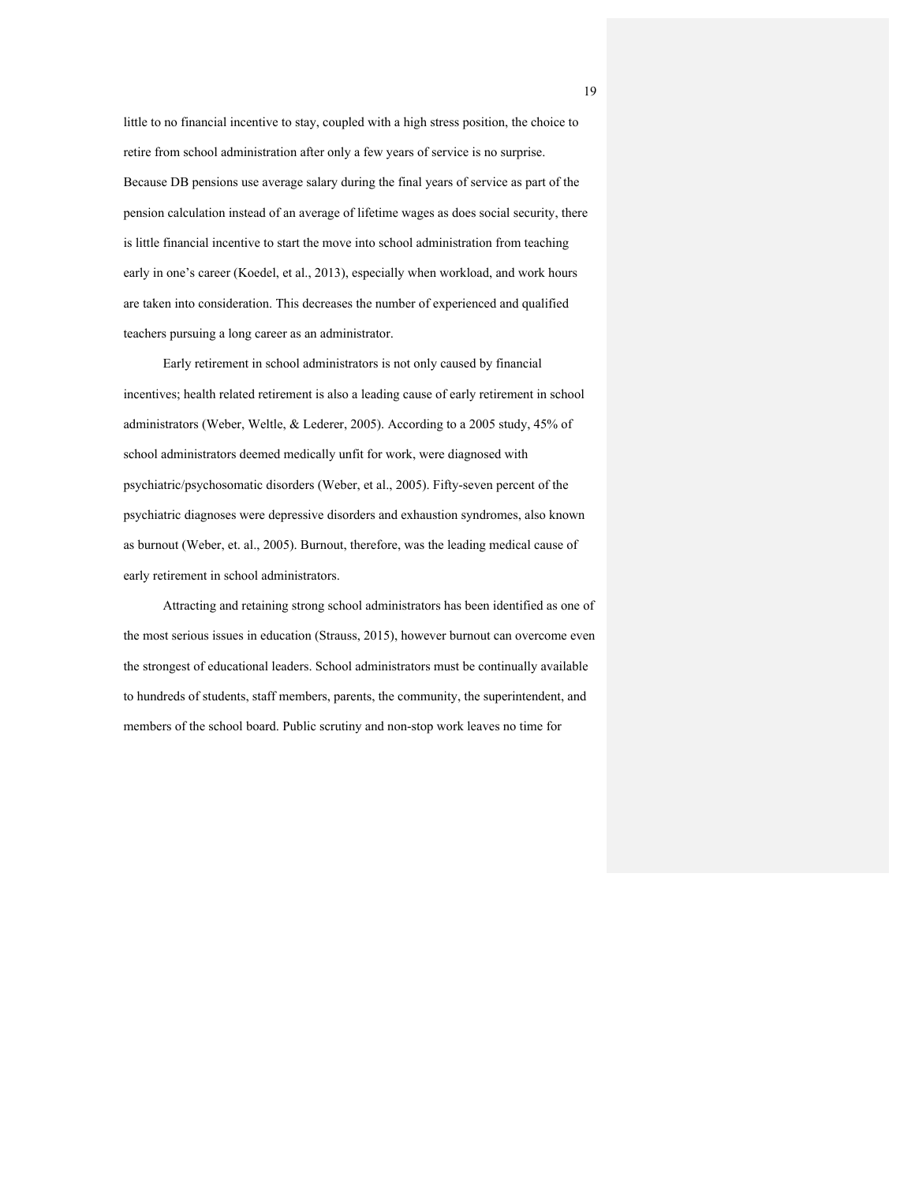little to no financial incentive to stay, coupled with a high stress position, the choice to retire from school administration after only a few years of service is no surprise. Because DB pensions use average salary during the final years of service as part of the pension calculation instead of an average of lifetime wages as does social security, there is little financial incentive to start the move into school administration from teaching early in one's career (Koedel, et al., 2013), especially when workload, and work hours are taken into consideration. This decreases the number of experienced and qualified teachers pursuing a long career as an administrator.

Early retirement in school administrators is not only caused by financial incentives; health related retirement is also a leading cause of early retirement in school administrators (Weber, Weltle, & Lederer, 2005). According to a 2005 study, 45% of school administrators deemed medically unfit for work, were diagnosed with psychiatric/psychosomatic disorders (Weber, et al., 2005). Fifty-seven percent of the psychiatric diagnoses were depressive disorders and exhaustion syndromes, also known as burnout (Weber, et. al., 2005). Burnout, therefore, was the leading medical cause of early retirement in school administrators.

Attracting and retaining strong school administrators has been identified as one of the most serious issues in education (Strauss, 2015), however burnout can overcome even the strongest of educational leaders. School administrators must be continually available to hundreds of students, staff members, parents, the community, the superintendent, and members of the school board. Public scrutiny and non-stop work leaves no time for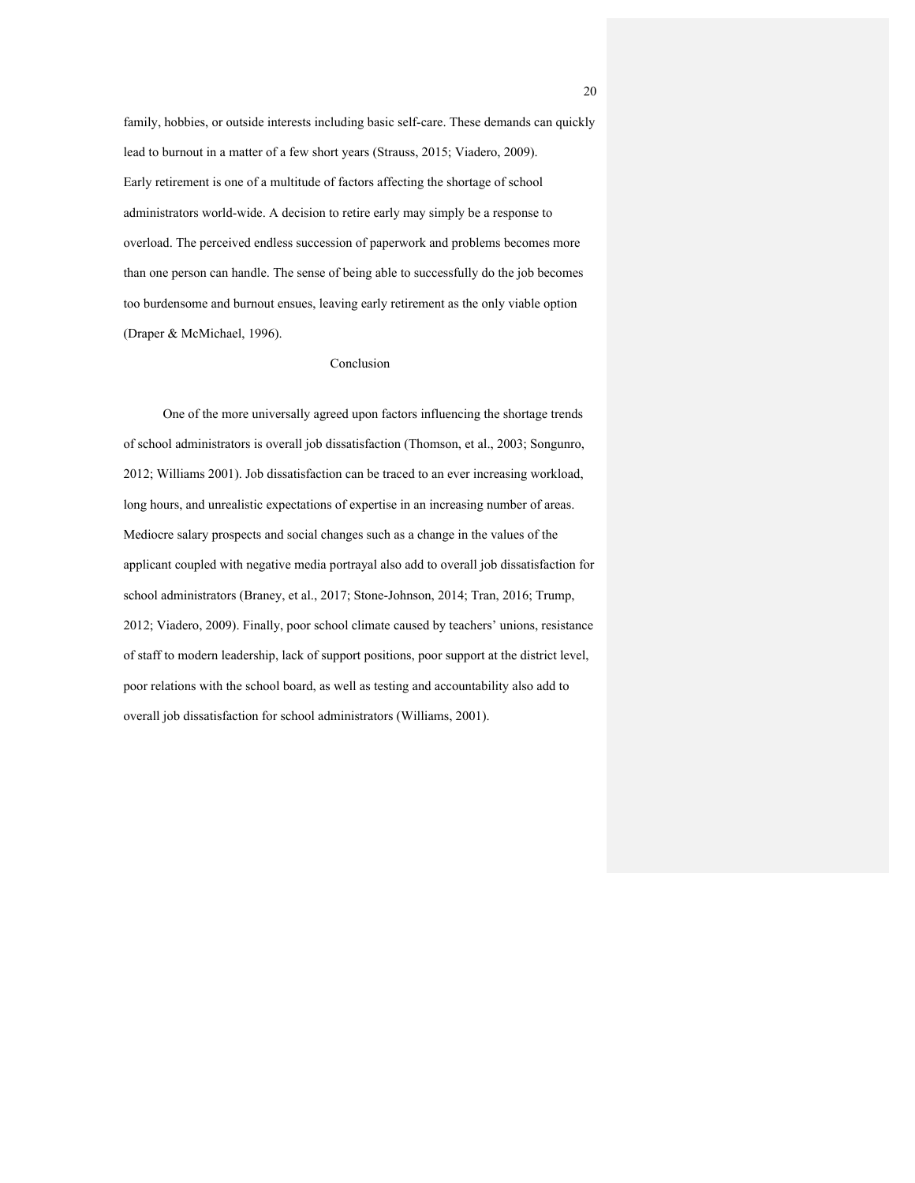family, hobbies, or outside interests including basic self-care. These demands can quickly lead to burnout in a matter of a few short years (Strauss, 2015; Viadero, 2009). Early retirement is one of a multitude of factors affecting the shortage of school administrators world-wide. A decision to retire early may simply be a response to overload. The perceived endless succession of paperwork and problems becomes more than one person can handle. The sense of being able to successfully do the job becomes too burdensome and burnout ensues, leaving early retirement as the only viable option (Draper & McMichael, 1996).

#### Conclusion

One of the more universally agreed upon factors influencing the shortage trends of school administrators is overall job dissatisfaction (Thomson, et al., 2003; Songunro, 2012; Williams 2001). Job dissatisfaction can be traced to an ever increasing workload, long hours, and unrealistic expectations of expertise in an increasing number of areas. Mediocre salary prospects and social changes such as a change in the values of the applicant coupled with negative media portrayal also add to overall job dissatisfaction for school administrators (Braney, et al., 2017; Stone-Johnson, 2014; Tran, 2016; Trump, 2012; Viadero, 2009). Finally, poor school climate caused by teachers' unions, resistance of staff to modern leadership, lack of support positions, poor support at the district level, poor relations with the school board, as well as testing and accountability also add to overall job dissatisfaction for school administrators (Williams, 2001).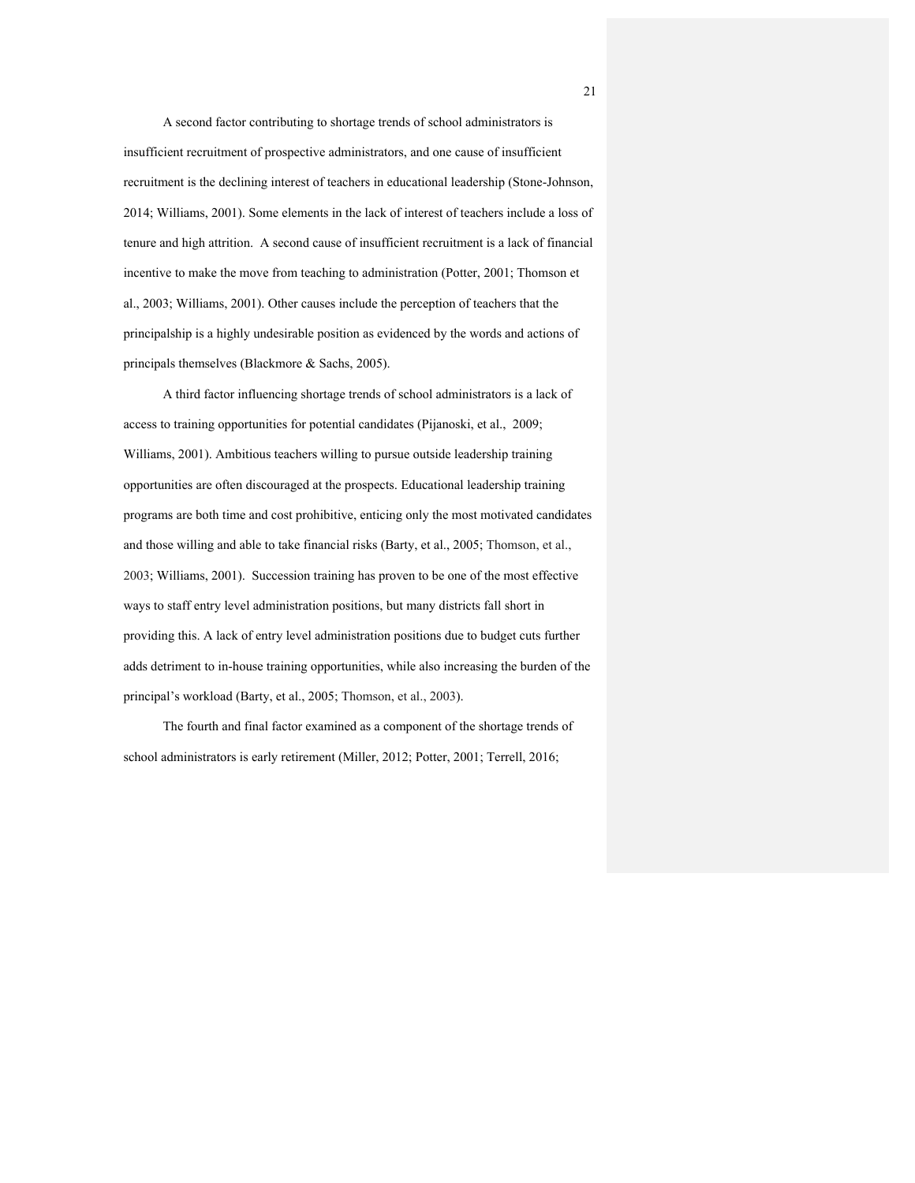A second factor contributing to shortage trends of school administrators is insufficient recruitment of prospective administrators, and one cause of insufficient recruitment is the declining interest of teachers in educational leadership (Stone-Johnson, 2014; Williams, 2001). Some elements in the lack of interest of teachers include a loss of tenure and high attrition. A second cause of insufficient recruitment is a lack of financial incentive to make the move from teaching to administration (Potter, 2001; Thomson et al., 2003; Williams, 2001). Other causes include the perception of teachers that the principalship is a highly undesirable position as evidenced by the words and actions of principals themselves (Blackmore & Sachs, 2005).

A third factor influencing shortage trends of school administrators is a lack of access to training opportunities for potential candidates (Pijanoski, et al., 2009; Williams, 2001). Ambitious teachers willing to pursue outside leadership training opportunities are often discouraged at the prospects. Educational leadership training programs are both time and cost prohibitive, enticing only the most motivated candidates and those willing and able to take financial risks (Barty, et al., 2005; Thomson, et al., 2003; Williams, 2001). Succession training has proven to be one of the most effective ways to staff entry level administration positions, but many districts fall short in providing this. A lack of entry level administration positions due to budget cuts further adds detriment to in-house training opportunities, while also increasing the burden of the principal's workload (Barty, et al., 2005; Thomson, et al., 2003).

The fourth and final factor examined as a component of the shortage trends of school administrators is early retirement (Miller, 2012; Potter, 2001; Terrell, 2016;

21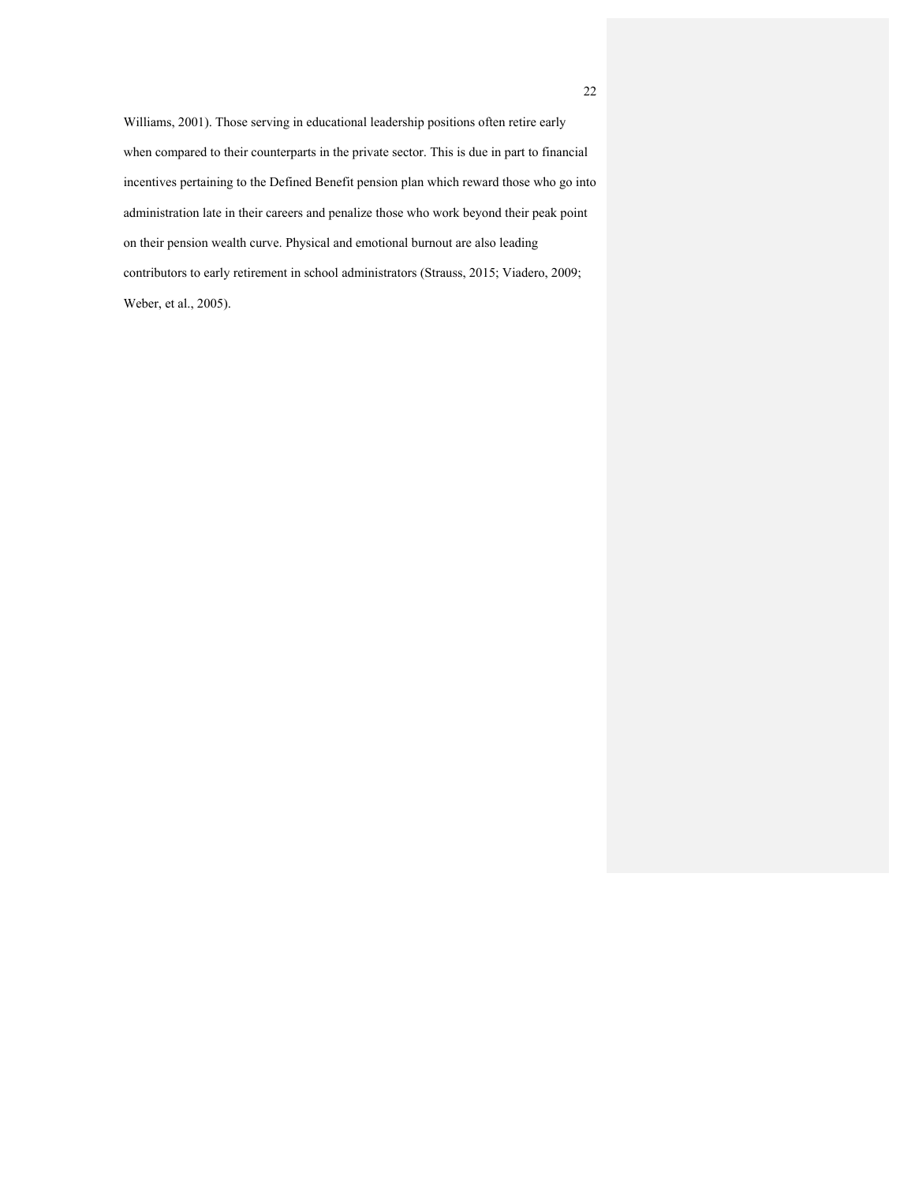Williams, 2001). Those serving in educational leadership positions often retire early when compared to their counterparts in the private sector. This is due in part to financial incentives pertaining to the Defined Benefit pension plan which reward those who go into administration late in their careers and penalize those who work beyond their peak point on their pension wealth curve. Physical and emotional burnout are also leading contributors to early retirement in school administrators (Strauss, 2015; Viadero, 2009; Weber, et al., 2005).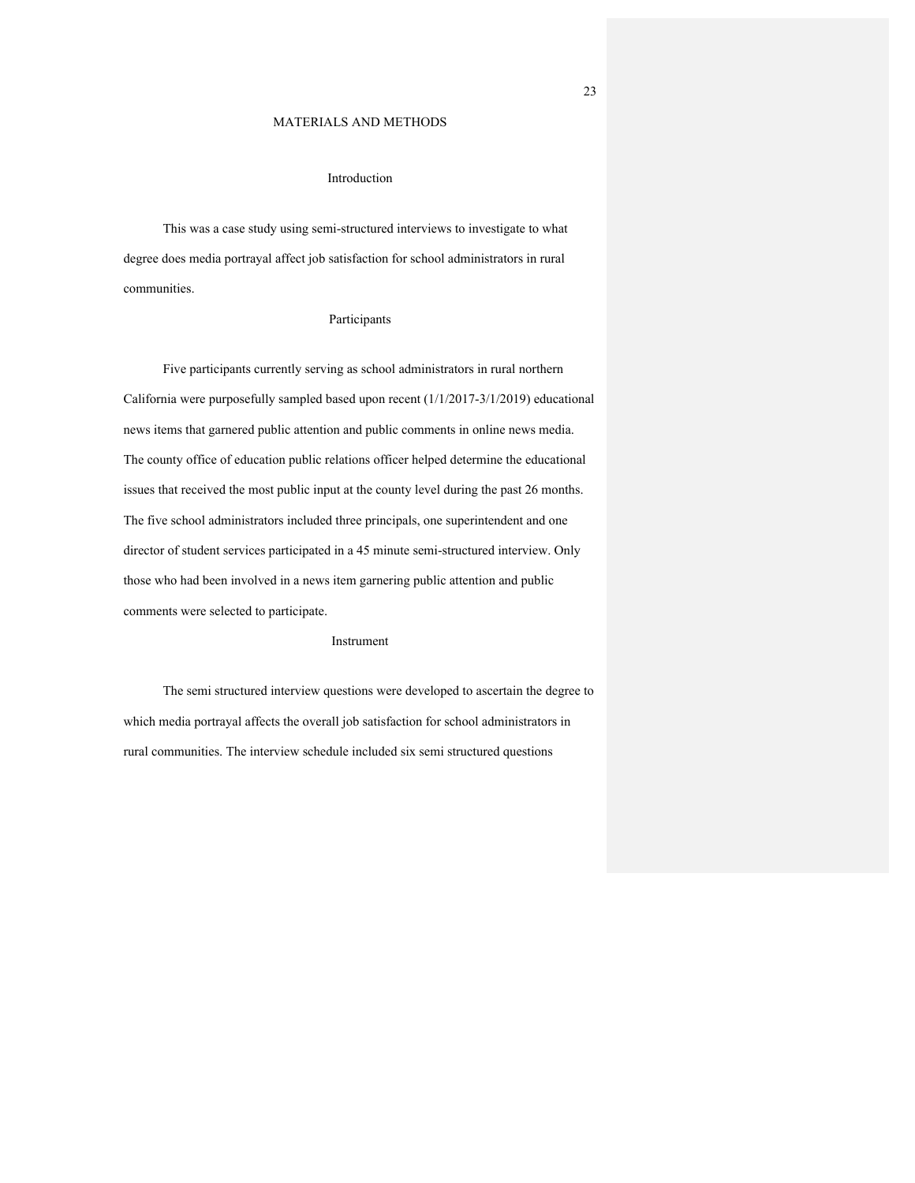#### MATERIALS AND METHODS

#### Introduction

This was a case study using semi-structured interviews to investigate to what degree does media portrayal affect job satisfaction for school administrators in rural communities.

#### Participants

Five participants currently serving as school administrators in rural northern California were purposefully sampled based upon recent (1/1/2017-3/1/2019) educational news items that garnered public attention and public comments in online news media. The county office of education public relations officer helped determine the educational issues that received the most public input at the county level during the past 26 months. The five school administrators included three principals, one superintendent and one director of student services participated in a 45 minute semi-structured interview. Only those who had been involved in a news item garnering public attention and public comments were selected to participate.

#### Instrument

The semi structured interview questions were developed to ascertain the degree to which media portrayal affects the overall job satisfaction for school administrators in rural communities. The interview schedule included six semi structured questions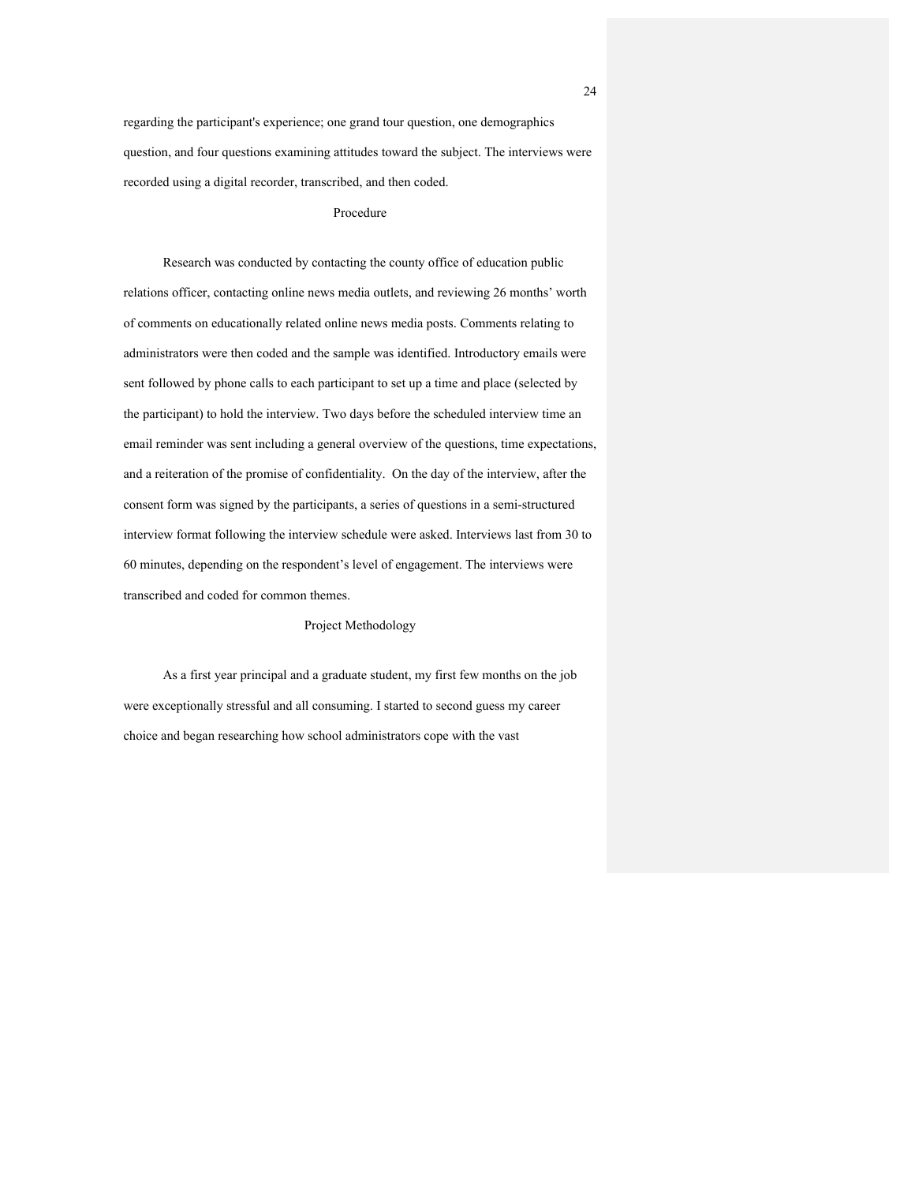regarding the participant's experience; one grand tour question, one demographics question, and four questions examining attitudes toward the subject. The interviews were recorded using a digital recorder, transcribed, and then coded.

#### Procedure

Research was conducted by contacting the county office of education public relations officer, contacting online news media outlets, and reviewing 26 months' worth of comments on educationally related online news media posts. Comments relating to administrators were then coded and the sample was identified. Introductory emails were sent followed by phone calls to each participant to set up a time and place (selected by the participant) to hold the interview. Two days before the scheduled interview time an email reminder was sent including a general overview of the questions, time expectations, and a reiteration of the promise of confidentiality. On the day of the interview, after the consent form was signed by the participants, a series of questions in a semi-structured interview format following the interview schedule were asked. Interviews last from 30 to 60 minutes, depending on the respondent's level of engagement. The interviews were transcribed and coded for common themes.

#### Project Methodology

As a first year principal and a graduate student, my first few months on the job were exceptionally stressful and all consuming. I started to second guess my career choice and began researching how school administrators cope with the vast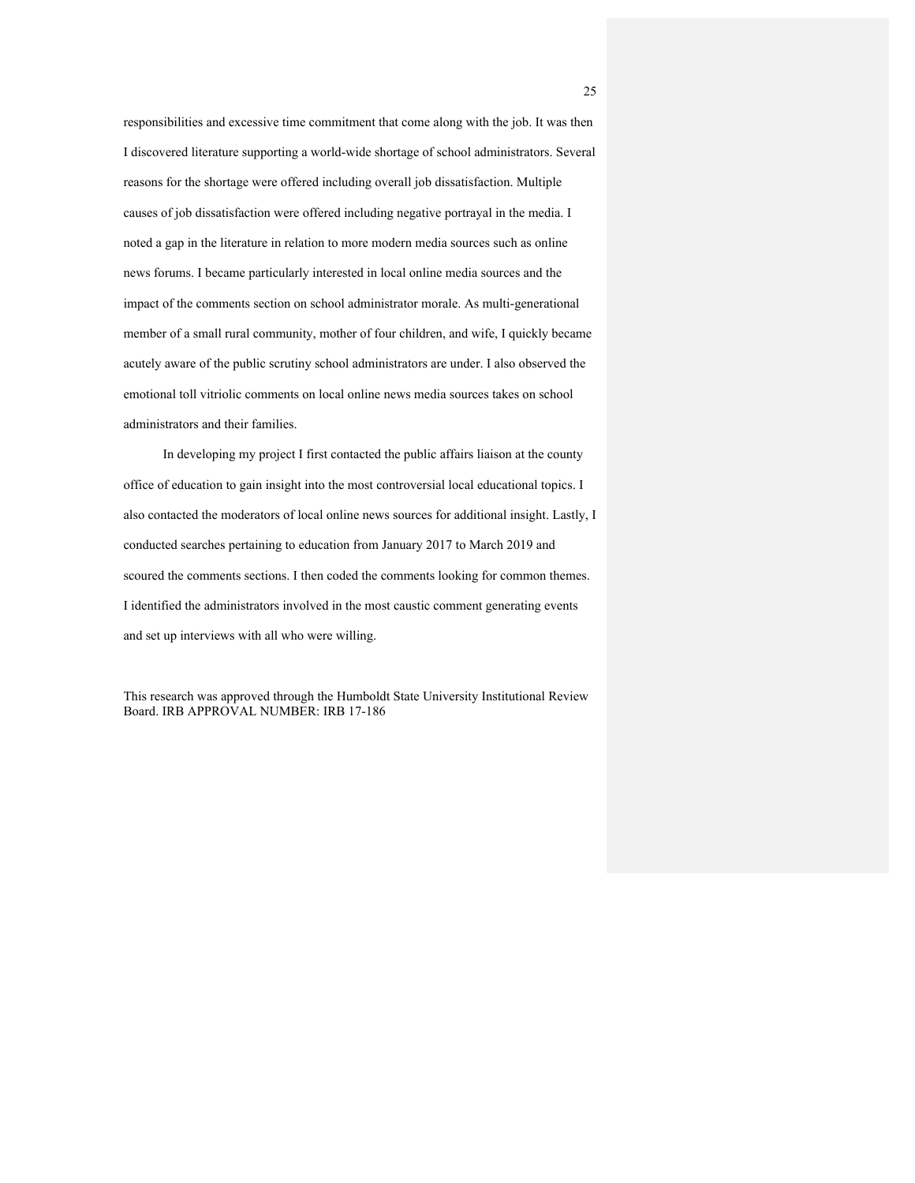responsibilities and excessive time commitment that come along with the job. It was then I discovered literature supporting a world-wide shortage of school administrators. Several reasons for the shortage were offered including overall job dissatisfaction. Multiple causes of job dissatisfaction were offered including negative portrayal in the media. I noted a gap in the literature in relation to more modern media sources such as online news forums. I became particularly interested in local online media sources and the impact of the comments section on school administrator morale. As multi-generational member of a small rural community, mother of four children, and wife, I quickly became acutely aware of the public scrutiny school administrators are under. I also observed the emotional toll vitriolic comments on local online news media sources takes on school administrators and their families.

In developing my project I first contacted the public affairs liaison at the county office of education to gain insight into the most controversial local educational topics. I also contacted the moderators of local online news sources for additional insight. Lastly, I conducted searches pertaining to education from January 2017 to March 2019 and scoured the comments sections. I then coded the comments looking for common themes. I identified the administrators involved in the most caustic comment generating events and set up interviews with all who were willing.

This research was approved through the Humboldt State University Institutional Review Board. IRB APPROVAL NUMBER: IRB 17-186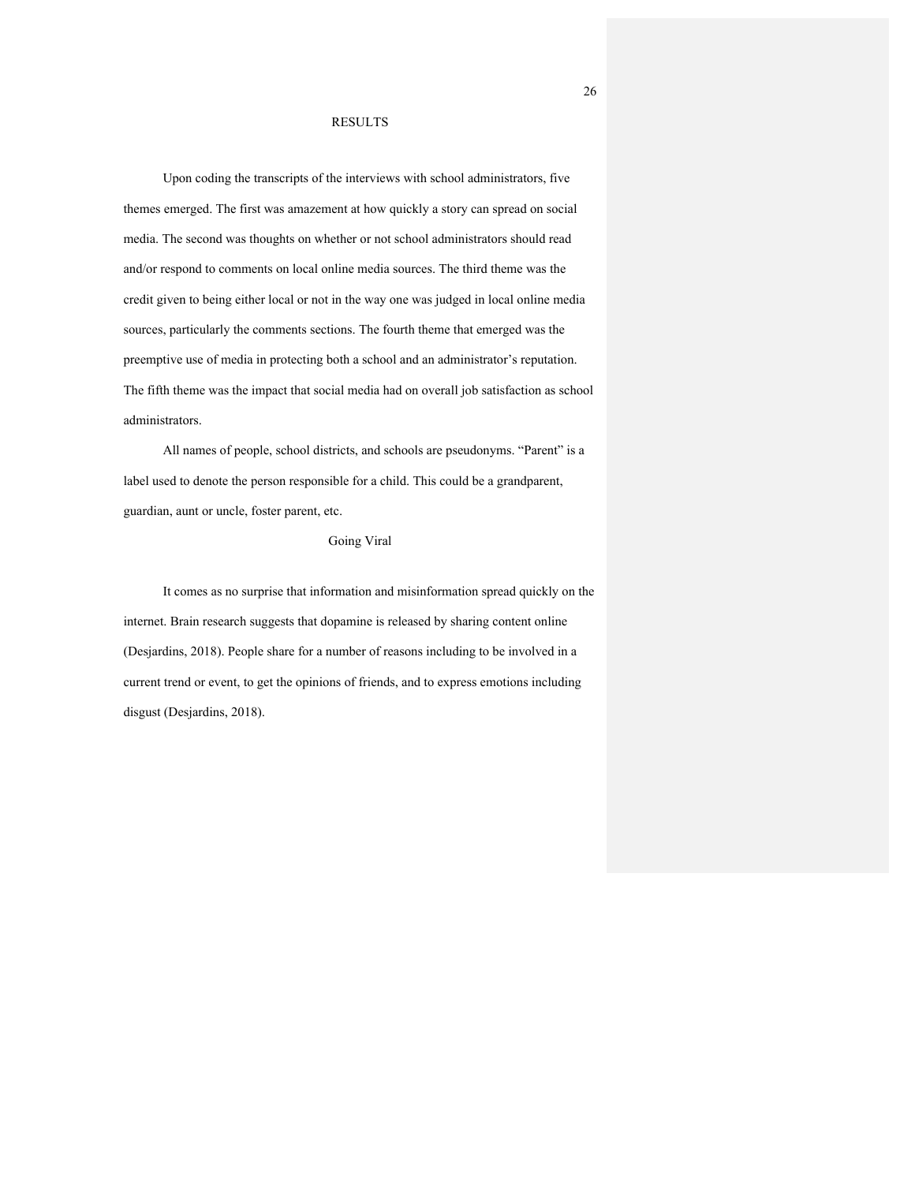#### RESULTS

Upon coding the transcripts of the interviews with school administrators, five themes emerged. The first was amazement at how quickly a story can spread on social media. The second was thoughts on whether or not school administrators should read and/or respond to comments on local online media sources. The third theme was the credit given to being either local or not in the way one was judged in local online media sources, particularly the comments sections. The fourth theme that emerged was the preemptive use of media in protecting both a school and an administrator's reputation. The fifth theme was the impact that social media had on overall job satisfaction as school administrators.

All names of people, school districts, and schools are pseudonyms. "Parent" is a label used to denote the person responsible for a child. This could be a grandparent, guardian, aunt or uncle, foster parent, etc.

## Going Viral

 It comes as no surprise that information and misinformation spread quickly on the internet. Brain research suggests that dopamine is released by sharing content online (Desjardins, 2018). People share for a number of reasons including to be involved in a current trend or event, to get the opinions of friends, and to express emotions including disgust (Desjardins, 2018).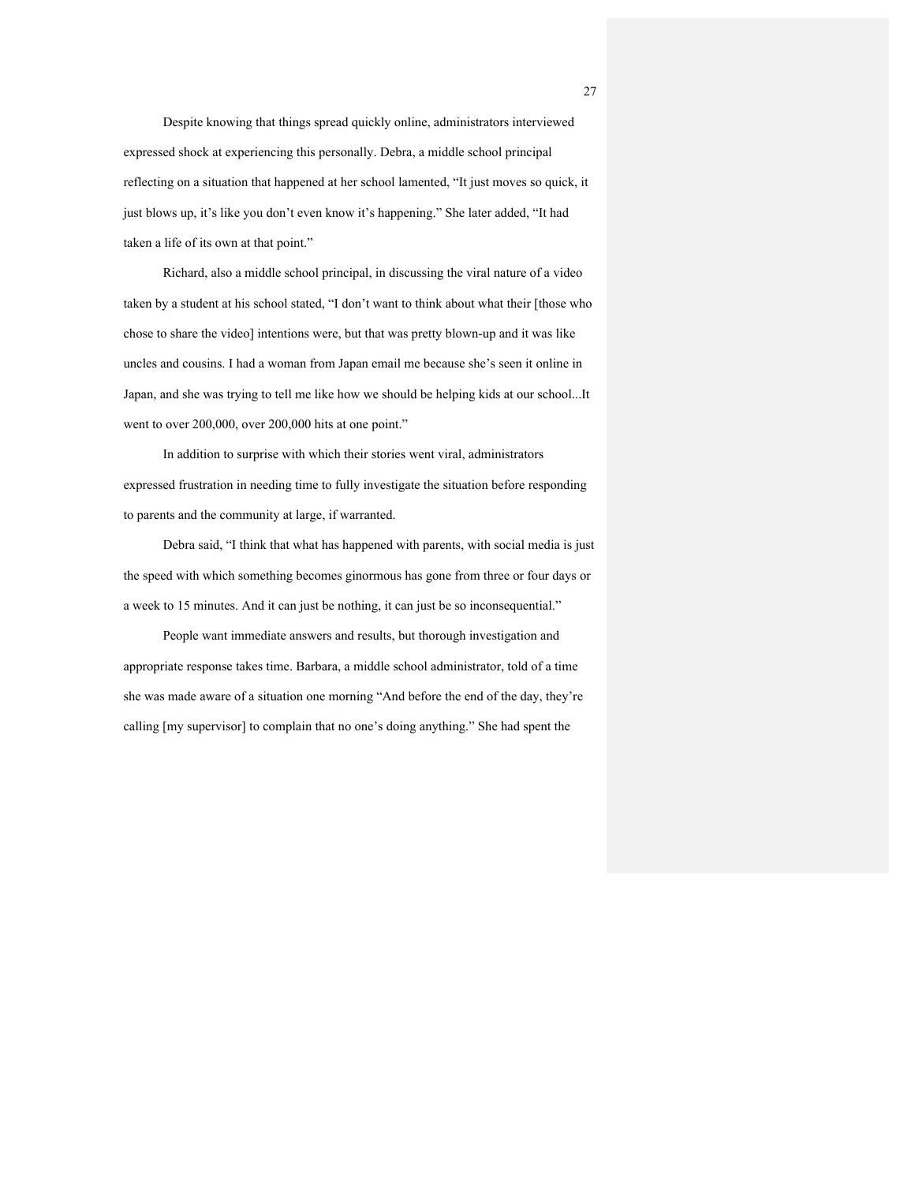Despite knowing that things spread quickly online, administrators interviewed expressed shock at experiencing this personally. Debra, a middle school principal reflecting on a situation that happened at her school lamented, "It just moves so quick, it just blows up, it's like you don't even know it's happening." She later added, "It had taken a life of its own at that point."

 Richard, also a middle school principal, in discussing the viral nature of a video taken by a student at his school stated, "I don't want to think about what their [those who chose to share the video] intentions were, but that was pretty blown-up and it was like uncles and cousins. I had a woman from Japan email me because she's seen it online in Japan, and she was trying to tell me like how we should be helping kids at our school...It went to over 200,000, over 200,000 hits at one point."

 In addition to surprise with which their stories went viral, administrators expressed frustration in needing time to fully investigate the situation before responding to parents and the community at large, if warranted.

 Debra said, "I think that what has happened with parents, with social media is just the speed with which something becomes ginormous has gone from three or four days or a week to 15 minutes. And it can just be nothing, it can just be so inconsequential."

 People want immediate answers and results, but thorough investigation and appropriate response takes time. Barbara, a middle school administrator, told of a time she was made aware of a situation one morning "And before the end of the day, they're calling [my supervisor] to complain that no one's doing anything." She had spent the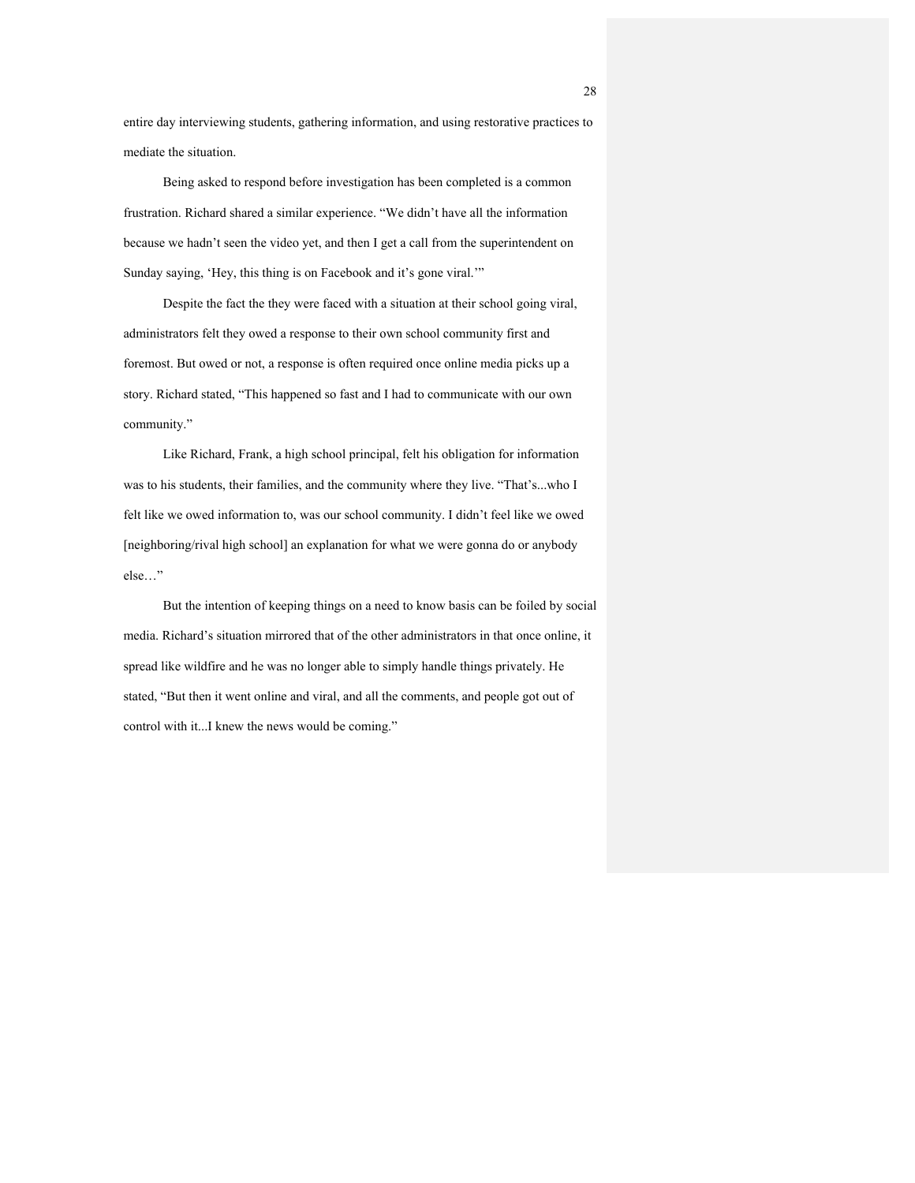entire day interviewing students, gathering information, and using restorative practices to mediate the situation.

 Being asked to respond before investigation has been completed is a common frustration. Richard shared a similar experience. "We didn't have all the information because we hadn't seen the video yet, and then I get a call from the superintendent on Sunday saying, 'Hey, this thing is on Facebook and it's gone viral.'"

 Despite the fact the they were faced with a situation at their school going viral, administrators felt they owed a response to their own school community first and foremost. But owed or not, a response is often required once online media picks up a story. Richard stated, "This happened so fast and I had to communicate with our own community."

Like Richard, Frank, a high school principal, felt his obligation for information was to his students, their families, and the community where they live. "That's...who I felt like we owed information to, was our school community. I didn't feel like we owed [neighboring/rival high school] an explanation for what we were gonna do or anybody else…"

 But the intention of keeping things on a need to know basis can be foiled by social media. Richard's situation mirrored that of the other administrators in that once online, it spread like wildfire and he was no longer able to simply handle things privately. He stated, "But then it went online and viral, and all the comments, and people got out of control with it...I knew the news would be coming."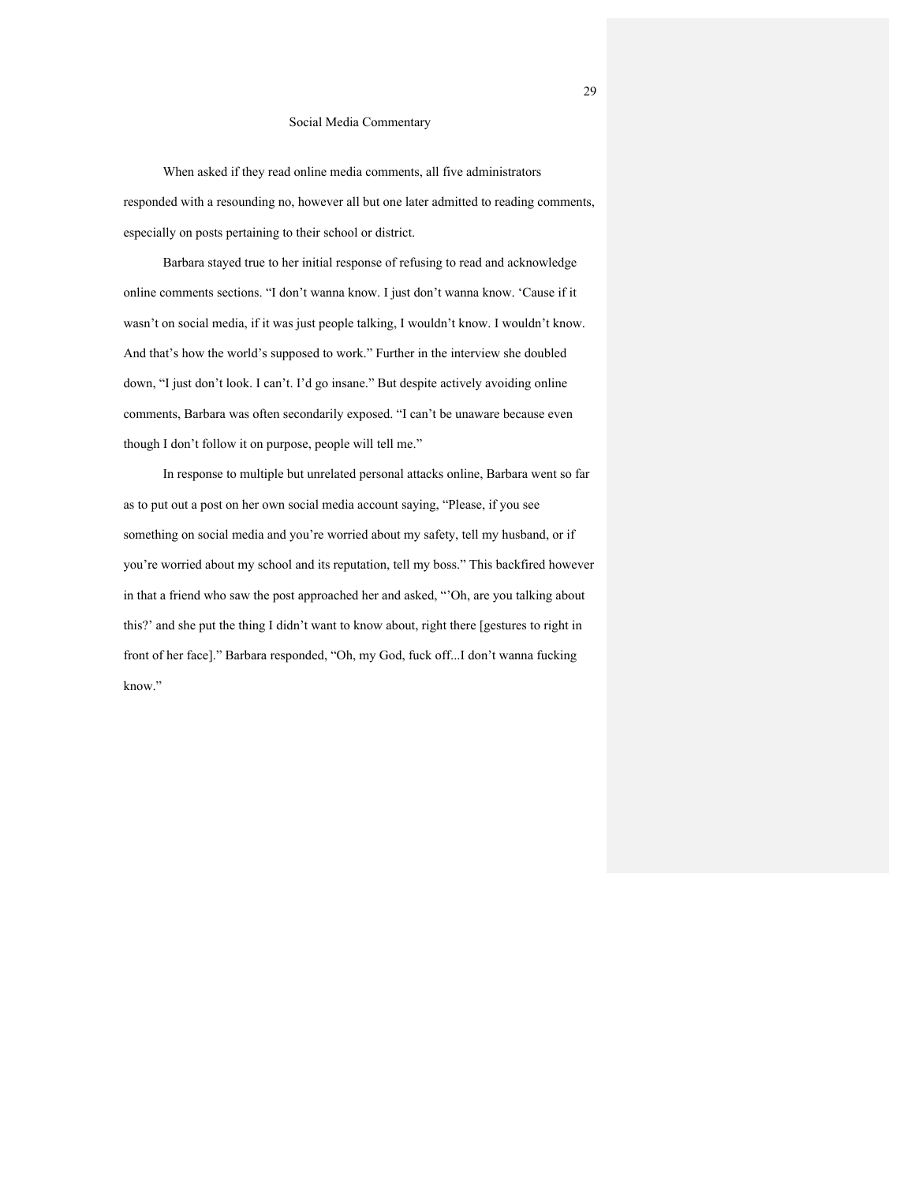#### Social Media Commentary

 When asked if they read online media comments, all five administrators responded with a resounding no, however all but one later admitted to reading comments, especially on posts pertaining to their school or district.

 Barbara stayed true to her initial response of refusing to read and acknowledge online comments sections. "I don't wanna know. I just don't wanna know. 'Cause if it wasn't on social media, if it was just people talking, I wouldn't know. I wouldn't know. And that's how the world's supposed to work." Further in the interview she doubled down, "I just don't look. I can't. I'd go insane." But despite actively avoiding online comments, Barbara was often secondarily exposed. "I can't be unaware because even though I don't follow it on purpose, people will tell me."

 In response to multiple but unrelated personal attacks online, Barbara went so far as to put out a post on her own social media account saying, "Please, if you see something on social media and you're worried about my safety, tell my husband, or if you're worried about my school and its reputation, tell my boss." This backfired however in that a friend who saw the post approached her and asked, "'Oh, are you talking about this?' and she put the thing I didn't want to know about, right there [gestures to right in front of her face]." Barbara responded, "Oh, my God, fuck off...I don't wanna fucking know."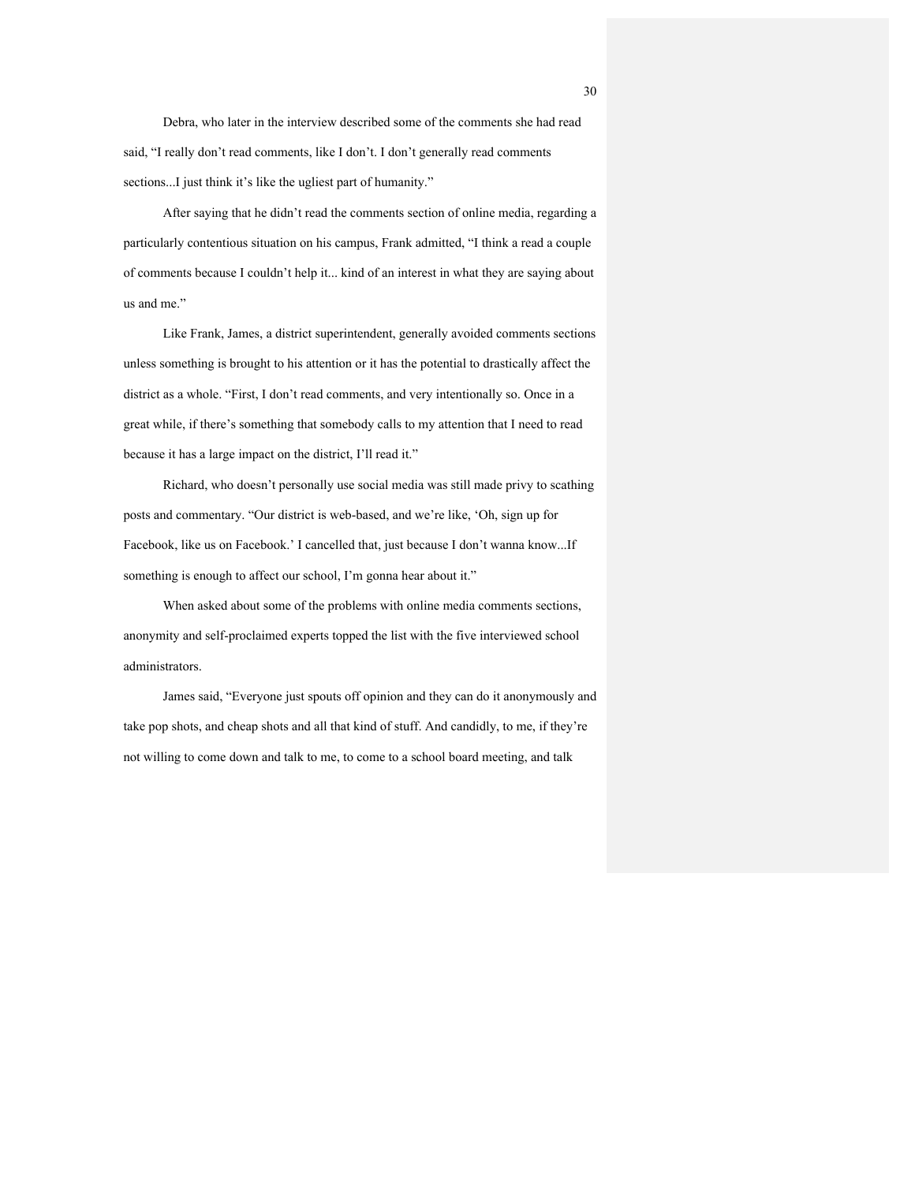Debra, who later in the interview described some of the comments she had read said, "I really don't read comments, like I don't. I don't generally read comments sections...I just think it's like the ugliest part of humanity."

 After saying that he didn't read the comments section of online media, regarding a particularly contentious situation on his campus, Frank admitted, "I think a read a couple of comments because I couldn't help it... kind of an interest in what they are saying about us and me."

 Like Frank, James, a district superintendent, generally avoided comments sections unless something is brought to his attention or it has the potential to drastically affect the district as a whole. "First, I don't read comments, and very intentionally so. Once in a great while, if there's something that somebody calls to my attention that I need to read because it has a large impact on the district, I'll read it."

 Richard, who doesn't personally use social media was still made privy to scathing posts and commentary. "Our district is web-based, and we're like, 'Oh, sign up for Facebook, like us on Facebook.' I cancelled that, just because I don't wanna know...If something is enough to affect our school, I'm gonna hear about it."

 When asked about some of the problems with online media comments sections, anonymity and self-proclaimed experts topped the list with the five interviewed school administrators.

 James said, "Everyone just spouts off opinion and they can do it anonymously and take pop shots, and cheap shots and all that kind of stuff. And candidly, to me, if they're not willing to come down and talk to me, to come to a school board meeting, and talk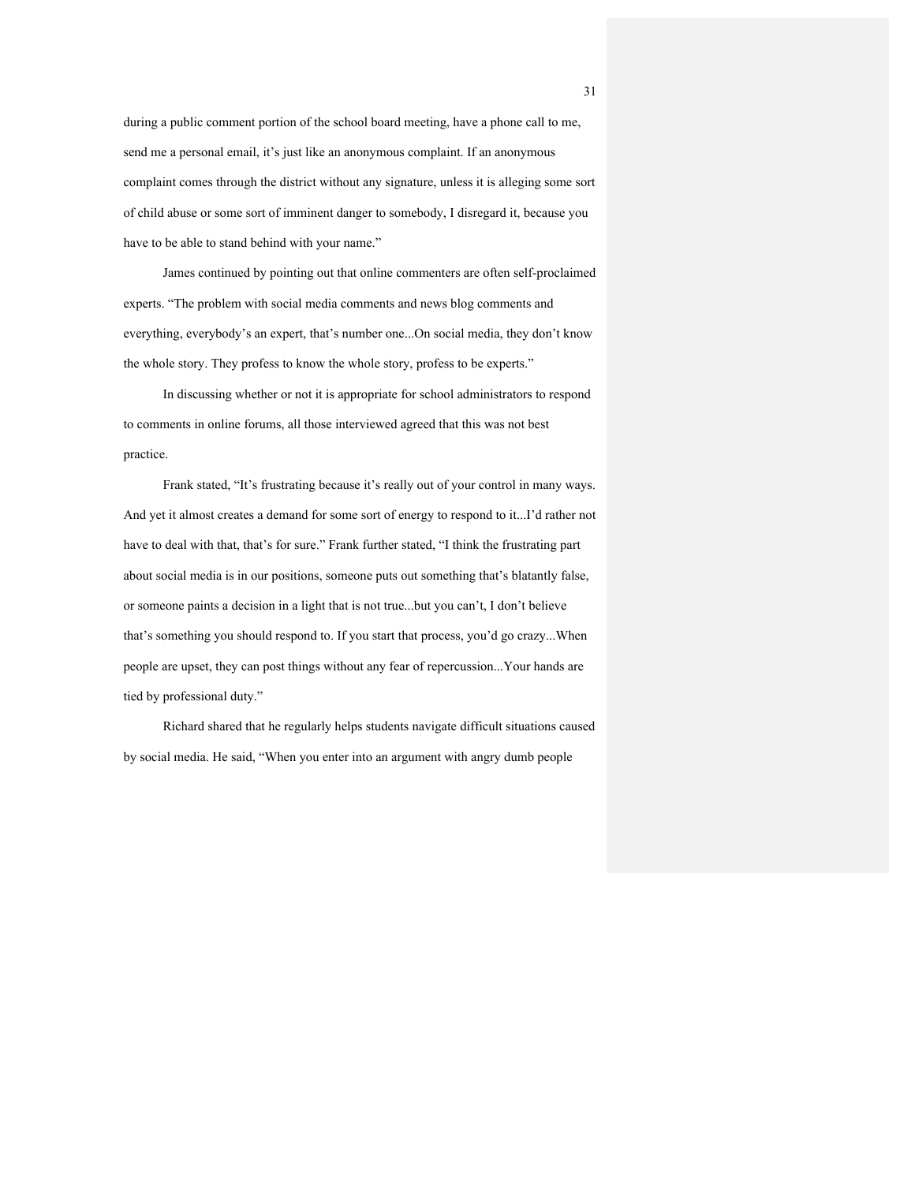during a public comment portion of the school board meeting, have a phone call to me, send me a personal email, it's just like an anonymous complaint. If an anonymous complaint comes through the district without any signature, unless it is alleging some sort of child abuse or some sort of imminent danger to somebody, I disregard it, because you have to be able to stand behind with your name."

 James continued by pointing out that online commenters are often self-proclaimed experts. "The problem with social media comments and news blog comments and everything, everybody's an expert, that's number one...On social media, they don't know the whole story. They profess to know the whole story, profess to be experts."

 In discussing whether or not it is appropriate for school administrators to respond to comments in online forums, all those interviewed agreed that this was not best practice.

 Frank stated, "It's frustrating because it's really out of your control in many ways. And yet it almost creates a demand for some sort of energy to respond to it...I'd rather not have to deal with that, that's for sure." Frank further stated, "I think the frustrating part about social media is in our positions, someone puts out something that's blatantly false, or someone paints a decision in a light that is not true...but you can't, I don't believe that's something you should respond to. If you start that process, you'd go crazy...When people are upset, they can post things without any fear of repercussion...Your hands are tied by professional duty."

 Richard shared that he regularly helps students navigate difficult situations caused by social media. He said, "When you enter into an argument with angry dumb people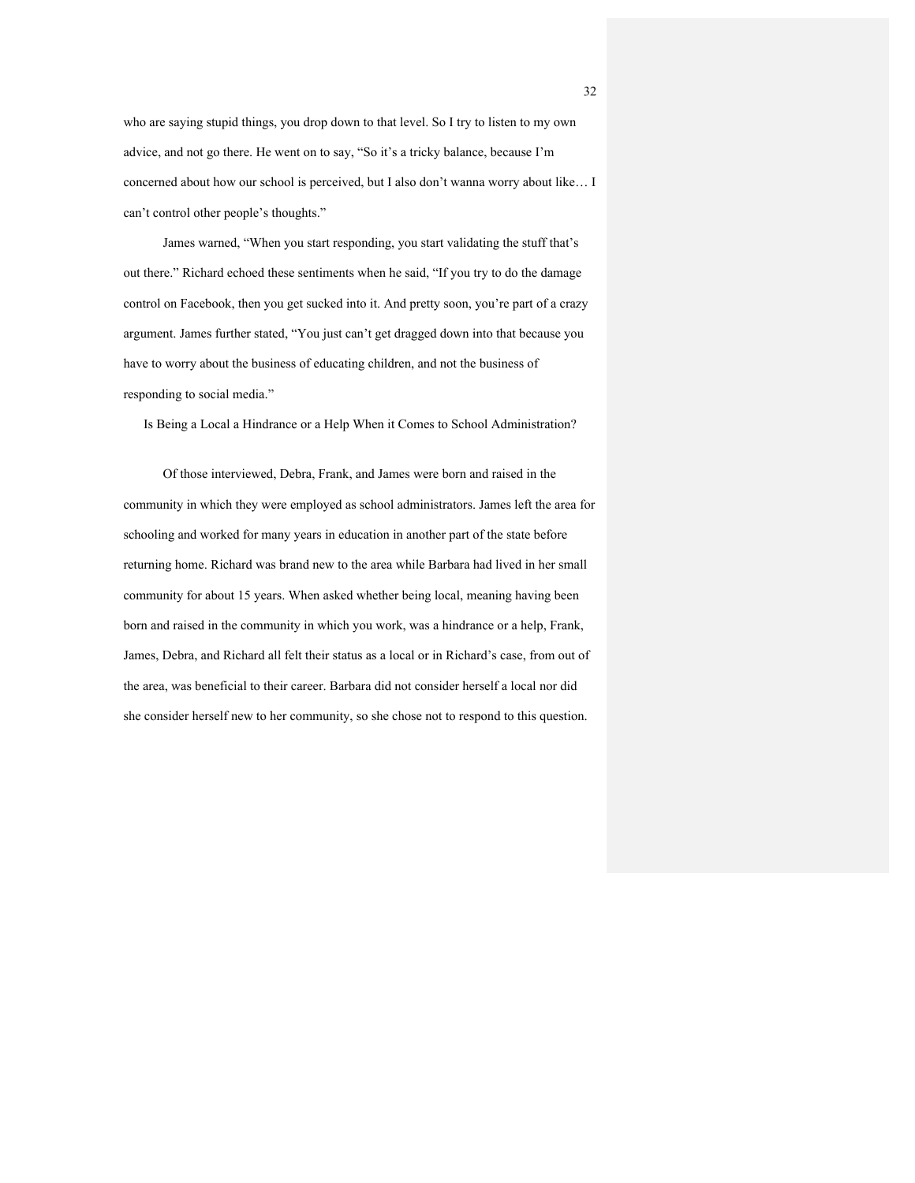who are saying stupid things, you drop down to that level. So I try to listen to my own advice, and not go there. He went on to say, "So it's a tricky balance, because I'm concerned about how our school is perceived, but I also don't wanna worry about like… I can't control other people's thoughts."

 James warned, "When you start responding, you start validating the stuff that's out there." Richard echoed these sentiments when he said, "If you try to do the damage control on Facebook, then you get sucked into it. And pretty soon, you're part of a crazy argument. James further stated, "You just can't get dragged down into that because you have to worry about the business of educating children, and not the business of responding to social media."

Is Being a Local a Hindrance or a Help When it Comes to School Administration?

 Of those interviewed, Debra, Frank, and James were born and raised in the community in which they were employed as school administrators. James left the area for schooling and worked for many years in education in another part of the state before returning home. Richard was brand new to the area while Barbara had lived in her small community for about 15 years. When asked whether being local, meaning having been born and raised in the community in which you work, was a hindrance or a help, Frank, James, Debra, and Richard all felt their status as a local or in Richard's case, from out of the area, was beneficial to their career. Barbara did not consider herself a local nor did she consider herself new to her community, so she chose not to respond to this question.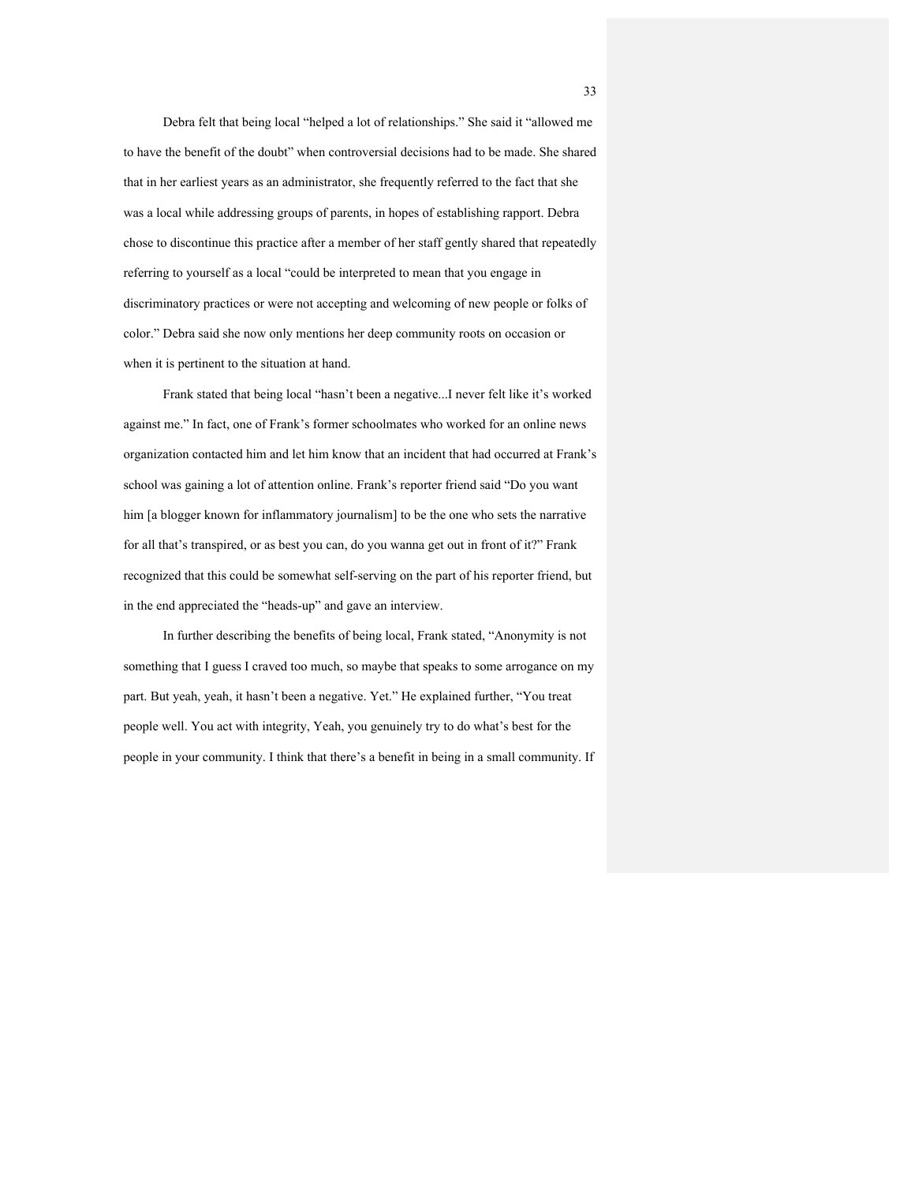Debra felt that being local "helped a lot of relationships." She said it "allowed me to have the benefit of the doubt" when controversial decisions had to be made. She shared that in her earliest years as an administrator, she frequently referred to the fact that she was a local while addressing groups of parents, in hopes of establishing rapport. Debra chose to discontinue this practice after a member of her staff gently shared that repeatedly referring to yourself as a local "could be interpreted to mean that you engage in discriminatory practices or were not accepting and welcoming of new people or folks of color." Debra said she now only mentions her deep community roots on occasion or when it is pertinent to the situation at hand.

 Frank stated that being local "hasn't been a negative...I never felt like it's worked against me." In fact, one of Frank's former schoolmates who worked for an online news organization contacted him and let him know that an incident that had occurred at Frank's school was gaining a lot of attention online. Frank's reporter friend said "Do you want him [a blogger known for inflammatory journalism] to be the one who sets the narrative for all that's transpired, or as best you can, do you wanna get out in front of it?" Frank recognized that this could be somewhat self-serving on the part of his reporter friend, but in the end appreciated the "heads-up" and gave an interview.

 In further describing the benefits of being local, Frank stated, "Anonymity is not something that I guess I craved too much, so maybe that speaks to some arrogance on my part. But yeah, yeah, it hasn't been a negative. Yet." He explained further, "You treat people well. You act with integrity, Yeah, you genuinely try to do what's best for the people in your community. I think that there's a benefit in being in a small community. If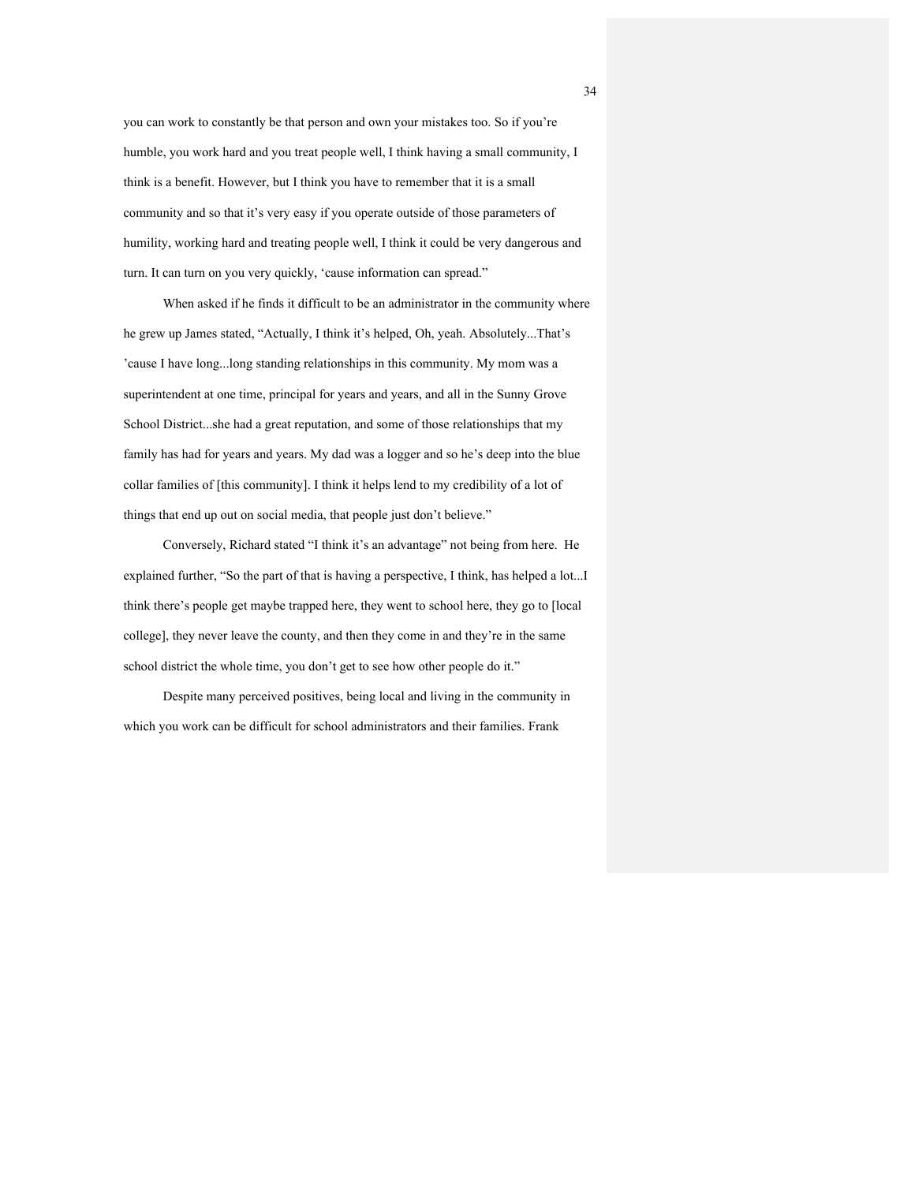you can work to constantly be that person and own your mistakes too. So if you're humble, you work hard and you treat people well, I think having a small community, I think is a benefit. However, but I think you have to remember that it is a small community and so that it's very easy if you operate outside of those parameters of humility, working hard and treating people well, I think it could be very dangerous and turn. It can turn on you very quickly, 'cause information can spread."

 When asked if he finds it difficult to be an administrator in the community where he grew up James stated, "Actually, I think it's helped, Oh, yeah. Absolutely...That's 'cause I have long...long standing relationships in this community. My mom was a superintendent at one time, principal for years and years, and all in the Sunny Grove School District...she had a great reputation, and some of those relationships that my family has had for years and years. My dad was a logger and so he's deep into the blue collar families of [this community]. I think it helps lend to my credibility of a lot of things that end up out on social media, that people just don't believe."

 Conversely, Richard stated "I think it's an advantage" not being from here. He explained further, "So the part of that is having a perspective, I think, has helped a lot...I think there's people get maybe trapped here, they went to school here, they go to [local college], they never leave the county, and then they come in and they're in the same school district the whole time, you don't get to see how other people do it."

 Despite many perceived positives, being local and living in the community in which you work can be difficult for school administrators and their families. Frank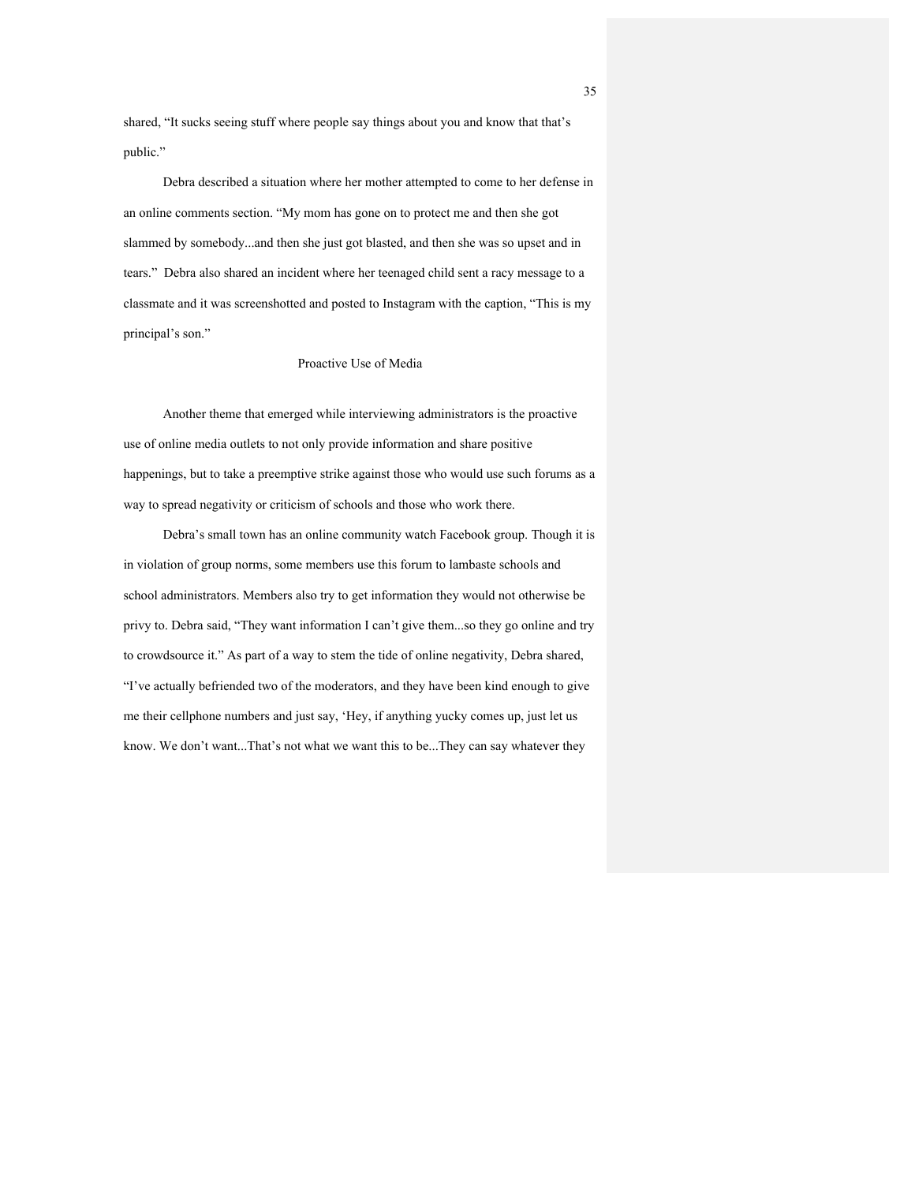shared, "It sucks seeing stuff where people say things about you and know that that's public."

 Debra described a situation where her mother attempted to come to her defense in an online comments section. "My mom has gone on to protect me and then she got slammed by somebody...and then she just got blasted, and then she was so upset and in tears." Debra also shared an incident where her teenaged child sent a racy message to a classmate and it was screenshotted and posted to Instagram with the caption, "This is my principal's son."

#### Proactive Use of Media

 Another theme that emerged while interviewing administrators is the proactive use of online media outlets to not only provide information and share positive happenings, but to take a preemptive strike against those who would use such forums as a way to spread negativity or criticism of schools and those who work there.

 Debra's small town has an online community watch Facebook group. Though it is in violation of group norms, some members use this forum to lambaste schools and school administrators. Members also try to get information they would not otherwise be privy to. Debra said, "They want information I can't give them...so they go online and try to crowdsource it." As part of a way to stem the tide of online negativity, Debra shared, "I've actually befriended two of the moderators, and they have been kind enough to give me their cellphone numbers and just say, 'Hey, if anything yucky comes up, just let us know. We don't want...That's not what we want this to be...They can say whatever they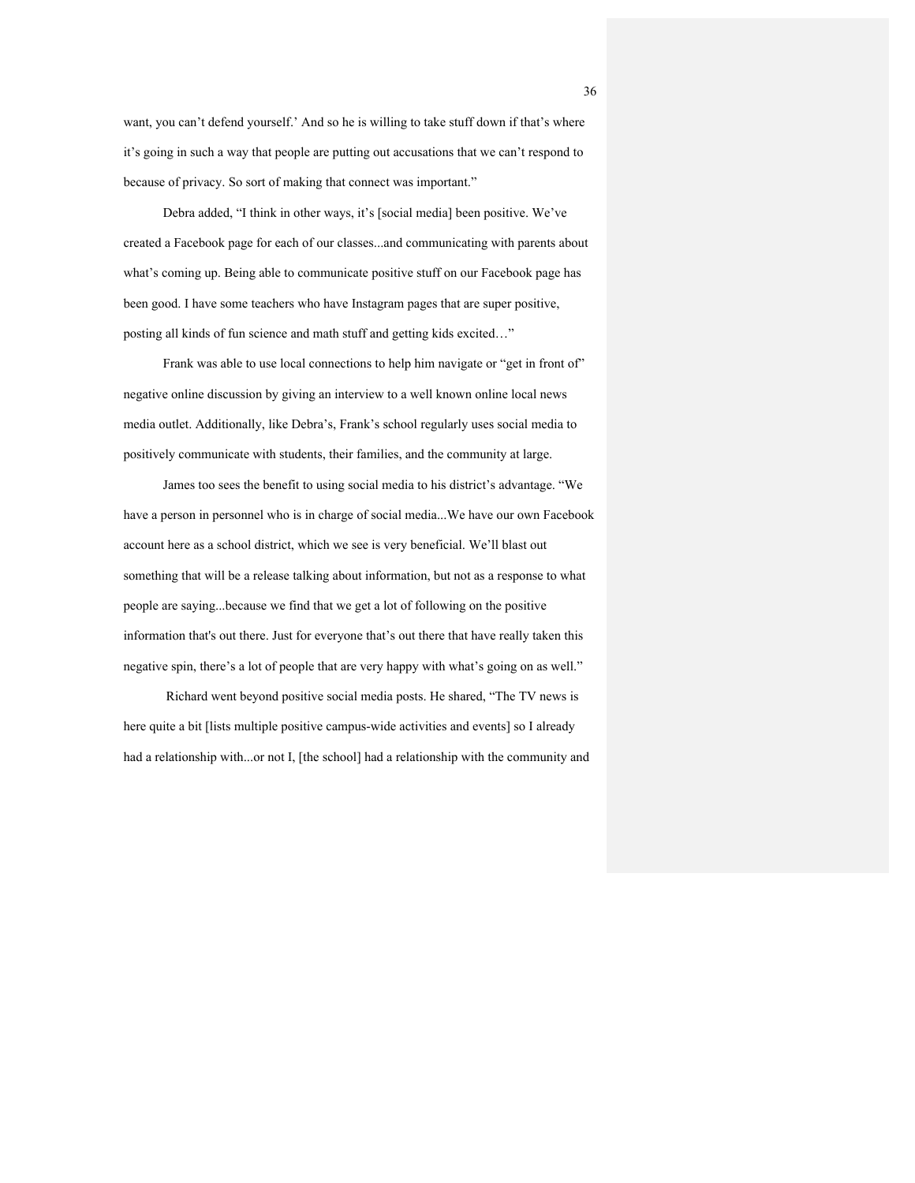want, you can't defend yourself.' And so he is willing to take stuff down if that's where it's going in such a way that people are putting out accusations that we can't respond to because of privacy. So sort of making that connect was important."

 Debra added, "I think in other ways, it's [social media] been positive. We've created a Facebook page for each of our classes...and communicating with parents about what's coming up. Being able to communicate positive stuff on our Facebook page has been good. I have some teachers who have Instagram pages that are super positive, posting all kinds of fun science and math stuff and getting kids excited…"

 Frank was able to use local connections to help him navigate or "get in front of" negative online discussion by giving an interview to a well known online local news media outlet. Additionally, like Debra's, Frank's school regularly uses social media to positively communicate with students, their families, and the community at large.

 James too sees the benefit to using social media to his district's advantage. "We have a person in personnel who is in charge of social media...We have our own Facebook account here as a school district, which we see is very beneficial. We'll blast out something that will be a release talking about information, but not as a response to what people are saying...because we find that we get a lot of following on the positive information that's out there. Just for everyone that's out there that have really taken this negative spin, there's a lot of people that are very happy with what's going on as well."

 Richard went beyond positive social media posts. He shared, "The TV news is here quite a bit [lists multiple positive campus-wide activities and events] so I already had a relationship with...or not I, [the school] had a relationship with the community and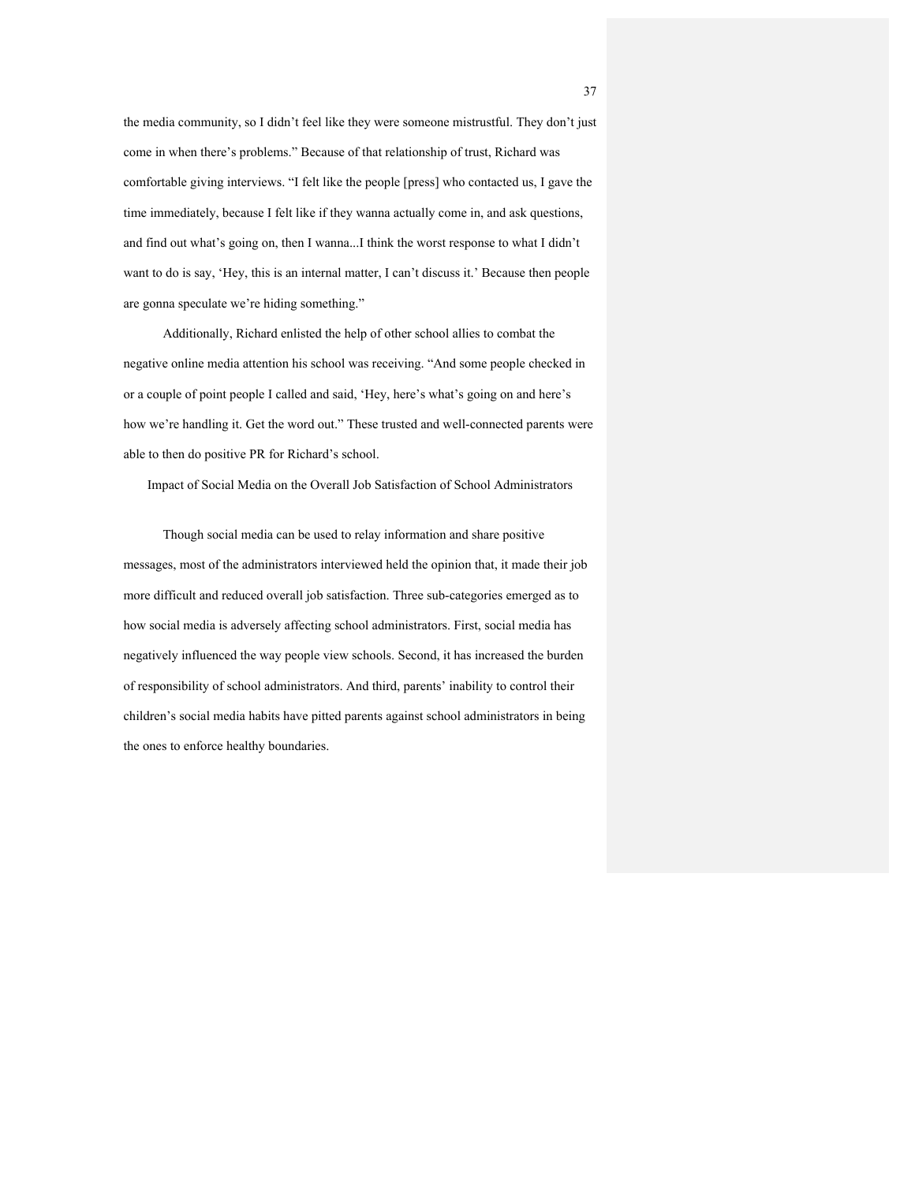the media community, so I didn't feel like they were someone mistrustful. They don't just come in when there's problems." Because of that relationship of trust, Richard was comfortable giving interviews. "I felt like the people [press] who contacted us, I gave the time immediately, because I felt like if they wanna actually come in, and ask questions, and find out what's going on, then I wanna...I think the worst response to what I didn't want to do is say, 'Hey, this is an internal matter, I can't discuss it.' Because then people are gonna speculate we're hiding something."

 Additionally, Richard enlisted the help of other school allies to combat the negative online media attention his school was receiving. "And some people checked in or a couple of point people I called and said, 'Hey, here's what's going on and here's how we're handling it. Get the word out." These trusted and well-connected parents were able to then do positive PR for Richard's school.

Impact of Social Media on the Overall Job Satisfaction of School Administrators

 Though social media can be used to relay information and share positive messages, most of the administrators interviewed held the opinion that, it made their job more difficult and reduced overall job satisfaction. Three sub-categories emerged as to how social media is adversely affecting school administrators. First, social media has negatively influenced the way people view schools. Second, it has increased the burden of responsibility of school administrators. And third, parents' inability to control their children's social media habits have pitted parents against school administrators in being the ones to enforce healthy boundaries.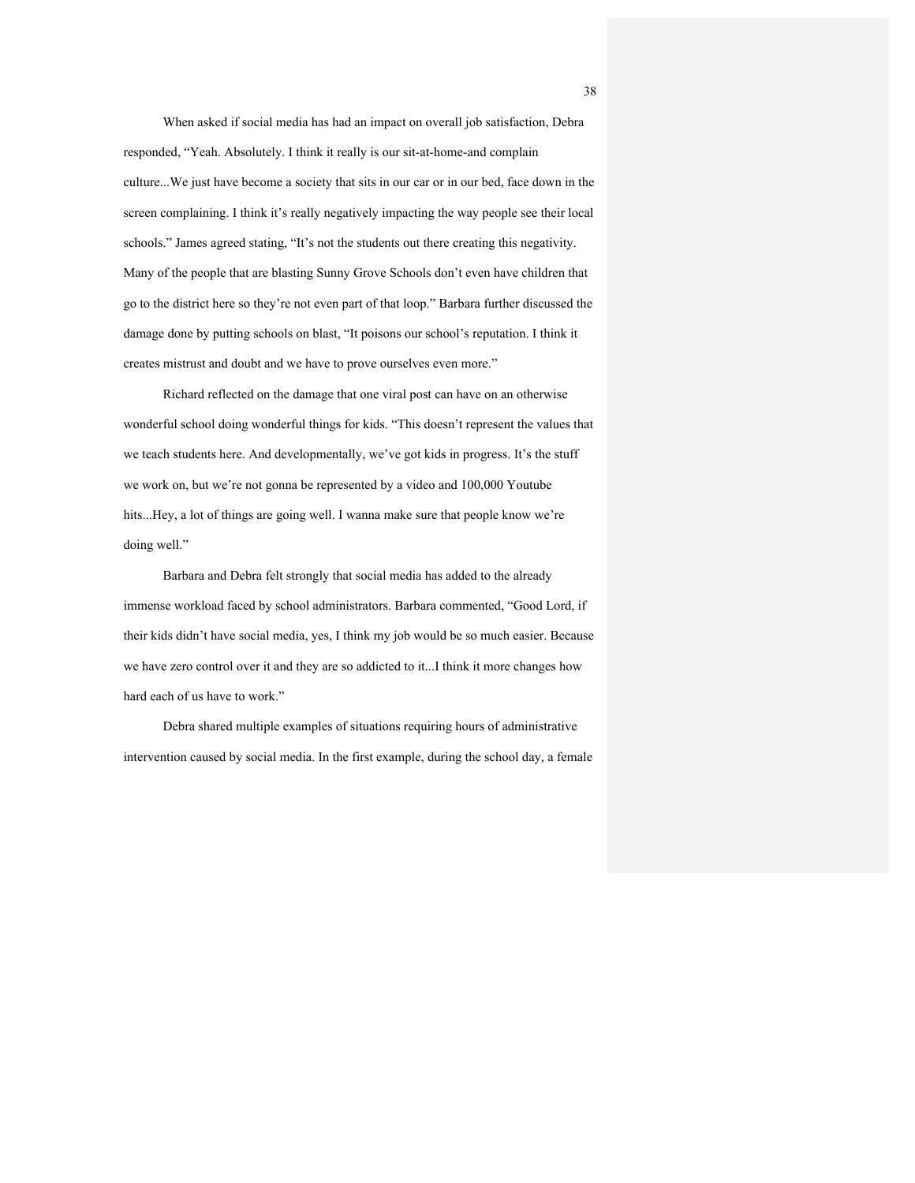When asked if social media has had an impact on overall job satisfaction, Debra responded, "Yeah. Absolutely. I think it really is our sit-at-home-and complain culture...We just have become a society that sits in our car or in our bed, face down in the screen complaining. I think it's really negatively impacting the way people see their local schools." James agreed stating, "It's not the students out there creating this negativity. Many of the people that are blasting Sunny Grove Schools don't even have children that go to the district here so they're not even part of that loop." Barbara further discussed the damage done by putting schools on blast, "It poisons our school's reputation. I think it creates mistrust and doubt and we have to prove ourselves even more."

 Richard reflected on the damage that one viral post can have on an otherwise wonderful school doing wonderful things for kids. "This doesn't represent the values that we teach students here. And developmentally, we've got kids in progress. It's the stuff we work on, but we're not gonna be represented by a video and 100,000 Youtube hits...Hey, a lot of things are going well. I wanna make sure that people know we're doing well."

 Barbara and Debra felt strongly that social media has added to the already immense workload faced by school administrators. Barbara commented, "Good Lord, if their kids didn't have social media, yes, I think my job would be so much easier. Because we have zero control over it and they are so addicted to it...I think it more changes how hard each of us have to work."

 Debra shared multiple examples of situations requiring hours of administrative intervention caused by social media. In the first example, during the school day, a female

38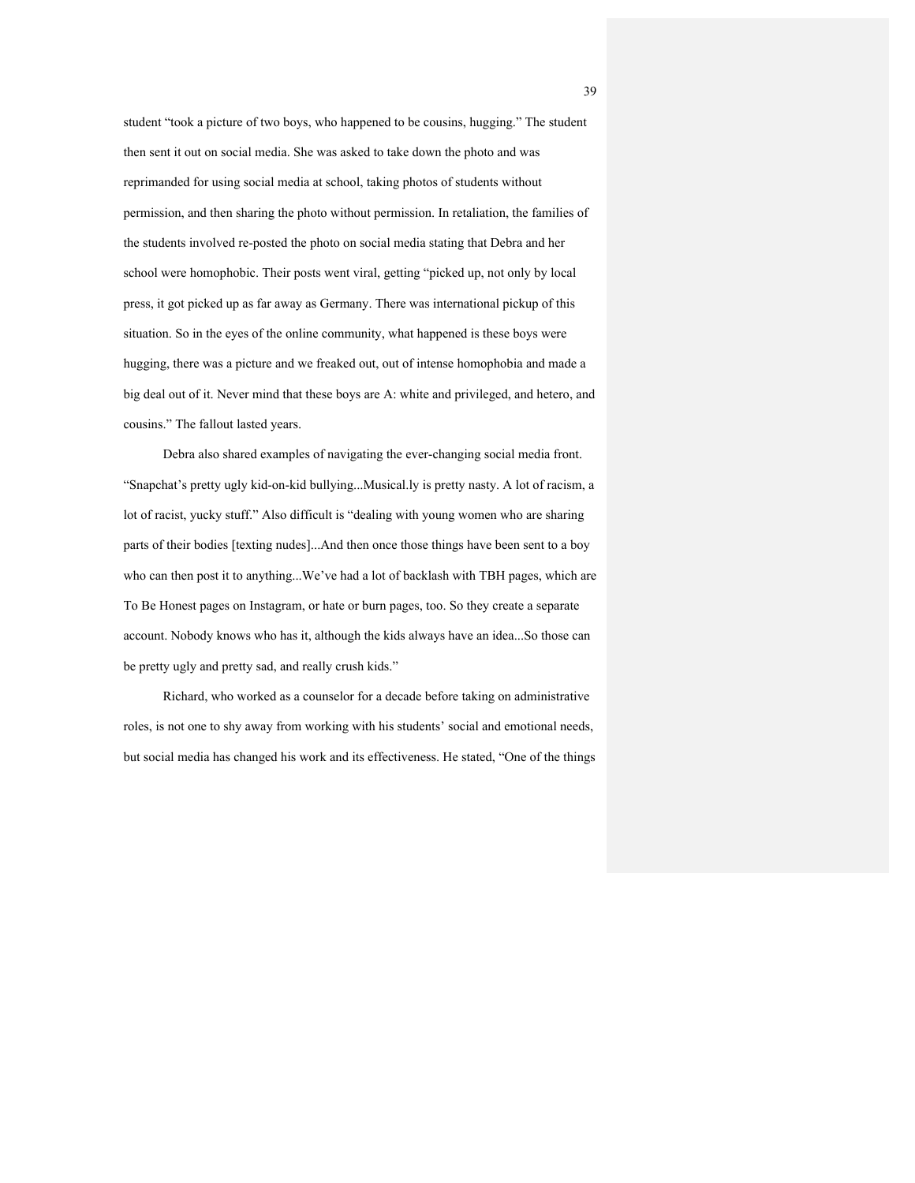student "took a picture of two boys, who happened to be cousins, hugging." The student then sent it out on social media. She was asked to take down the photo and was reprimanded for using social media at school, taking photos of students without permission, and then sharing the photo without permission. In retaliation, the families of the students involved re-posted the photo on social media stating that Debra and her school were homophobic. Their posts went viral, getting "picked up, not only by local press, it got picked up as far away as Germany. There was international pickup of this situation. So in the eyes of the online community, what happened is these boys were hugging, there was a picture and we freaked out, out of intense homophobia and made a big deal out of it. Never mind that these boys are A: white and privileged, and hetero, and cousins." The fallout lasted years.

 Debra also shared examples of navigating the ever-changing social media front. "Snapchat's pretty ugly kid-on-kid bullying...Musical.ly is pretty nasty. A lot of racism, a lot of racist, yucky stuff." Also difficult is "dealing with young women who are sharing parts of their bodies [texting nudes]...And then once those things have been sent to a boy who can then post it to anything...We've had a lot of backlash with TBH pages, which are To Be Honest pages on Instagram, or hate or burn pages, too. So they create a separate account. Nobody knows who has it, although the kids always have an idea...So those can be pretty ugly and pretty sad, and really crush kids."

 Richard, who worked as a counselor for a decade before taking on administrative roles, is not one to shy away from working with his students' social and emotional needs, but social media has changed his work and its effectiveness. He stated, "One of the things

39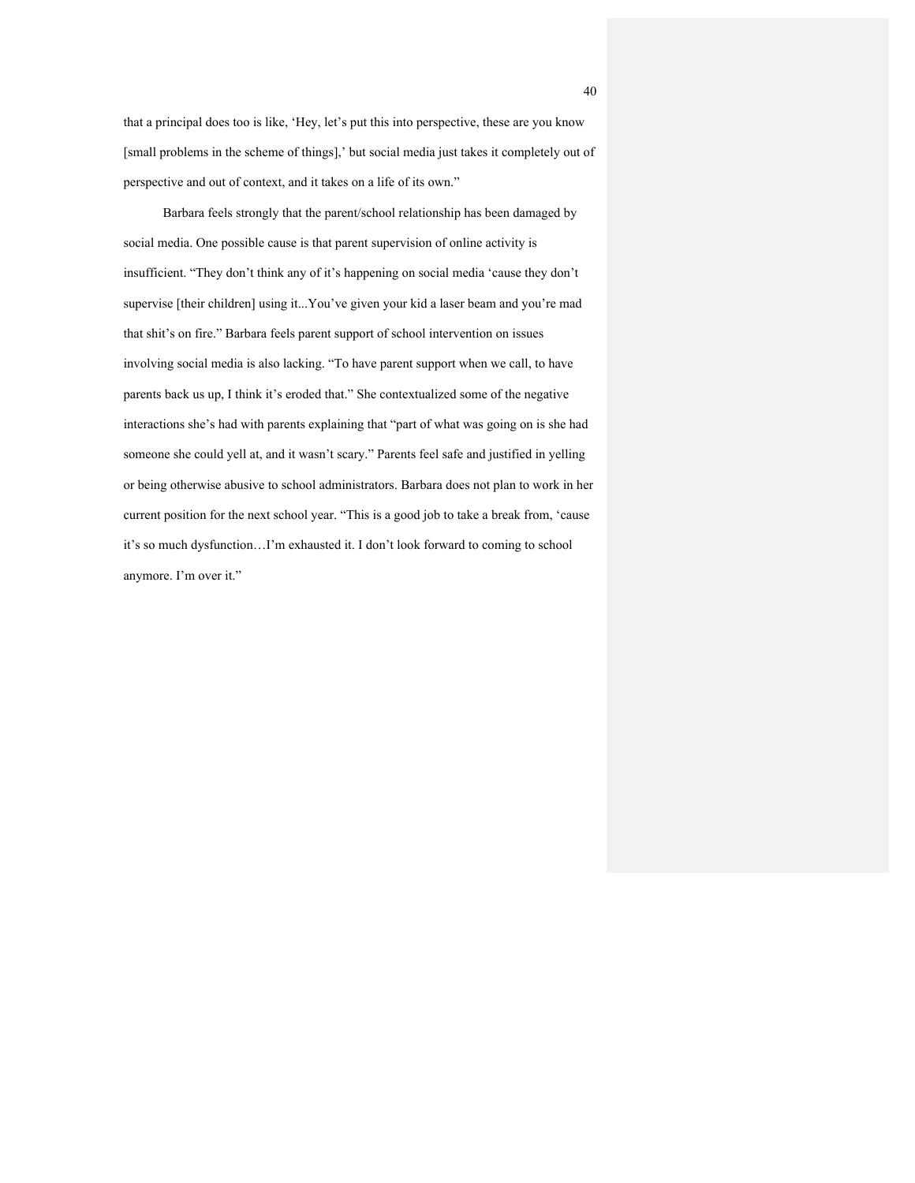that a principal does too is like, 'Hey, let's put this into perspective, these are you know [small problems in the scheme of things],' but social media just takes it completely out of perspective and out of context, and it takes on a life of its own."

 Barbara feels strongly that the parent/school relationship has been damaged by social media. One possible cause is that parent supervision of online activity is insufficient. "They don't think any of it's happening on social media 'cause they don't supervise [their children] using it...You've given your kid a laser beam and you're mad that shit's on fire." Barbara feels parent support of school intervention on issues involving social media is also lacking. "To have parent support when we call, to have parents back us up, I think it's eroded that." She contextualized some of the negative interactions she's had with parents explaining that "part of what was going on is she had someone she could yell at, and it wasn't scary." Parents feel safe and justified in yelling or being otherwise abusive to school administrators. Barbara does not plan to work in her current position for the next school year. "This is a good job to take a break from, 'cause it's so much dysfunction…I'm exhausted it. I don't look forward to coming to school anymore. I'm over it."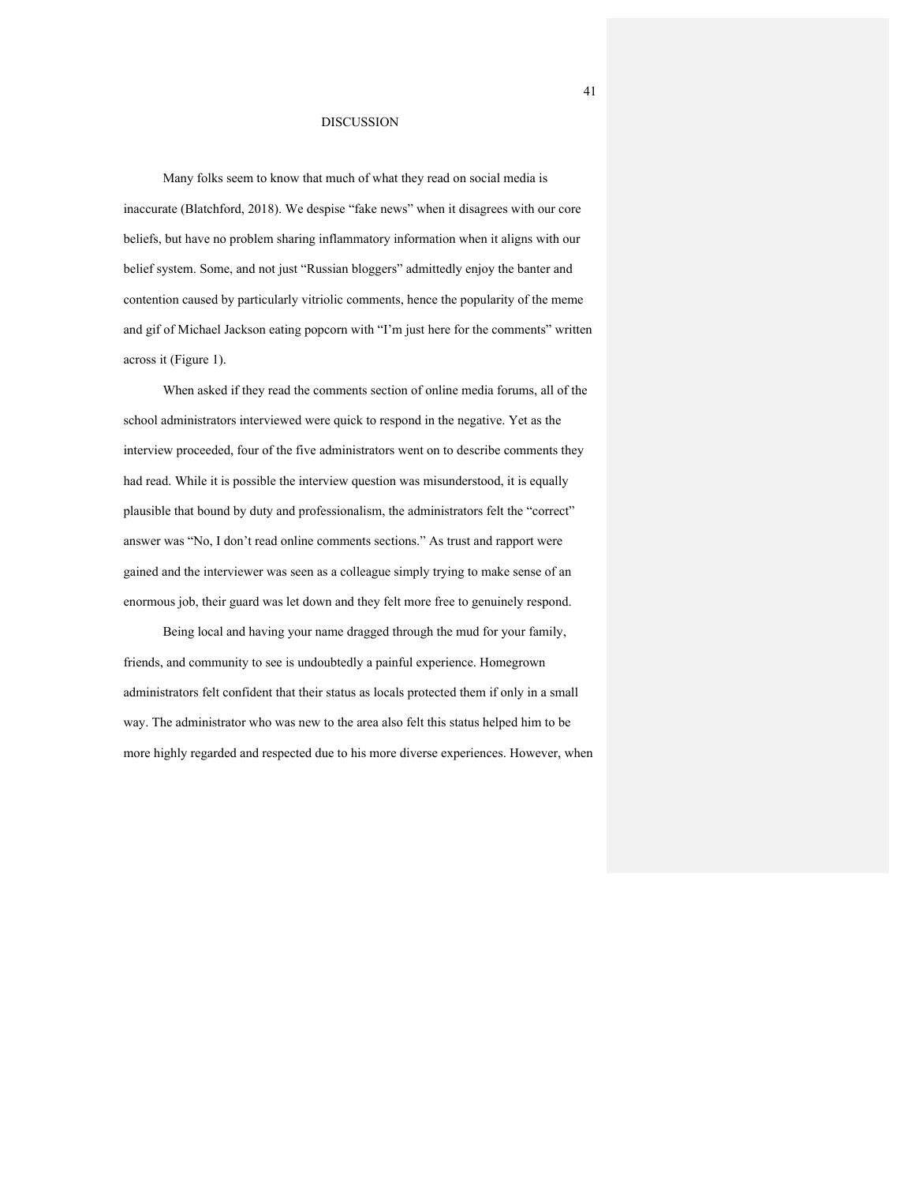#### DISCUSSION

Many folks seem to know that much of what they read on social media is inaccurate (Blatchford, 2018). We despise "fake news" when it disagrees with our core beliefs, but have no problem sharing inflammatory information when it aligns with our belief system. Some, and not just "Russian bloggers" admittedly enjoy the banter and contention caused by particularly vitriolic comments, hence the popularity of the meme and gif of Michael Jackson eating popcorn with "I'm just here for the comments" written across it (Figure 1).

 When asked if they read the comments section of online media forums, all of the school administrators interviewed were quick to respond in the negative. Yet as the interview proceeded, four of the five administrators went on to describe comments they had read. While it is possible the interview question was misunderstood, it is equally plausible that bound by duty and professionalism, the administrators felt the "correct" answer was "No, I don't read online comments sections." As trust and rapport were gained and the interviewer was seen as a colleague simply trying to make sense of an enormous job, their guard was let down and they felt more free to genuinely respond.

 Being local and having your name dragged through the mud for your family, friends, and community to see is undoubtedly a painful experience. Homegrown administrators felt confident that their status as locals protected them if only in a small way. The administrator who was new to the area also felt this status helped him to be more highly regarded and respected due to his more diverse experiences. However, when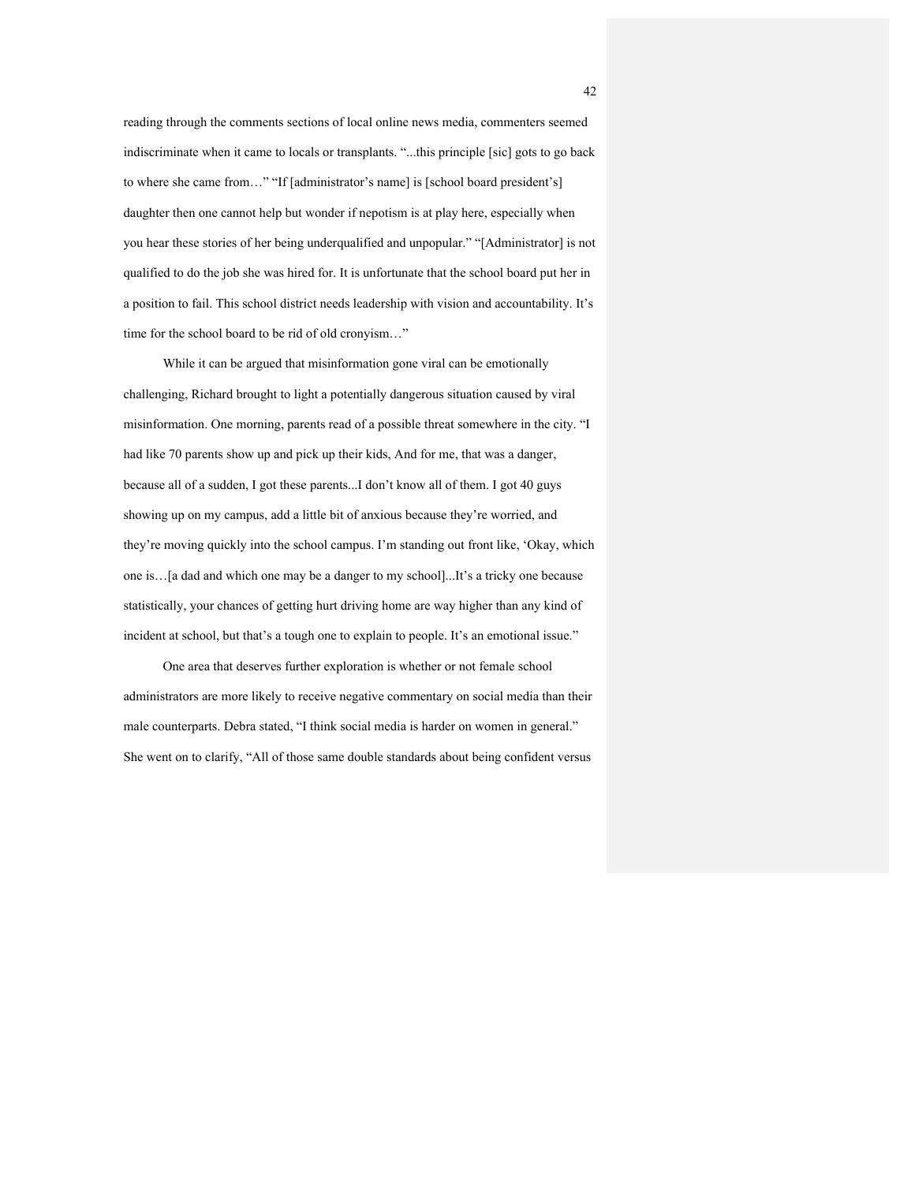reading through the comments sections of local online news media, commenters seemed indiscriminate when it came to locals or transplants. "...this principle [sic] gots to go back to where she came from…" "If [administrator's name] is [school board president's] daughter then one cannot help but wonder if nepotism is at play here, especially when you hear these stories of her being underqualified and unpopular." "[Administrator] is not qualified to do the job she was hired for. It is unfortunate that the school board put her in a position to fail. This school district needs leadership with vision and accountability. It's time for the school board to be rid of old cronyism…"

 While it can be argued that misinformation gone viral can be emotionally challenging, Richard brought to light a potentially dangerous situation caused by viral misinformation. One morning, parents read of a possible threat somewhere in the city. "I had like 70 parents show up and pick up their kids, And for me, that was a danger, because all of a sudden, I got these parents...I don't know all of them. I got 40 guys showing up on my campus, add a little bit of anxious because they're worried, and they're moving quickly into the school campus. I'm standing out front like, 'Okay, which one is…[a dad and which one may be a danger to my school]...It's a tricky one because statistically, your chances of getting hurt driving home are way higher than any kind of incident at school, but that's a tough one to explain to people. It's an emotional issue."

 One area that deserves further exploration is whether or not female school administrators are more likely to receive negative commentary on social media than their male counterparts. Debra stated, "I think social media is harder on women in general." She went on to clarify, "All of those same double standards about being confident versus

42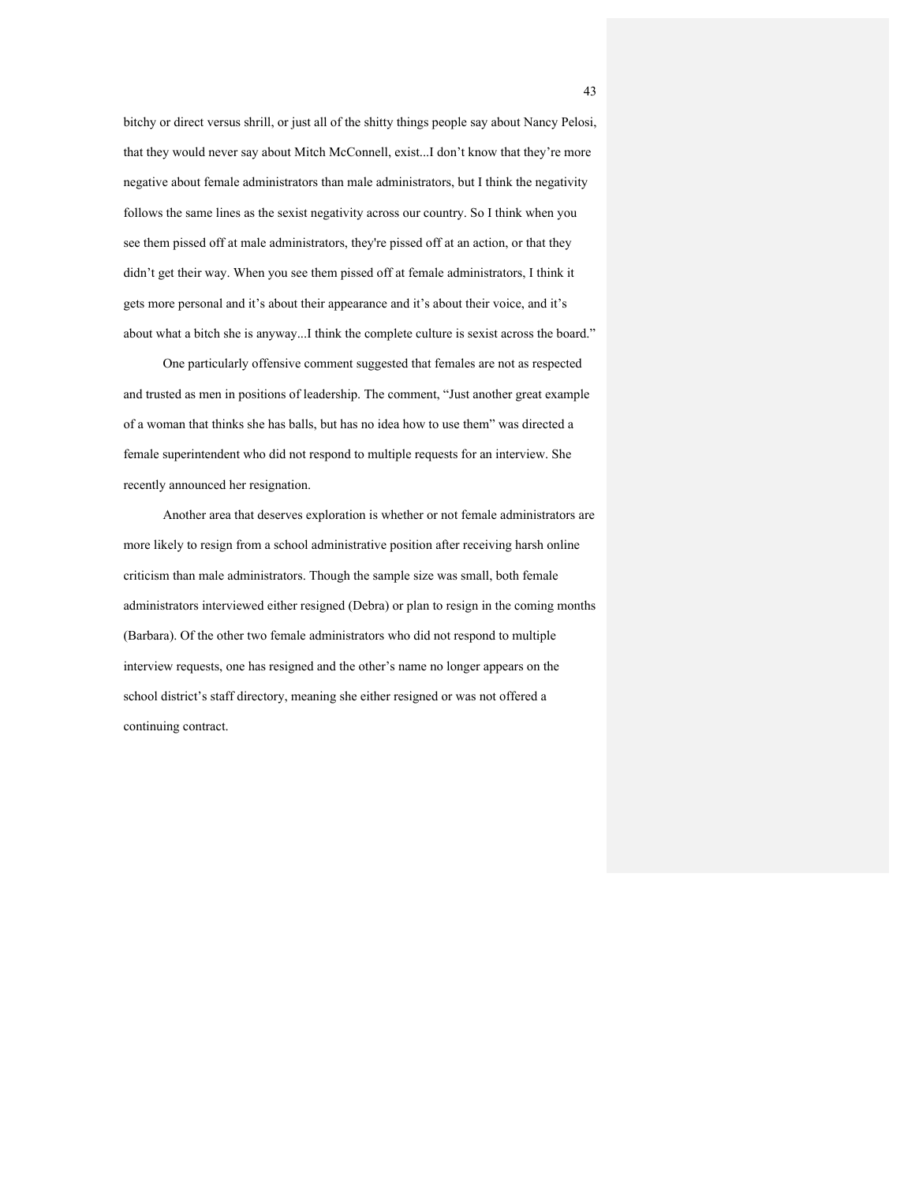bitchy or direct versus shrill, or just all of the shitty things people say about Nancy Pelosi, that they would never say about Mitch McConnell, exist...I don't know that they're more negative about female administrators than male administrators, but I think the negativity follows the same lines as the sexist negativity across our country. So I think when you see them pissed off at male administrators, they're pissed off at an action, or that they didn't get their way. When you see them pissed off at female administrators, I think it gets more personal and it's about their appearance and it's about their voice, and it's about what a bitch she is anyway...I think the complete culture is sexist across the board."

 One particularly offensive comment suggested that females are not as respected and trusted as men in positions of leadership. The comment, "Just another great example of a woman that thinks she has balls, but has no idea how to use them" was directed a female superintendent who did not respond to multiple requests for an interview. She recently announced her resignation.

 Another area that deserves exploration is whether or not female administrators are more likely to resign from a school administrative position after receiving harsh online criticism than male administrators. Though the sample size was small, both female administrators interviewed either resigned (Debra) or plan to resign in the coming months (Barbara). Of the other two female administrators who did not respond to multiple interview requests, one has resigned and the other's name no longer appears on the school district's staff directory, meaning she either resigned or was not offered a continuing contract.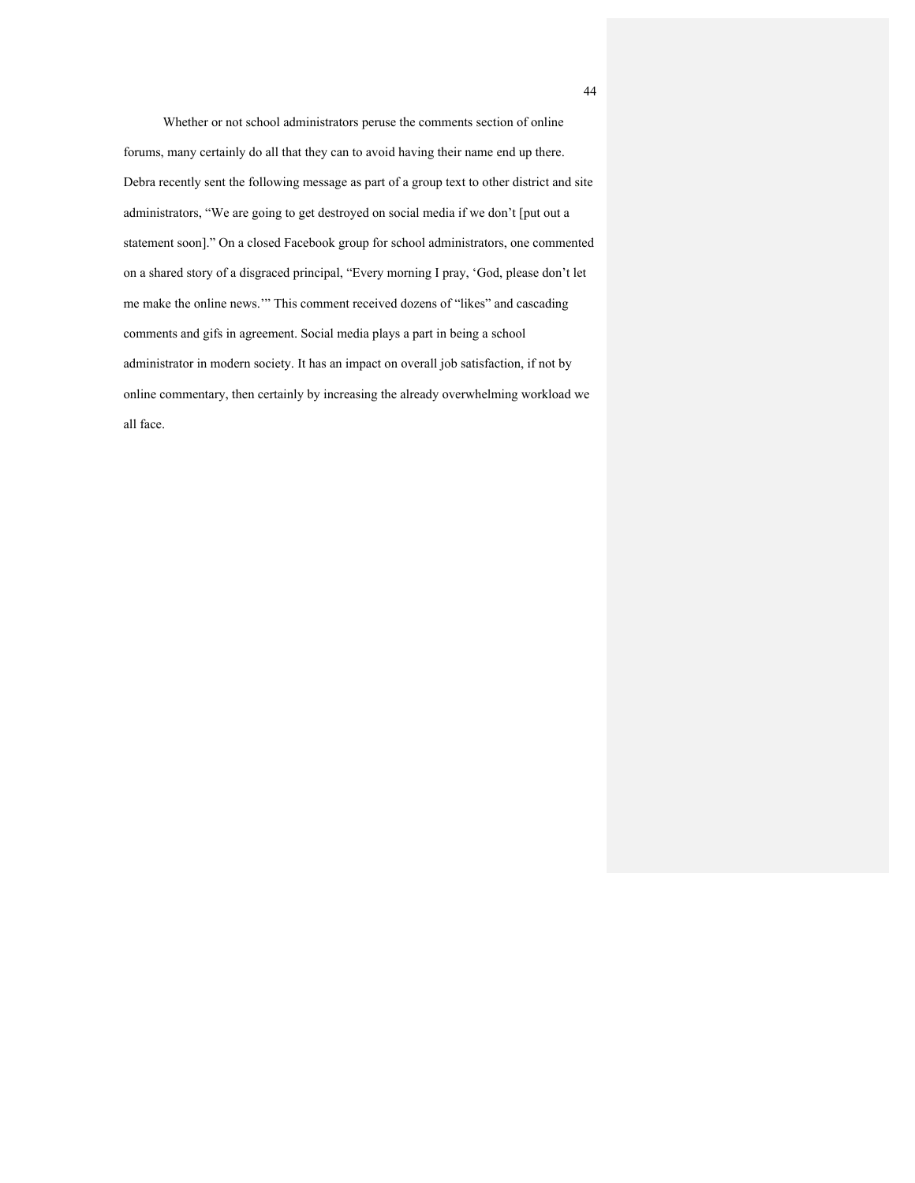Whether or not school administrators peruse the comments section of online forums, many certainly do all that they can to avoid having their name end up there. Debra recently sent the following message as part of a group text to other district and site administrators, "We are going to get destroyed on social media if we don't [put out a statement soon]." On a closed Facebook group for school administrators, one commented on a shared story of a disgraced principal, "Every morning I pray, 'God, please don't let me make the online news.'" This comment received dozens of "likes" and cascading comments and gifs in agreement. Social media plays a part in being a school administrator in modern society. It has an impact on overall job satisfaction, if not by online commentary, then certainly by increasing the already overwhelming workload we all face.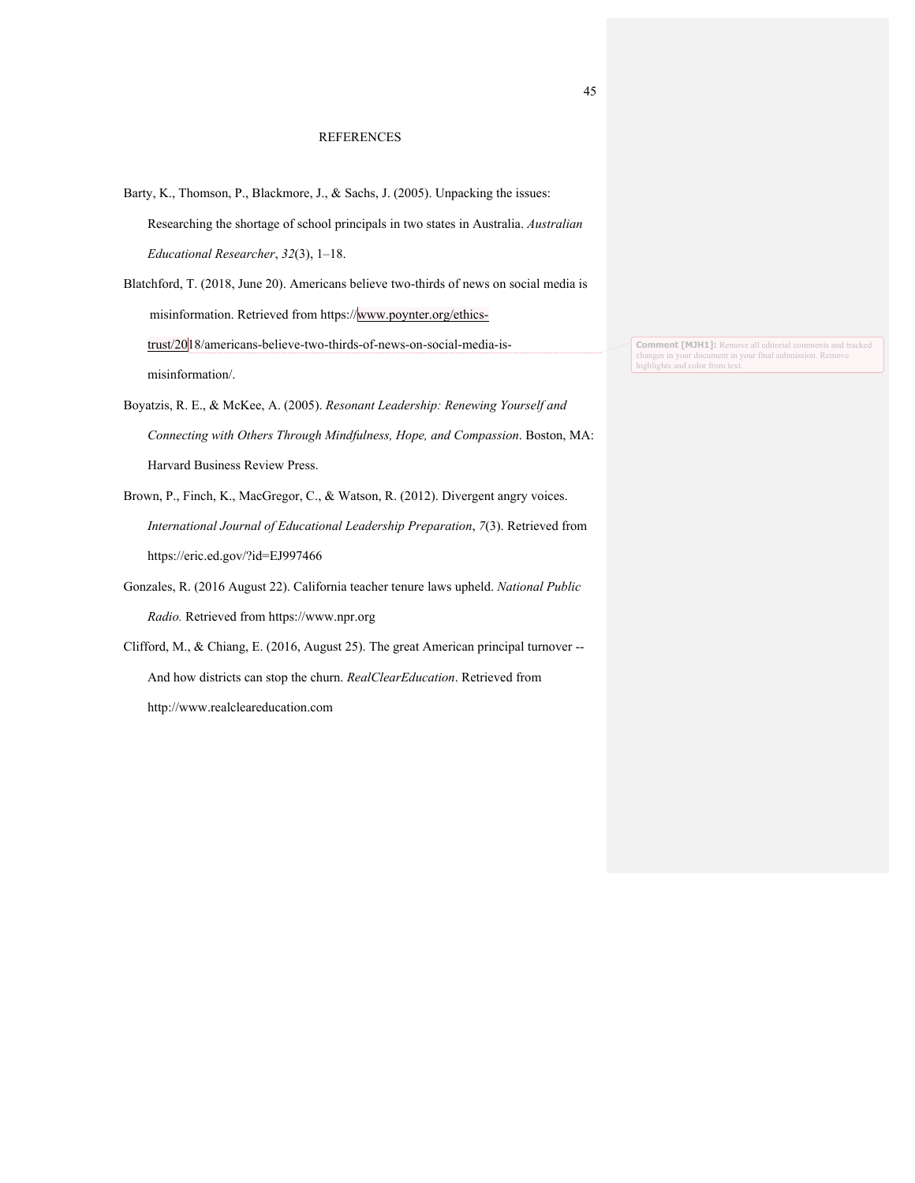#### REFERENCES

Barty, K., Thomson, P., Blackmore, J., & Sachs, J. (2005). Unpacking the issues: Researching the shortage of school principals in two states in Australia. *Australian Educational Researcher*, *32*(3), 1–18.

Blatchford, T. (2018, June 20). Americans believe two-thirds of news on social media is misinformation. Retrieved from https://www.poynter.org/ethicstrust/2018/americans-believe-two-thirds-of-news-on-social-media-ismisinformation/.

- Boyatzis, R. E., & McKee, A. (2005). *Resonant Leadership: Renewing Yourself and Connecting with Others Through Mindfulness, Hope, and Compassion*. Boston, MA: Harvard Business Review Press.
- Brown, P., Finch, K., MacGregor, C., & Watson, R. (2012). Divergent angry voices. *International Journal of Educational Leadership Preparation*, *7*(3). Retrieved from https://eric.ed.gov/?id=EJ997466
- Gonzales, R. (2016 August 22). California teacher tenure laws upheld. *National Public Radio.* Retrieved from https://www.npr.org
- Clifford, M., & Chiang, E. (2016, August 25). The great American principal turnover -- And how districts can stop the churn. *RealClearEducation*. Retrieved from http://www.realcleareducation.com

**Comment [MJH1]:** Remove all editorial comments and tracked changes in your document in your final submission. Remove highlights and color from text.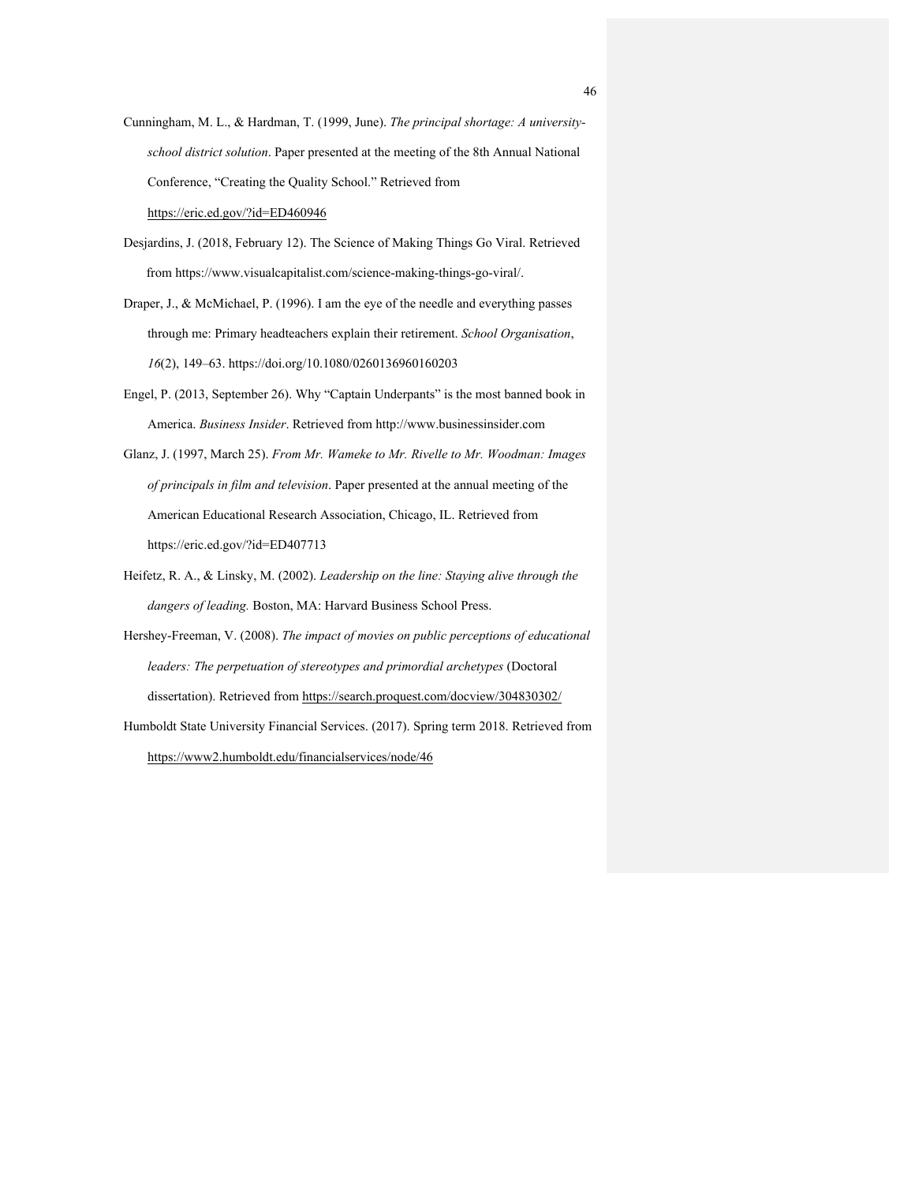- Cunningham, M. L., & Hardman, T. (1999, June). *The principal shortage: A universityschool district solution*. Paper presented at the meeting of the 8th Annual National Conference, "Creating the Quality School." Retrieved from https://eric.ed.gov/?id=ED460946
- Desjardins, J. (2018, February 12). The Science of Making Things Go Viral. Retrieved from https://www.visualcapitalist.com/science-making-things-go-viral/.
- Draper, J., & McMichael, P. (1996). I am the eye of the needle and everything passes through me: Primary headteachers explain their retirement. *School Organisation*, *16*(2), 149–63. https://doi.org/10.1080/0260136960160203
- Engel, P. (2013, September 26). Why "Captain Underpants" is the most banned book in America. *Business Insider*. Retrieved from http://www.businessinsider.com
- Glanz, J. (1997, March 25). *From Mr. Wameke to Mr. Rivelle to Mr. Woodman: Images of principals in film and television*. Paper presented at the annual meeting of the American Educational Research Association, Chicago, IL. Retrieved from https://eric.ed.gov/?id=ED407713
- Heifetz, R. A., & Linsky, M. (2002). *Leadership on the line: Staying alive through the dangers of leading.* Boston, MA: Harvard Business School Press.
- Hershey-Freeman, V. (2008). *The impact of movies on public perceptions of educational leaders: The perpetuation of stereotypes and primordial archetypes* (Doctoral dissertation). Retrieved from https://search.proquest.com/docview/304830302/
- Humboldt State University Financial Services. (2017). Spring term 2018. Retrieved from https://www2.humboldt.edu/financialservices/node/46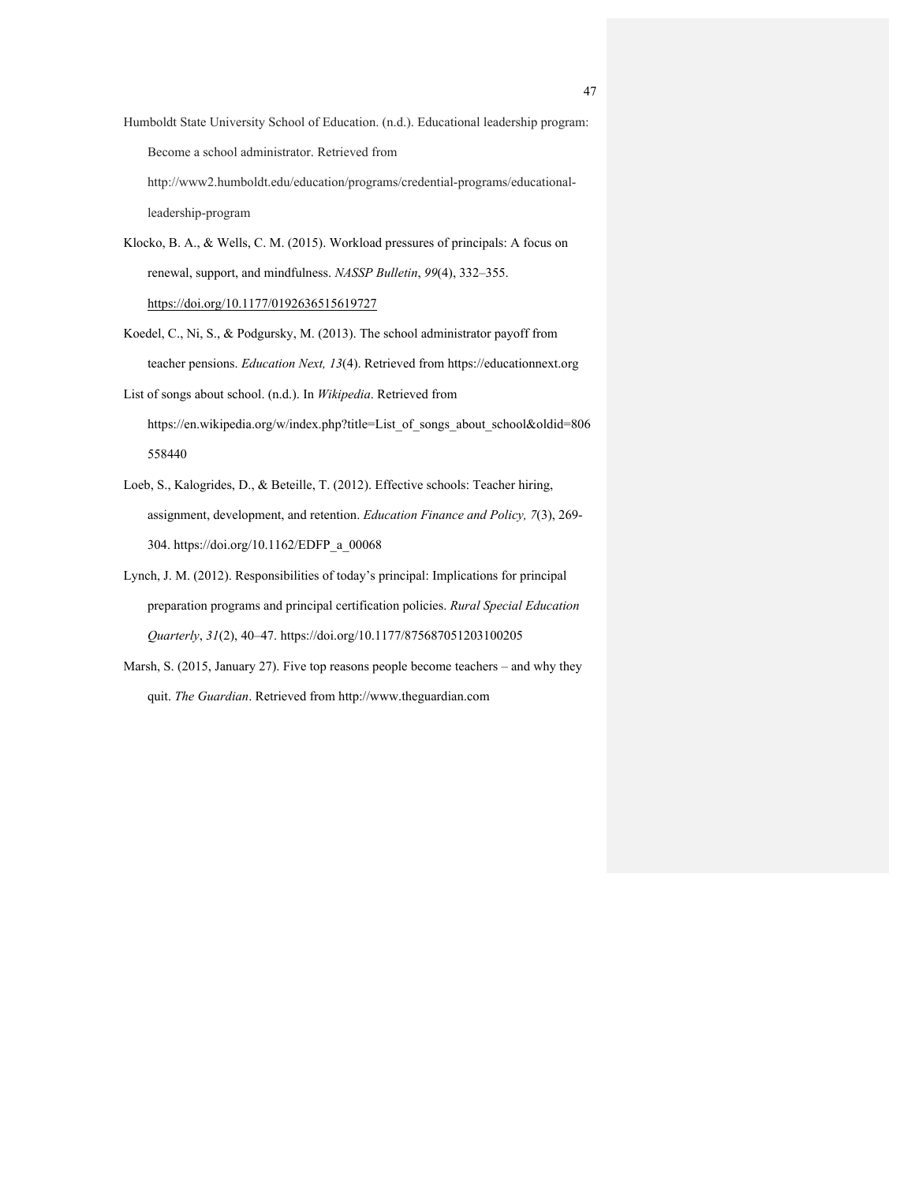- Humboldt State University School of Education. (n.d.). Educational leadership program: Become a school administrator. Retrieved from http://www2.humboldt.edu/education/programs/credential-programs/educationalleadership-program
- Klocko, B. A., & Wells, C. M. (2015). Workload pressures of principals: A focus on renewal, support, and mindfulness. *NASSP Bulletin*, *99*(4), 332–355. https://doi.org/10.1177/0192636515619727
- Koedel, C., Ni, S., & Podgursky, M. (2013). The school administrator payoff from teacher pensions. *Education Next, 13*(4). Retrieved from https://educationnext.org
- List of songs about school. (n.d.). In *Wikipedia*. Retrieved from https://en.wikipedia.org/w/index.php?title=List\_of\_songs\_about\_school&oldid=806 558440
- Loeb, S., Kalogrides, D., & Beteille, T. (2012). Effective schools: Teacher hiring, assignment, development, and retention. *Education Finance and Policy, 7*(3), 269- 304. https://doi.org/10.1162/EDFP\_a\_00068
- Lynch, J. M. (2012). Responsibilities of today's principal: Implications for principal preparation programs and principal certification policies. *Rural Special Education Quarterly*, *31*(2), 40–47. https://doi.org/10.1177/875687051203100205
- Marsh, S. (2015, January 27). Five top reasons people become teachers and why they quit. *The Guardian*. Retrieved from http://www.theguardian.com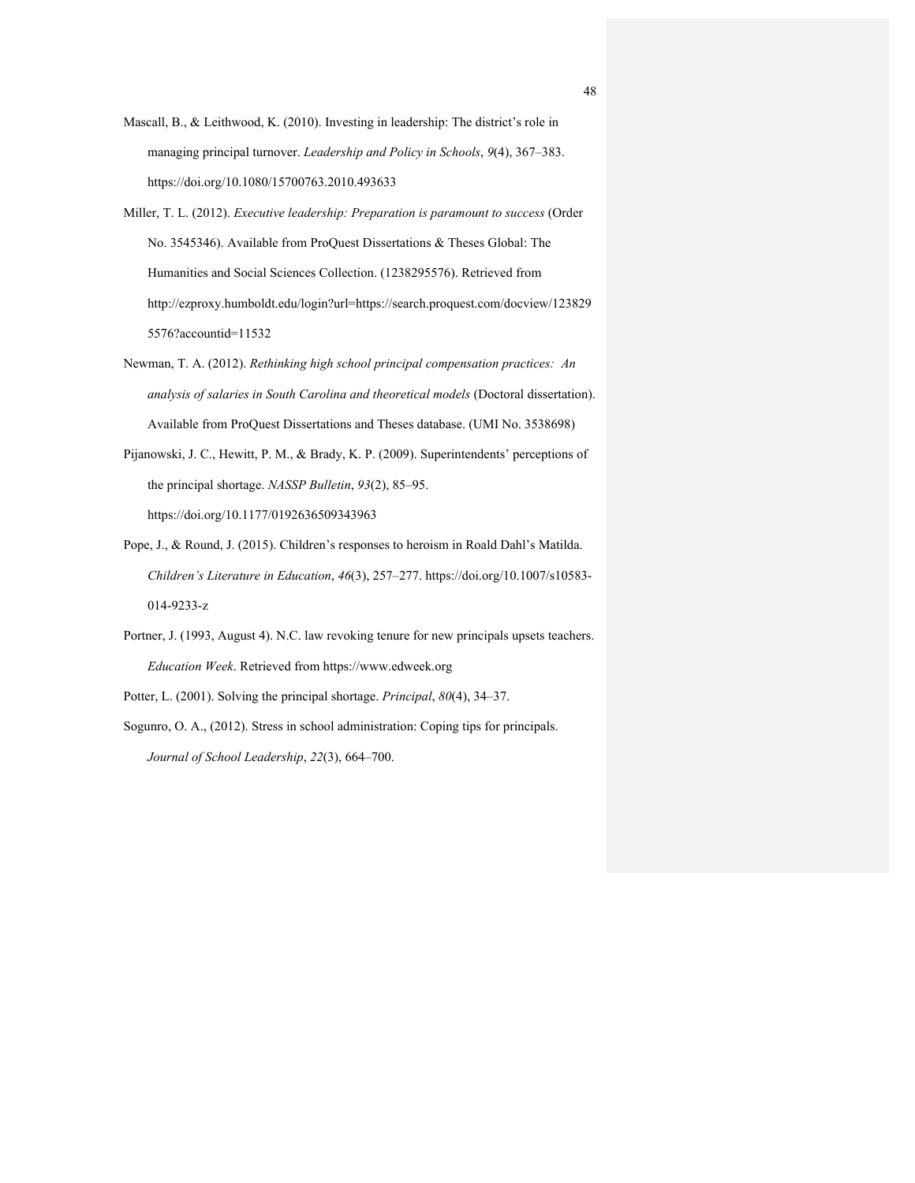- Mascall, B., & Leithwood, K. (2010). Investing in leadership: The district's role in managing principal turnover. *Leadership and Policy in Schools*, *9*(4), 367–383. https://doi.org/10.1080/15700763.2010.493633
- Miller, T. L. (2012). *Executive leadership: Preparation is paramount to success* (Order No. 3545346). Available from ProQuest Dissertations & Theses Global: The Humanities and Social Sciences Collection. (1238295576). Retrieved from http://ezproxy.humboldt.edu/login?url=https://search.proquest.com/docview/123829 5576?accountid=11532
- Newman, T. A. (2012). *Rethinking high school principal compensation practices: An analysis of salaries in South Carolina and theoretical models* (Doctoral dissertation). Available from ProQuest Dissertations and Theses database. (UMI No. 3538698)
- Pijanowski, J. C., Hewitt, P. M., & Brady, K. P. (2009). Superintendents' perceptions of the principal shortage. *NASSP Bulletin*, *93*(2), 85–95. https://doi.org/10.1177/0192636509343963
- Pope, J., & Round, J. (2015). Children's responses to heroism in Roald Dahl's Matilda. *Children's Literature in Education*, *46*(3), 257–277. https://doi.org/10.1007/s10583- 014-9233-z
- Portner, J. (1993, August 4). N.C. law revoking tenure for new principals upsets teachers. *Education Week*. Retrieved from https://www.edweek.org
- Potter, L. (2001). Solving the principal shortage. *Principal*, *80*(4), 34–37.
- Sogunro, O. A., (2012). Stress in school administration: Coping tips for principals. *Journal of School Leadership*, *22*(3), 664–700.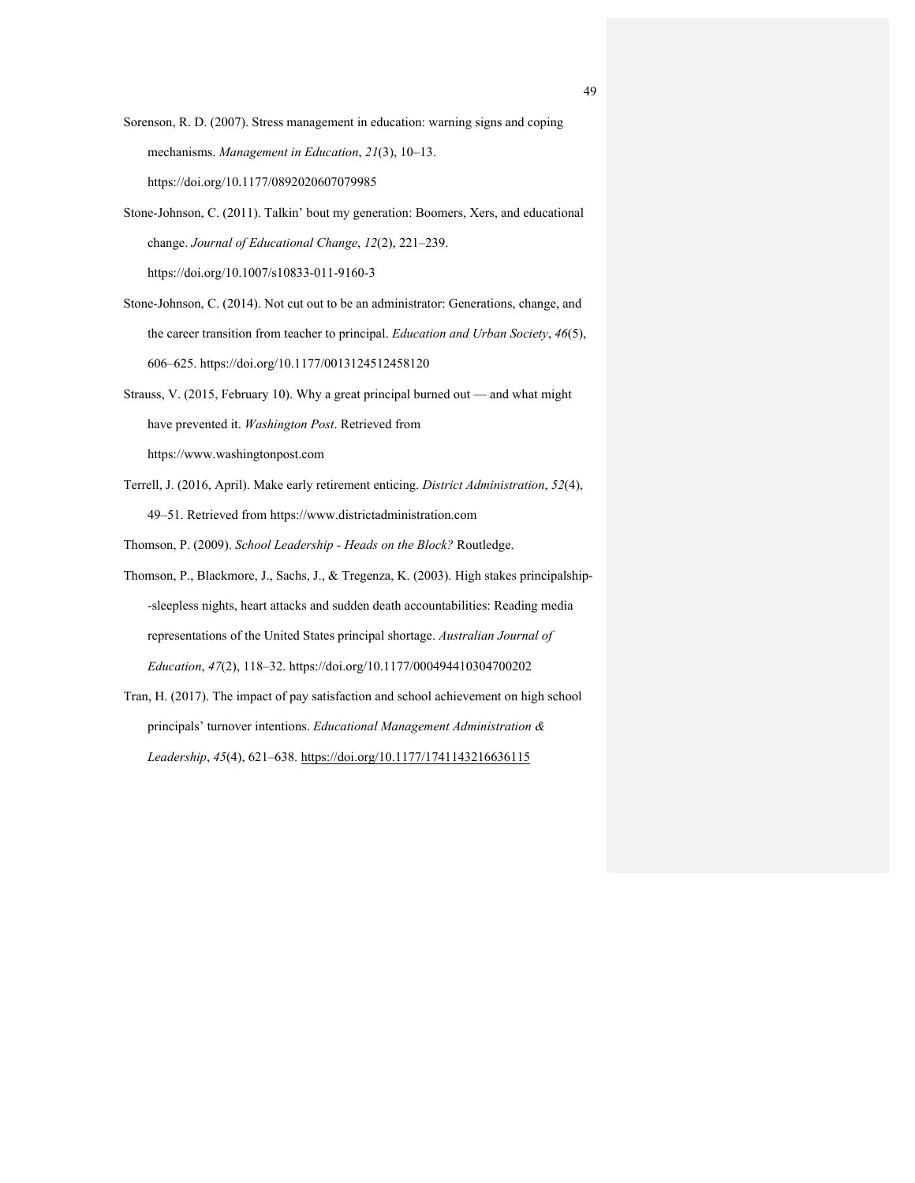- Sorenson, R. D. (2007). Stress management in education: warning signs and coping mechanisms. *Management in Education*, *21*(3), 10–13. https://doi.org/10.1177/0892020607079985
- Stone-Johnson, C. (2011). Talkin' bout my generation: Boomers, Xers, and educational change. *Journal of Educational Change*, *12*(2), 221–239. https://doi.org/10.1007/s10833-011-9160-3
- Stone-Johnson, C. (2014). Not cut out to be an administrator: Generations, change, and the career transition from teacher to principal. *Education and Urban Society*, *46*(5), 606–625. https://doi.org/10.1177/0013124512458120
- Strauss, V. (2015, February 10). Why a great principal burned out and what might have prevented it. *Washington Post*. Retrieved from https://www.washingtonpost.com
- Terrell, J. (2016, April). Make early retirement enticing. *District Administration*, *52*(4), 49–51. Retrieved from https://www.districtadministration.com

Thomson, P. (2009). *School Leadership - Heads on the Block?* Routledge.

- Thomson, P., Blackmore, J., Sachs, J., & Tregenza, K. (2003). High stakes principalship- -sleepless nights, heart attacks and sudden death accountabilities: Reading media representations of the United States principal shortage. *Australian Journal of Education*, *47*(2), 118–32. https://doi.org/10.1177/000494410304700202
- Tran, H. (2017). The impact of pay satisfaction and school achievement on high school principals' turnover intentions. *Educational Management Administration & Leadership*, *45*(4), 621–638. https://doi.org/10.1177/1741143216636115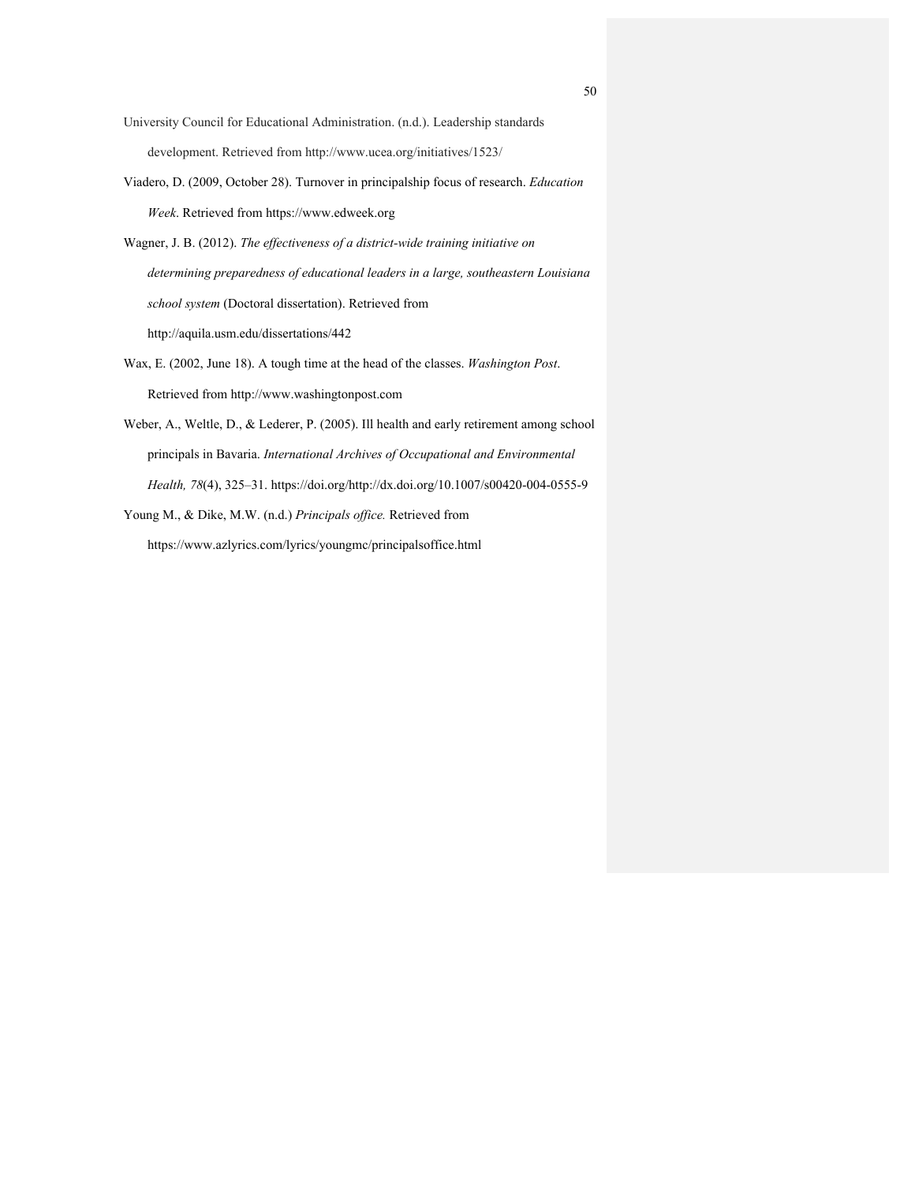- University Council for Educational Administration. (n.d.). Leadership standards development. Retrieved from http://www.ucea.org/initiatives/1523/
- Viadero, D. (2009, October 28). Turnover in principalship focus of research. *Education Week*. Retrieved from https://www.edweek.org
- Wagner, J. B. (2012). *The effectiveness of a district-wide training initiative on determining preparedness of educational leaders in a large, southeastern Louisiana school system* (Doctoral dissertation). Retrieved from http://aquila.usm.edu/dissertations/442
- Wax, E. (2002, June 18). A tough time at the head of the classes. *Washington Post*. Retrieved from http://www.washingtonpost.com
- Weber, A., Weltle, D., & Lederer, P. (2005). Ill health and early retirement among school principals in Bavaria. *International Archives of Occupational and Environmental Health, 78*(4), 325–31. https://doi.org/http://dx.doi.org/10.1007/s00420-004-0555-9
- Young M., & Dike, M.W. (n.d.) *Principals office.* Retrieved from https://www.azlyrics.com/lyrics/youngmc/principalsoffice.html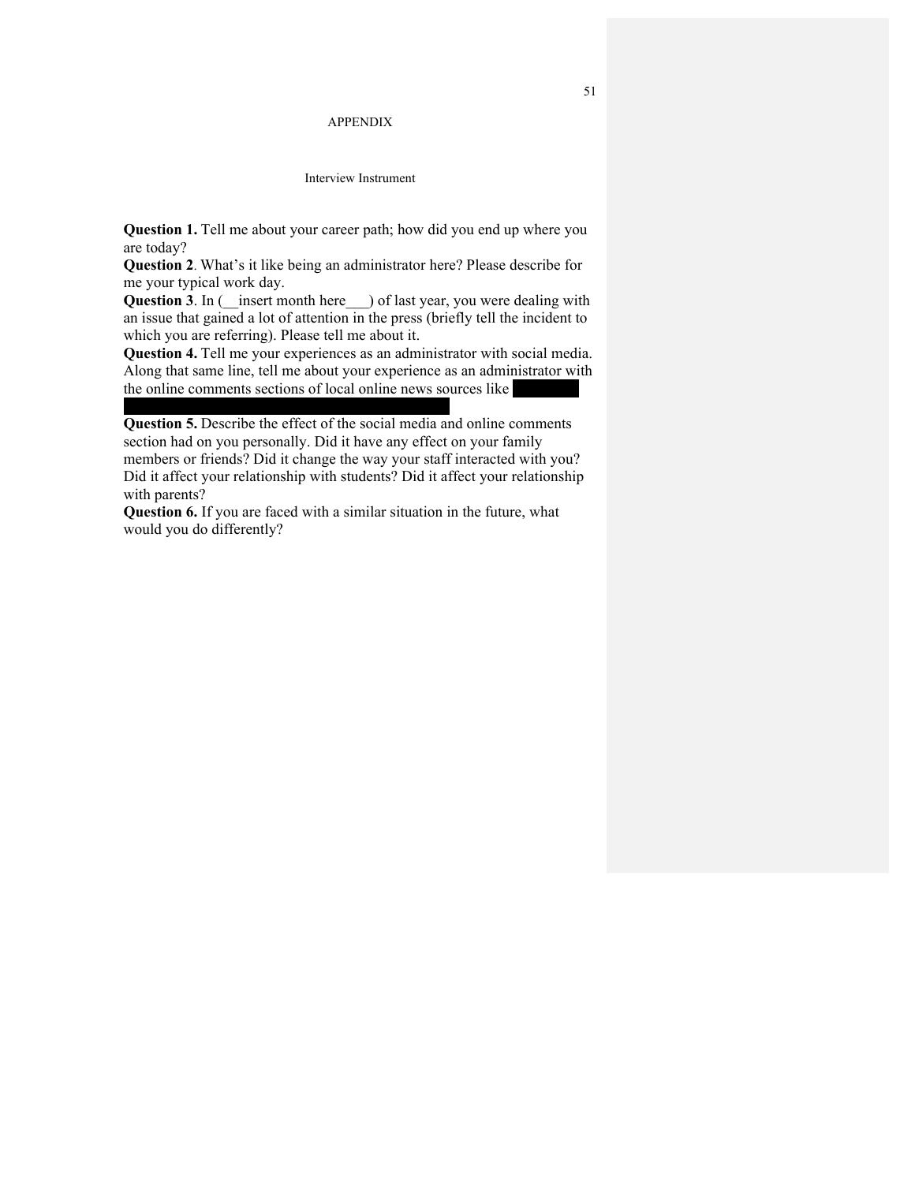#### APPENDIX

#### Interview Instrument

**Question 1.** Tell me about your career path; how did you end up where you are today?

**Question 2**. What's it like being an administrator here? Please describe for me your typical work day.

Question 3. In (*\_\_insert month here \_\_)* of last year, you were dealing with an issue that gained a lot of attention in the press (briefly tell the incident to which you are referring). Please tell me about it.

**Question 4.** Tell me your experiences as an administrator with social media. Along that same line, tell me about your experience as an administrator with the online comments sections of local online news sources like

**Question 5.** Describe the effect of the social media and online comments section had on you personally. Did it have any effect on your family members or friends? Did it change the way your staff interacted with you? Did it affect your relationship with students? Did it affect your relationship with parents?

**Question 6.** If you are faced with a similar situation in the future, what would you do differently?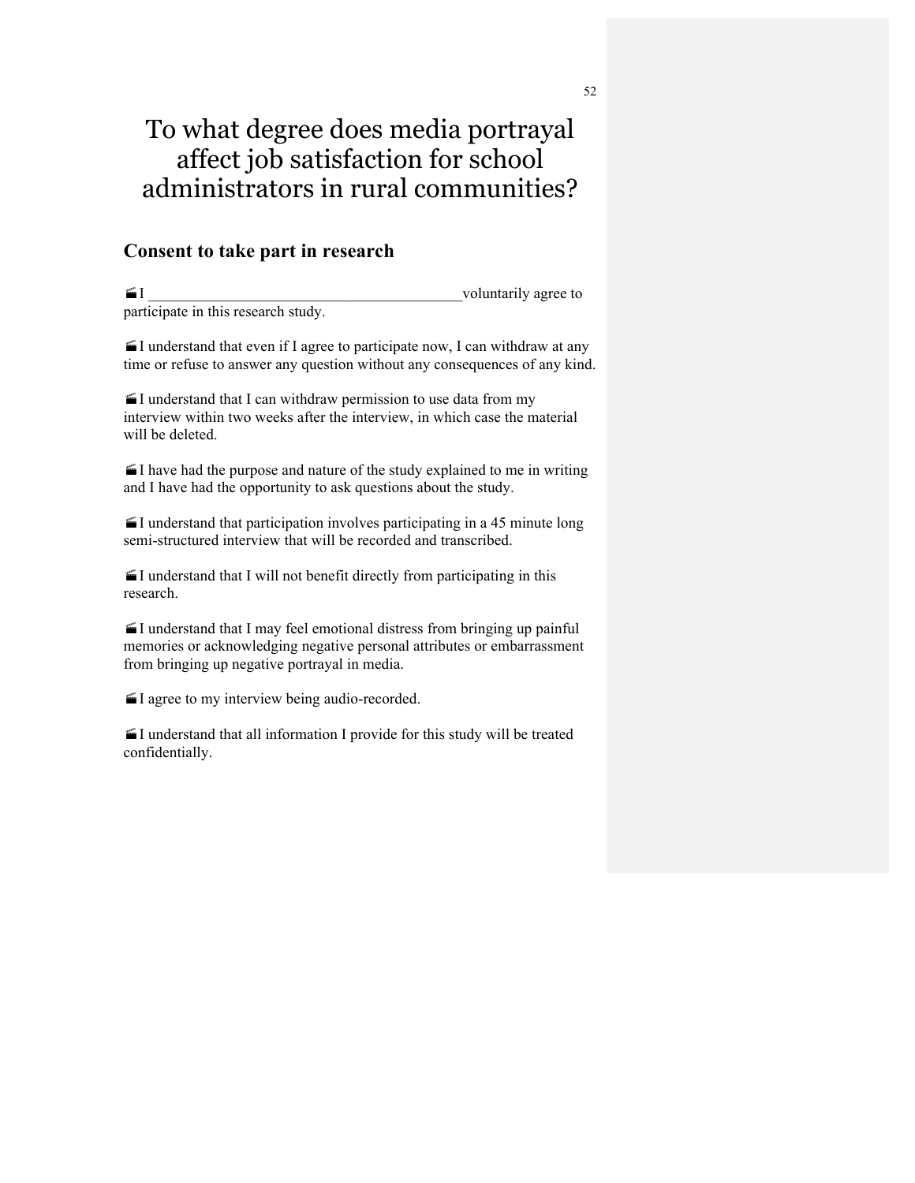# To what degree does media portrayal affect job satisfaction for school administrators in rural communities?

## **Consent to take part in research**

 $II$  voluntarily agree to participate in this research study.

 $\blacksquare$  I understand that even if I agree to participate now, I can withdraw at any time or refuse to answer any question without any consequences of any kind.

 $\blacksquare$  I understand that I can withdraw permission to use data from my interview within two weeks after the interview, in which case the material will be deleted.

 $\leq$  I have had the purpose and nature of the study explained to me in writing and I have had the opportunity to ask questions about the study.

 $\blacksquare$  I understand that participation involves participating in a 45 minute long semi-structured interview that will be recorded and transcribed.

 $\blacksquare$  I understand that I will not benefit directly from participating in this research.

 $\blacksquare$  I understand that I may feel emotional distress from bringing up painful memories or acknowledging negative personal attributes or embarrassment from bringing up negative portrayal in media.

·I agree to my interview being audio-recorded.

 $\blacksquare$  I understand that all information I provide for this study will be treated confidentially.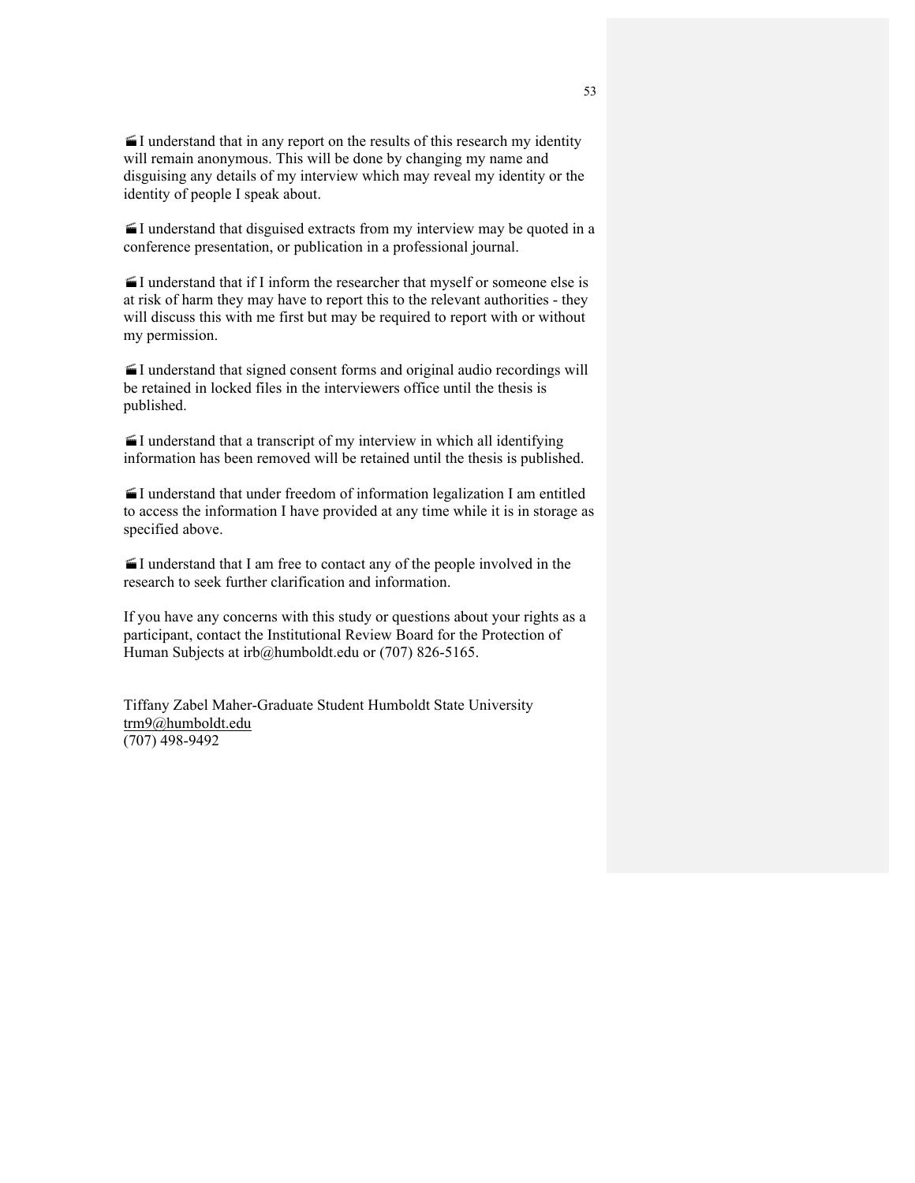$\blacksquare$  I understand that in any report on the results of this research my identity will remain anonymous. This will be done by changing my name and disguising any details of my interview which may reveal my identity or the identity of people I speak about.

 $\blacktriangle$ I understand that disguised extracts from my interview may be quoted in a conference presentation, or publication in a professional journal.

 $\blacksquare$  I understand that if I inform the researcher that myself or someone else is at risk of harm they may have to report this to the relevant authorities - they will discuss this with me first but may be required to report with or without my permission.

·I understand that signed consent forms and original audio recordings will be retained in locked files in the interviewers office until the thesis is published.

 $\blacksquare$ I understand that a transcript of my interview in which all identifying information has been removed will be retained until the thesis is published.

 $\blacksquare$ I understand that under freedom of information legalization I am entitled to access the information I have provided at any time while it is in storage as specified above.

 $\blacksquare$ I understand that I am free to contact any of the people involved in the research to seek further clarification and information.

If you have any concerns with this study or questions about your rights as a participant, contact the Institutional Review Board for the Protection of Human Subjects at irb@humboldt.edu or (707) 826-5165.

Tiffany Zabel Maher-Graduate Student Humboldt State University trm9@humboldt.edu (707) 498-9492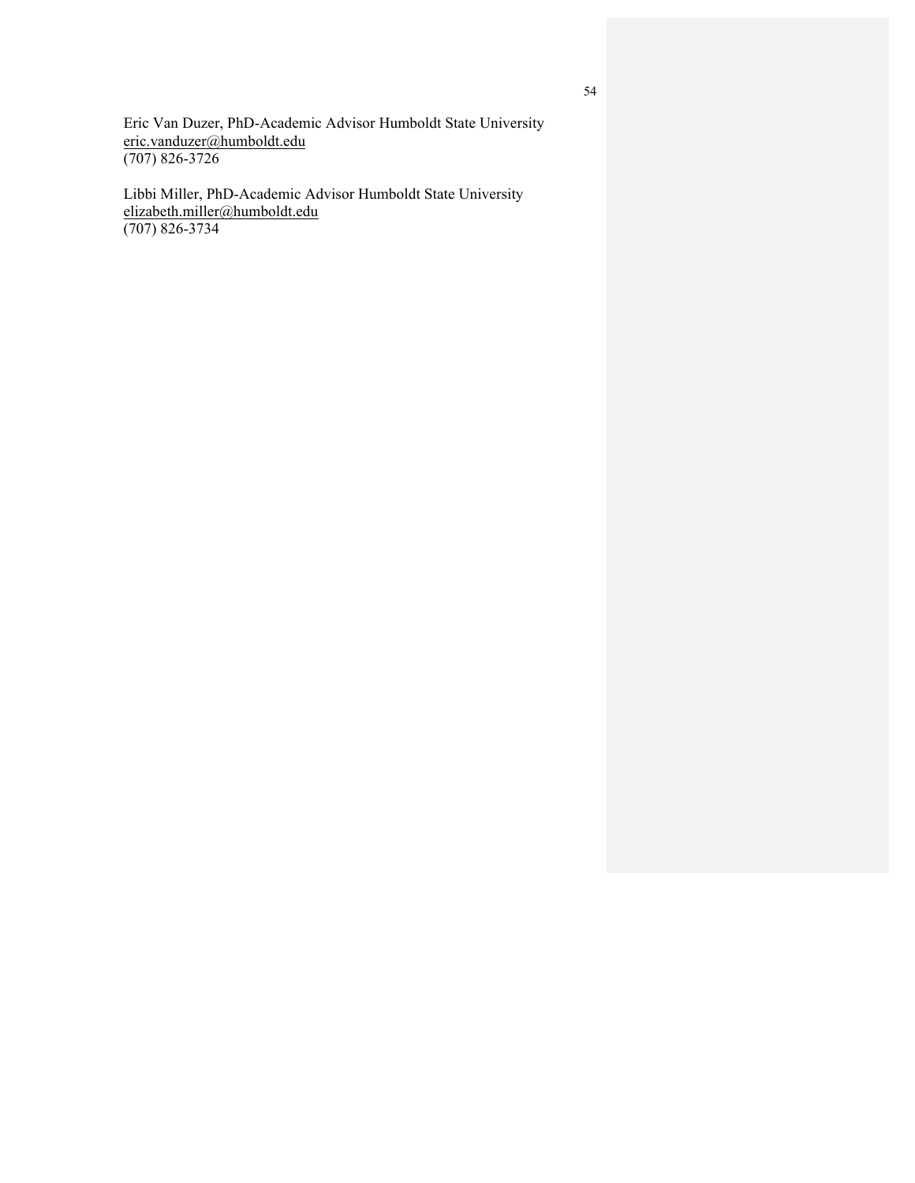Eric Van Duzer, PhD-Academic Advisor Humboldt State University eric.vanduzer@humboldt.edu (707) 826-3726

Libbi Miller, PhD-Academic Advisor Humboldt State University elizabeth.miller@humboldt.edu (707) 826-3734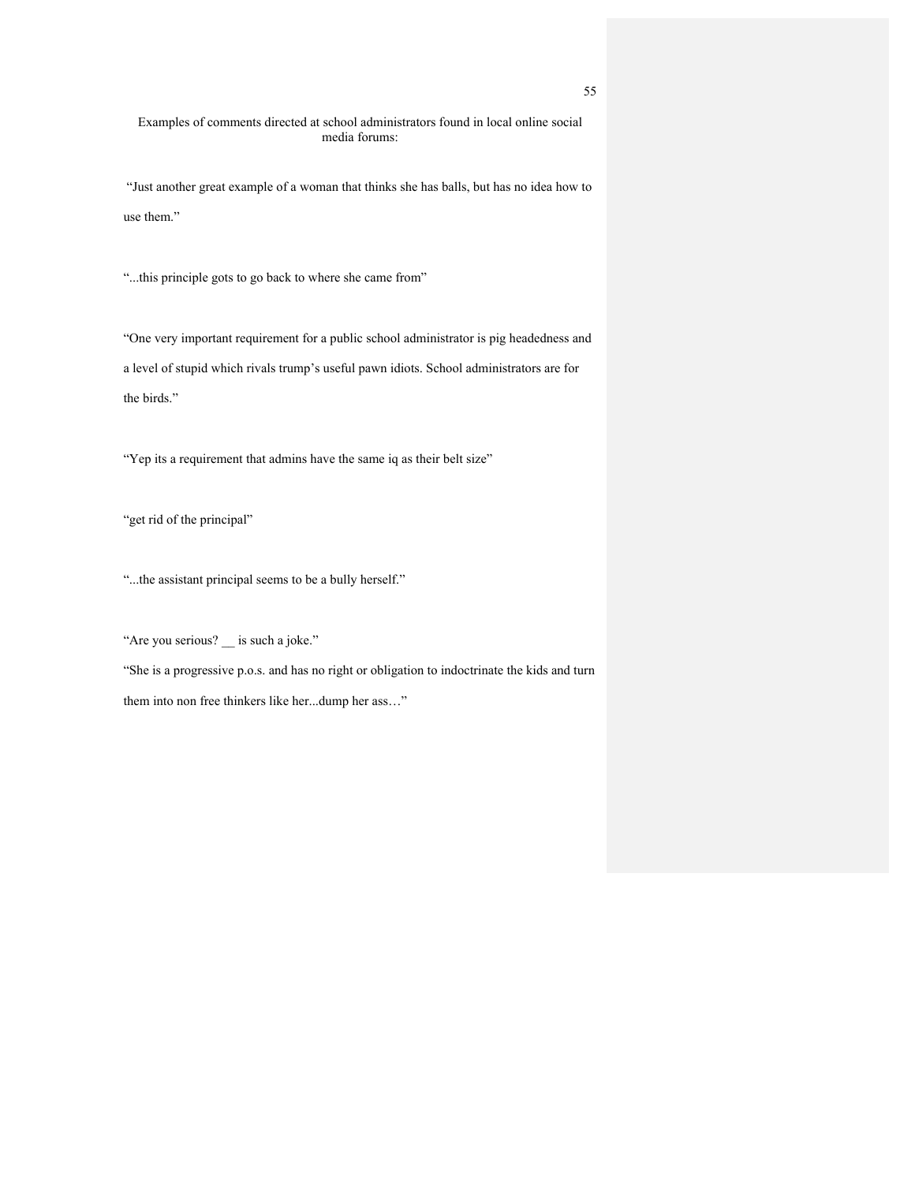Examples of comments directed at school administrators found in local online social media forums:

"Just another great example of a woman that thinks she has balls, but has no idea how to use them."

"...this principle gots to go back to where she came from"

"One very important requirement for a public school administrator is pig headedness and a level of stupid which rivals trump's useful pawn idiots. School administrators are for the birds."

"Yep its a requirement that admins have the same iq as their belt size"

"get rid of the principal"

"...the assistant principal seems to be a bully herself."

"Are you serious? \_\_ is such a joke."

"She is a progressive p.o.s. and has no right or obligation to indoctrinate the kids and turn them into non free thinkers like her...dump her ass…"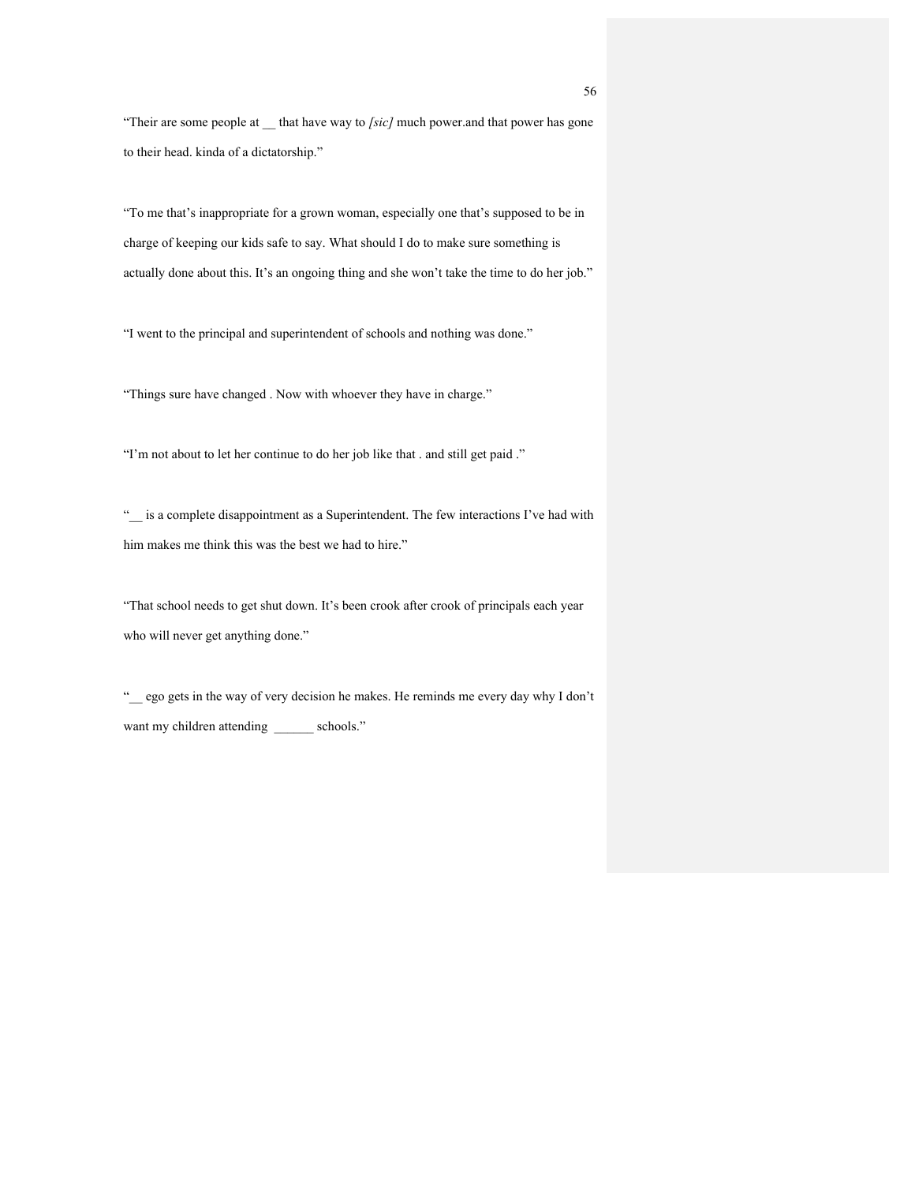"Their are some people at \_\_ that have way to *[sic]* much power.and that power has gone to their head. kinda of a dictatorship."

"To me that's inappropriate for a grown woman, especially one that's supposed to be in charge of keeping our kids safe to say. What should I do to make sure something is actually done about this. It's an ongoing thing and she won't take the time to do her job."

"I went to the principal and superintendent of schools and nothing was done."

"Things sure have changed . Now with whoever they have in charge."

"I'm not about to let her continue to do her job like that . and still get paid ."

"\_\_ is a complete disappointment as a Superintendent. The few interactions I've had with him makes me think this was the best we had to hire."

"That school needs to get shut down. It's been crook after crook of principals each year who will never get anything done."

"\_\_ ego gets in the way of very decision he makes. He reminds me every day why I don't want my children attending \_\_\_\_\_\_\_ schools."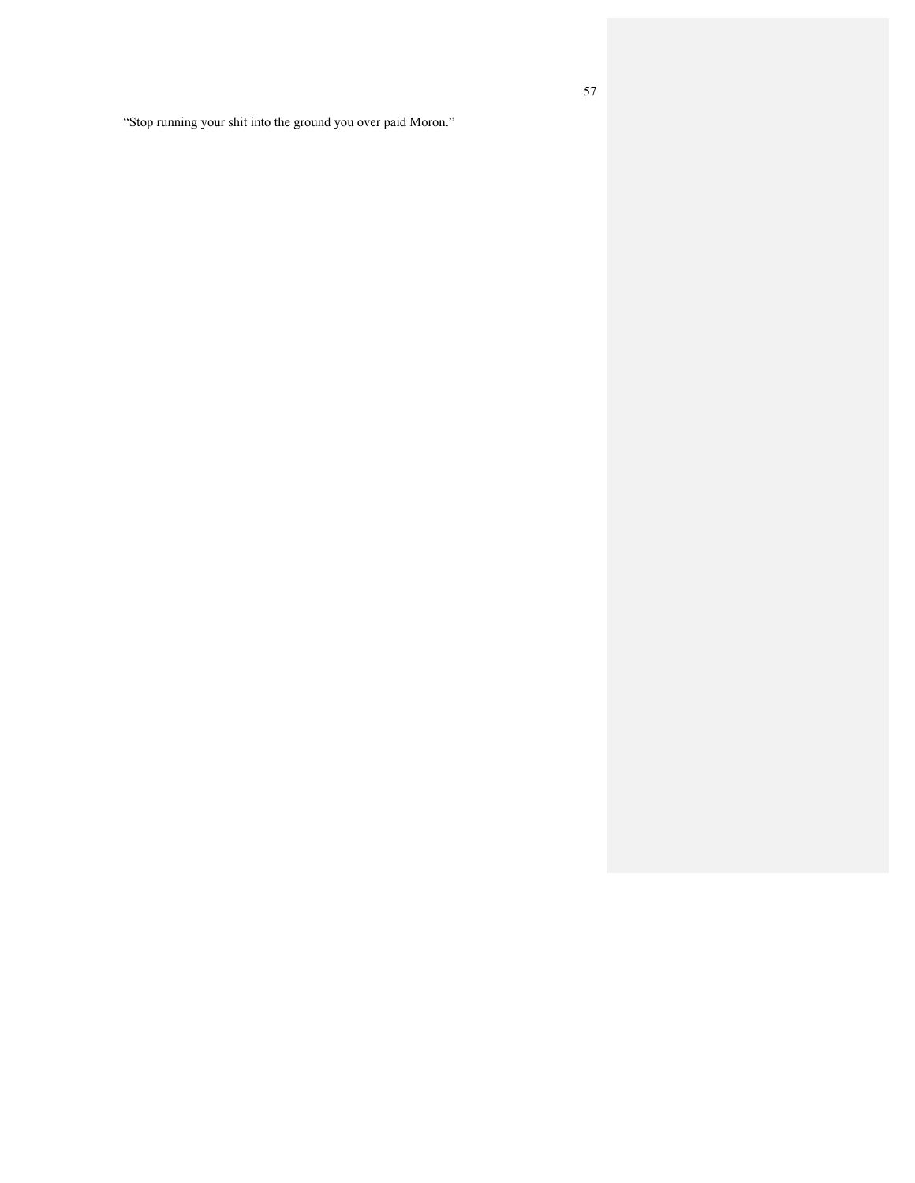"Stop running your shit into the ground you over paid Moron."